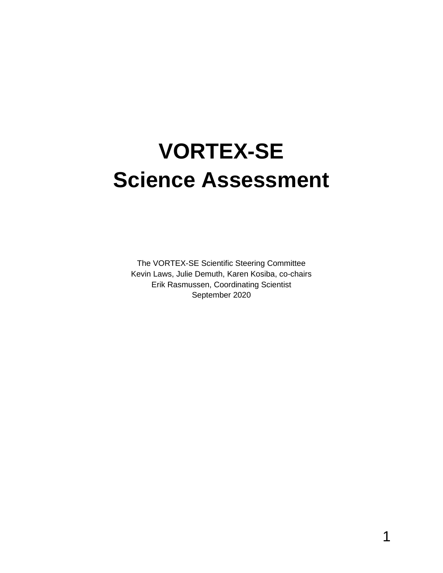# **VORTEX-SE Science Assessment**

The VORTEX-SE Scientific Steering Committee Kevin Laws, Julie Demuth, Karen Kosiba, co-chairs Erik Rasmussen, Coordinating Scientist September 2020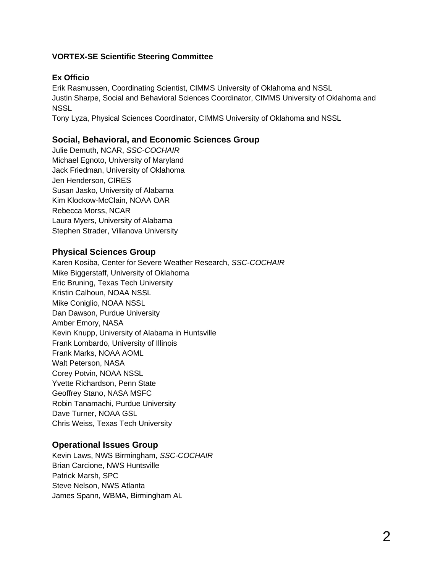#### **VORTEX-SE Scientific Steering Committee**

#### **Ex Officio**

Erik Rasmussen, Coordinating Scientist, CIMMS University of Oklahoma and NSSL Justin Sharpe, Social and Behavioral Sciences Coordinator, CIMMS University of Oklahoma and **NSSL** 

Tony Lyza, Physical Sciences Coordinator, CIMMS University of Oklahoma and NSSL

#### **Social, Behavioral, and Economic Sciences Group**

Julie Demuth, NCAR, *SSC-COCHAIR* Michael Egnoto, University of Maryland Jack Friedman, University of Oklahoma Jen Henderson, CIRES Susan Jasko, University of Alabama Kim Klockow-McClain, NOAA OAR Rebecca Morss, NCAR Laura Myers, University of Alabama Stephen Strader, Villanova University

#### **Physical Sciences Group**

Karen Kosiba, Center for Severe Weather Research, *SSC-COCHAIR* Mike Biggerstaff, University of Oklahoma Eric Bruning, Texas Tech University Kristin Calhoun, NOAA NSSL Mike Coniglio, NOAA NSSL Dan Dawson, Purdue University Amber Emory, NASA Kevin Knupp, University of Alabama in Huntsville Frank Lombardo, University of Illinois Frank Marks, NOAA AOML Walt Peterson, NASA Corey Potvin, NOAA NSSL Yvette Richardson, Penn State Geoffrey Stano, NASA MSFC Robin Tanamachi, Purdue University Dave Turner, NOAA GSL Chris Weiss, Texas Tech University

#### **Operational Issues Group**

Kevin Laws, NWS Birmingham, *SSC-COCHAIR* Brian Carcione, NWS Huntsville Patrick Marsh, SPC Steve Nelson, NWS Atlanta James Spann, WBMA, Birmingham AL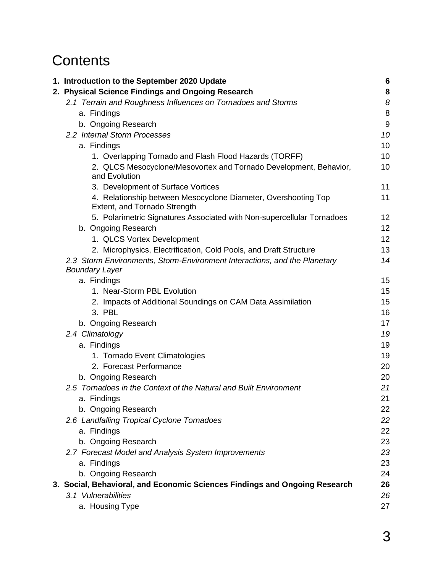# **Contents**

| 1. Introduction to the September 2020 Update                                                   | 6     |
|------------------------------------------------------------------------------------------------|-------|
| 2. Physical Science Findings and Ongoing Research                                              | 8     |
| 2.1 Terrain and Roughness Influences on Tornadoes and Storms                                   | 8     |
| a. Findings                                                                                    | 8     |
| b. Ongoing Research                                                                            | $9\,$ |
| 2.2 Internal Storm Processes                                                                   | 10    |
| a. Findings                                                                                    | 10    |
| 1. Overlapping Tornado and Flash Flood Hazards (TORFF)                                         | 10    |
| 2. QLCS Mesocyclone/Mesovortex and Tornado Development, Behavior,<br>and Evolution             | 10    |
| 3. Development of Surface Vortices                                                             | 11    |
| 4. Relationship between Mesocyclone Diameter, Overshooting Top<br>Extent, and Tornado Strength | 11    |
| 5. Polarimetric Signatures Associated with Non-supercellular Tornadoes                         | 12    |
| b. Ongoing Research                                                                            | 12    |
| 1. QLCS Vortex Development                                                                     | 12    |
| 2. Microphysics, Electrification, Cold Pools, and Draft Structure                              | 13    |
| 2.3 Storm Environments, Storm-Environment Interactions, and the Planetary                      | 14    |
| <b>Boundary Layer</b>                                                                          |       |
| a. Findings                                                                                    | 15    |
| 1. Near-Storm PBL Evolution                                                                    | 15    |
| 2. Impacts of Additional Soundings on CAM Data Assimilation                                    | 15    |
| 3. PBL                                                                                         | 16    |
| b. Ongoing Research                                                                            | 17    |
| 2.4 Climatology                                                                                | 19    |
| a. Findings                                                                                    | 19    |
| 1. Tornado Event Climatologies                                                                 | 19    |
| 2. Forecast Performance                                                                        | 20    |
| b. Ongoing Research                                                                            | 20    |
| 2.5 Tornadoes in the Context of the Natural and Built Environment                              | 21    |
| a. Findings                                                                                    | 21    |
| b. Ongoing Research                                                                            | 22    |
| 2.6 Landfalling Tropical Cyclone Tornadoes                                                     | 22    |
| a. Findings                                                                                    | 22    |
| b. Ongoing Research                                                                            | 23    |
| 2.7 Forecast Model and Analysis System Improvements                                            | 23    |
| a. Findings                                                                                    | 23    |
| b. Ongoing Research                                                                            | 24    |
| 3. Social, Behavioral, and Economic Sciences Findings and Ongoing Research                     | 26    |
| 3.1 Vulnerabilities                                                                            | 26    |
| a. Housing Type                                                                                | 27    |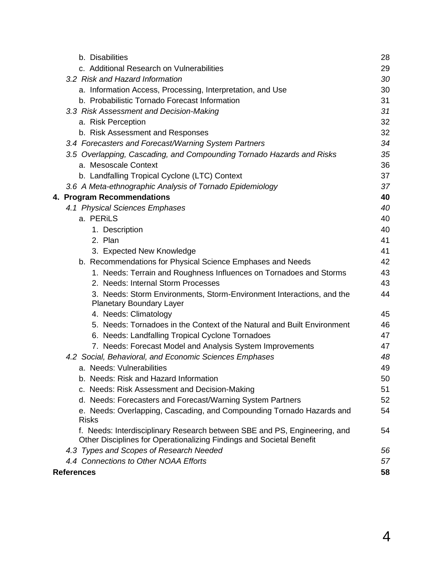| b. Disabilities                                                                                                                                   | 28 |
|---------------------------------------------------------------------------------------------------------------------------------------------------|----|
| c. Additional Research on Vulnerabilities                                                                                                         | 29 |
| 3.2 Risk and Hazard Information                                                                                                                   | 30 |
| a. Information Access, Processing, Interpretation, and Use                                                                                        | 30 |
| b. Probabilistic Tornado Forecast Information                                                                                                     | 31 |
| 3.3 Risk Assessment and Decision-Making                                                                                                           | 31 |
| a. Risk Perception                                                                                                                                | 32 |
| b. Risk Assessment and Responses                                                                                                                  | 32 |
| 3.4 Forecasters and Forecast/Warning System Partners                                                                                              | 34 |
| 3.5 Overlapping, Cascading, and Compounding Tornado Hazards and Risks                                                                             | 35 |
| a. Mesoscale Context                                                                                                                              | 36 |
| b. Landfalling Tropical Cyclone (LTC) Context                                                                                                     | 37 |
| 3.6 A Meta-ethnographic Analysis of Tornado Epidemiology                                                                                          | 37 |
| 4. Program Recommendations                                                                                                                        | 40 |
| 4.1 Physical Sciences Emphases                                                                                                                    | 40 |
| a. PERILS                                                                                                                                         | 40 |
| 1. Description                                                                                                                                    | 40 |
| 2. Plan                                                                                                                                           | 41 |
| 3. Expected New Knowledge                                                                                                                         | 41 |
| b. Recommendations for Physical Science Emphases and Needs                                                                                        | 42 |
| 1. Needs: Terrain and Roughness Influences on Tornadoes and Storms                                                                                | 43 |
| 2. Needs: Internal Storm Processes                                                                                                                | 43 |
| 3. Needs: Storm Environments, Storm-Environment Interactions, and the<br><b>Planetary Boundary Layer</b>                                          | 44 |
| 4. Needs: Climatology                                                                                                                             | 45 |
| 5. Needs: Tornadoes in the Context of the Natural and Built Environment                                                                           | 46 |
| 6. Needs: Landfalling Tropical Cyclone Tornadoes                                                                                                  | 47 |
| 7. Needs: Forecast Model and Analysis System Improvements                                                                                         | 47 |
| 4.2 Social, Behavioral, and Economic Sciences Emphases                                                                                            | 48 |
| a. Needs: Vulnerabilities                                                                                                                         | 49 |
| b. Needs: Risk and Hazard Information                                                                                                             | 50 |
| c. Needs: Risk Assessment and Decision-Making                                                                                                     | 51 |
| d. Needs: Forecasters and Forecast/Warning System Partners                                                                                        | 52 |
| e. Needs: Overlapping, Cascading, and Compounding Tornado Hazards and<br><b>Risks</b>                                                             | 54 |
| f. Needs: Interdisciplinary Research between SBE and PS, Engineering, and<br>Other Disciplines for Operationalizing Findings and Societal Benefit | 54 |
| 4.3 Types and Scopes of Research Needed                                                                                                           | 56 |
| 4.4 Connections to Other NOAA Efforts                                                                                                             | 57 |
| References                                                                                                                                        | 58 |
|                                                                                                                                                   |    |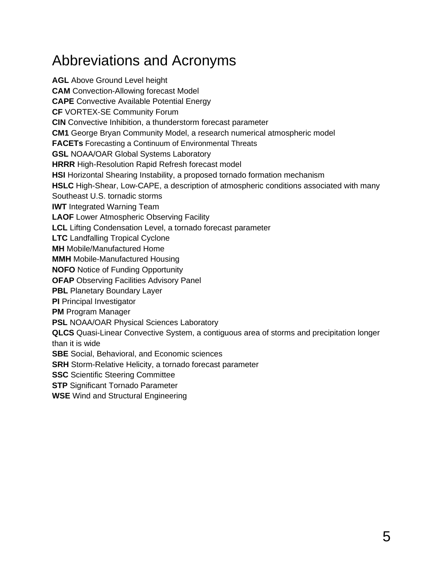# Abbreviations and Acronyms

**AGL** Above Ground Level height **CAM** Convection-Allowing forecast Model **CAPE** Convective Available Potential Energy **CF** VORTEX-SE Community Forum **CIN** Convective Inhibition, a thunderstorm forecast parameter **CM1** George Bryan Community Model, a research numerical atmospheric model **FACETs** Forecasting a Continuum of Environmental Threats **GSL** NOAA/OAR Global Systems Laboratory **HRRR** High-Resolution Rapid Refresh forecast model **HSI** Horizontal Shearing Instability, a proposed tornado formation mechanism **HSLC** High-Shear, Low-CAPE, a description of atmospheric conditions associated with many Southeast U.S. tornadic storms **IWT** Integrated Warning Team **LAOF** Lower Atmospheric Observing Facility **LCL** Lifting Condensation Level, a tornado forecast parameter **LTC** Landfalling Tropical Cyclone **MH** Mobile/Manufactured Home **MMH** Mobile-Manufactured Housing **NOFO** Notice of Funding Opportunity **OFAP** Observing Facilities Advisory Panel **PBL** Planetary Boundary Layer **PI** Principal Investigator **PM** Program Manager **PSL NOAA/OAR Physical Sciences Laboratory QLCS** Quasi-Linear Convective System, a contiguous area of storms and precipitation longer than it is wide **SBE** Social, Behavioral, and Economic sciences **SRH** Storm-Relative Helicity, a tornado forecast parameter **SSC** Scientific Steering Committee **STP** Significant Tornado Parameter **WSE** Wind and Structural Engineering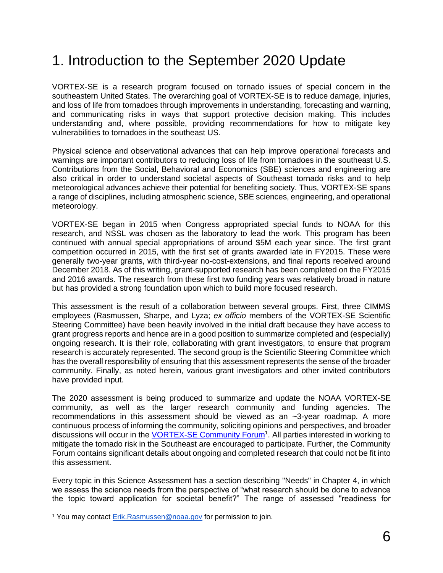# 1. Introduction to the September 2020 Update

VORTEX-SE is a research program focused on tornado issues of special concern in the southeastern United States. The overarching goal of VORTEX-SE is to reduce damage, injuries, and loss of life from tornadoes through improvements in understanding, forecasting and warning, and communicating risks in ways that support protective decision making. This includes understanding and, where possible, providing recommendations for how to mitigate key vulnerabilities to tornadoes in the southeast US.

Physical science and observational advances that can help improve operational forecasts and warnings are important contributors to reducing loss of life from tornadoes in the southeast U.S. Contributions from the Social, Behavioral and Economics (SBE) sciences and engineering are also critical in order to understand societal aspects of Southeast tornado risks and to help meteorological advances achieve their potential for benefiting society. Thus, VORTEX-SE spans a range of disciplines, including atmospheric science, SBE sciences, engineering, and operational meteorology.

VORTEX-SE began in 2015 when Congress appropriated special funds to NOAA for this research, and NSSL was chosen as the laboratory to lead the work. This program has been continued with annual special appropriations of around \$5M each year since. The first grant competition occurred in 2015, with the first set of grants awarded late in FY2015. These were generally two-year grants, with third-year no-cost-extensions, and final reports received around December 2018. As of this writing, grant-supported research has been completed on the FY2015 and 2016 awards. The research from these first two funding years was relatively broad in nature but has provided a strong foundation upon which to build more focused research.

This assessment is the result of a collaboration between several groups. First, three CIMMS employees (Rasmussen, Sharpe, and Lyza; *ex officio* members of the VORTEX-SE Scientific Steering Committee) have been heavily involved in the initial draft because they have access to grant progress reports and hence are in a good position to summarize completed and (especially) ongoing research. It is their role, collaborating with grant investigators, to ensure that program research is accurately represented. The second group is the Scientific Steering Committee which has the overall responsibility of ensuring that this assessment represents the sense of the broader community. Finally, as noted herein, various grant investigators and other invited contributors have provided input.

The 2020 assessment is being produced to summarize and update the NOAA VORTEX-SE community, as well as the larger research community and funding agencies. The recommendations in this assessment should be viewed as an ~3-year roadmap. A more continuous process of informing the community, soliciting opinions and perspectives, and broader discussions will occur in the **VORTEX-SE Community Forum**<sup>1</sup>. All parties interested in working to mitigate the tornado risk in the Southeast are encouraged to participate. Further, the Community Forum contains significant details about ongoing and completed research that could not be fit into this assessment.

Every topic in this Science Assessment has a section describing "Needs" in Chapter 4, in which we assess the science needs from the perspective of "what research should be done to advance the topic toward application for societal benefit?" The range of assessed "readiness for

<sup>&</sup>lt;sup>1</sup> You may contact [Erik.Rasmussen@noaa.gov](mailto:Erik.Rasmussen@noaa.gov) for permission to join.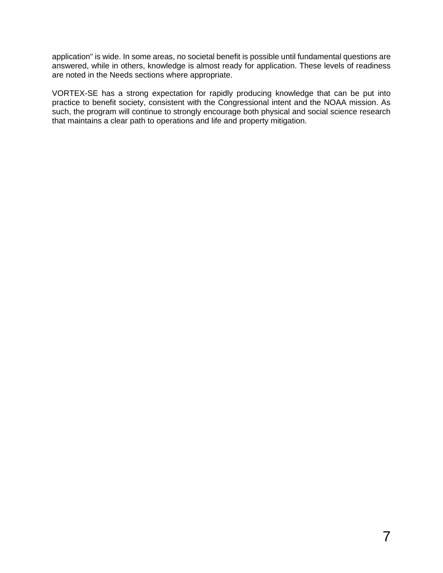application" is wide. In some areas, no societal benefit is possible until fundamental questions are answered, while in others, knowledge is almost ready for application. These levels of readiness are noted in the Needs sections where appropriate.

VORTEX-SE has a strong expectation for rapidly producing knowledge that can be put into practice to benefit society, consistent with the Congressional intent and the NOAA mission. As such, the program will continue to strongly encourage both physical and social science research that maintains a clear path to operations and life and property mitigation.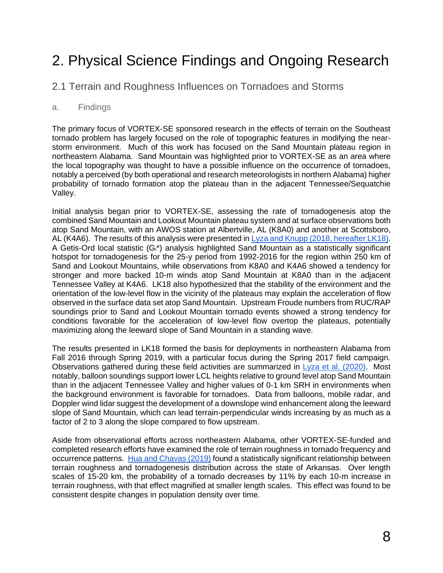# 2. Physical Science Findings and Ongoing Research

2.1 Terrain and Roughness Influences on Tornadoes and Storms

#### a. Findings

The primary focus of VORTEX-SE sponsored research in the effects of terrain on the Southeast tornado problem has largely focused on the role of topographic features in modifying the nearstorm environment. Much of this work has focused on the Sand Mountain plateau region in northeastern Alabama. Sand Mountain was highlighted prior to VORTEX-SE as an area where the local topography was thought to have a possible influence on the occurrence of tornadoes, notably a perceived (by both operational and research meteorologists in northern Alabama) higher probability of tornado formation atop the plateau than in the adjacent Tennessee/Sequatchie Valley.

Initial analysis began prior to VORTEX-SE, assessing the rate of tornadogenesis atop the combined Sand Mountain and Lookout Mountain plateau system and at surface observations both atop Sand Mountain, with an AWOS station at Albertville, AL (K8A0) and another at Scottsboro, AL (K4A6). The results of this analysis were presented i[n Lyza and Knupp \(2018, hereafter LK18\).](https://doi.org/10.1175/MWR-D-18-0300.1) A Getis-Ord local statistic (Gi\*) analysis highlighted Sand Mountain as a statistically significant hotspot for tornadogenesis for the 25-y period from 1992-2016 for the region within 250 km of Sand and Lookout Mountains, while observations from K8A0 and K4A6 showed a tendency for stronger and more backed 10-m winds atop Sand Mountain at K8A0 than in the adjacent Tennessee Valley at K4A6. LK18 also hypothesized that the stability of the environment and the orientation of the low-level flow in the vicinity of the plateaus may explain the acceleration of flow observed in the surface data set atop Sand Mountain. Upstream Froude numbers from RUC/RAP soundings prior to Sand and Lookout Mountain tornado events showed a strong tendency for conditions favorable for the acceleration of low-level flow overtop the plateaus, potentially maximizing along the leeward slope of Sand Mountain in a standing wave.

The results presented in LK18 formed the basis for deployments in northeastern Alabama from Fall 2016 through Spring 2019, with a particular focus during the Spring 2017 field campaign. Observations gathered during these field activities are summarized in [Lyza et al. \(2020\).](https://doi.org/10.1175/MWR-D-19-0190.1) Most notably, balloon soundings support lower LCL heights relative to ground level atop Sand Mountain than in the adjacent Tennessee Valley and higher values of 0-1 km SRH in environments when the background environment is favorable for tornadoes. Data from balloons, mobile radar, and Doppler wind lidar suggest the development of a downslope wind enhancement along the leeward slope of Sand Mountain, which can lead terrain-perpendicular winds increasing by as much as a factor of 2 to 3 along the slope compared to flow upstream.

Aside from observational efforts across northeastern Alabama, other VORTEX-SE-funded and completed research efforts have examined the role of terrain roughness in tornado frequency and occurrence patterns. [Hua and Chavas \(2019\)](https://doi.org/10.1175/JAMC-D-18-0224.1) found a statistically significant relationship between terrain roughness and tornadogenesis distribution across the state of Arkansas. Over length scales of 15-20 km, the probability of a tornado decreases by 11% by each 10-m increase in terrain roughness, with that effect magnified at smaller length scales. This effect was found to be consistent despite changes in population density over time.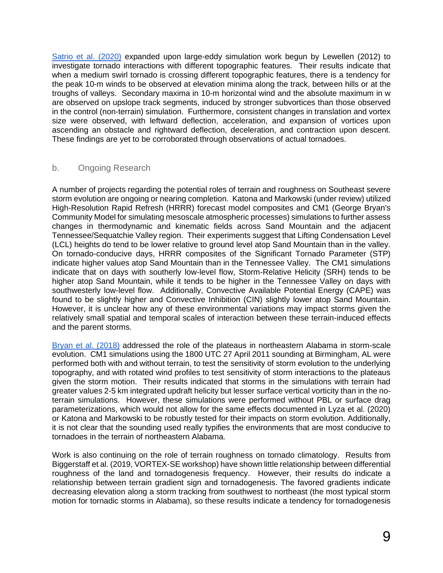[Satrio et al. \(2020\)](https://doi.org/10.1175/JAS-D-19-0321.1) expanded upon large-eddy simulation work begun by Lewellen (2012) to investigate tornado interactions with different topographic features. Their results indicate that when a medium swirl tornado is crossing different topographic features, there is a tendency for the peak 10-m winds to be observed at elevation minima along the track, between hills or at the troughs of valleys. Secondary maxima in 10-m horizontal wind and the absolute maximum in w are observed on upslope track segments, induced by stronger subvortices than those observed in the control (non-terrain) simulation. Furthermore, consistent changes in translation and vortex size were observed, with leftward deflection, acceleration, and expansion of vortices upon ascending an obstacle and rightward deflection, deceleration, and contraction upon descent. These findings are yet to be corroborated through observations of actual tornadoes.

#### b. Ongoing Research

A number of projects regarding the potential roles of terrain and roughness on Southeast severe storm evolution are ongoing or nearing completion. Katona and Markowski (under review) utilized High-Resolution Rapid Refresh (HRRR) forecast model composites and CM1 (George Bryan's Community Model for simulating mesoscale atmospheric processes) simulations to further assess changes in thermodynamic and kinematic fields across Sand Mountain and the adjacent Tennessee/Sequatchie Valley region. Their experiments suggest that Lifting Condensation Level (LCL) heights do tend to be lower relative to ground level atop Sand Mountain than in the valley. On tornado-conducive days, HRRR composites of the Significant Tornado Parameter (STP) indicate higher values atop Sand Mountain than in the Tennessee Valley. The CM1 simulations indicate that on days with southerly low-level flow, Storm-Relative Helicity (SRH) tends to be higher atop Sand Mountain, while it tends to be higher in the Tennessee Valley on days with southwesterly low-level flow. Additionally, Convective Available Potential Energy (CAPE) was found to be slightly higher and Convective Inhibition (CIN) slightly lower atop Sand Mountain. However, it is unclear how any of these environmental variations may impact storms given the relatively small spatial and temporal scales of interaction between these terrain-induced effects and the parent storms.

[Bryan et al. \(2018\)](https://ams.confex.com/ams/29SLS/webprogram/Paper348681.html) addressed the role of the plateaus in northeastern Alabama in storm-scale evolution. CM1 simulations using the 1800 UTC 27 April 2011 sounding at Birmingham, AL were performed both with and without terrain, to test the sensitivity of storm evolution to the underlying topography, and with rotated wind profiles to test sensitivity of storm interactions to the plateaus given the storm motion. Their results indicated that storms in the simulations with terrain had greater values 2-5 km integrated updraft helicity but lesser surface vertical vorticity than in the noterrain simulations. However, these simulations were performed without PBL or surface drag parameterizations, which would not allow for the same effects documented in Lyza et al. (2020) or Katona and Markowski to be robustly tested for their impacts on storm evolution. Additionally, it is not clear that the sounding used really typifies the environments that are most conducive to tornadoes in the terrain of northeastern Alabama.

Work is also continuing on the role of terrain roughness on tornado climatology. Results from Biggerstaff et al. (2019, VORTEX-SE workshop) have shown little relationship between differential roughness of the land and tornadogenesis frequency. However, their results do indicate a relationship between terrain gradient sign and tornadogenesis. The favored gradients indicate decreasing elevation along a storm tracking from southwest to northeast (the most typical storm motion for tornadic storms in Alabama), so these results indicate a tendency for tornadogenesis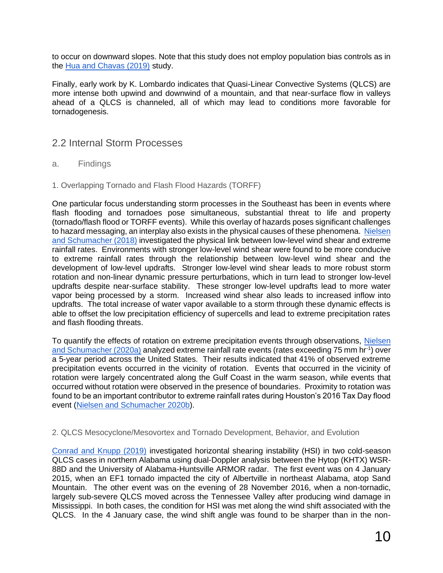to occur on downward slopes. Note that this study does not employ population bias controls as in the [Hua and Chavas \(2019\)](https://doi.org/10.1175/JAMC-D-18-0224.1) study.

Finally, early work by K. Lombardo indicates that Quasi-Linear Convective Systems (QLCS) are more intense both upwind and downwind of a mountain, and that near-surface flow in valleys ahead of a QLCS is channeled, all of which may lead to conditions more favorable for tornadogenesis.

#### 2.2 Internal Storm Processes

- a. Findings
- 1. Overlapping Tornado and Flash Flood Hazards (TORFF)

One particular focus understanding storm processes in the Southeast has been in events where flash flooding and tornadoes pose simultaneous, substantial threat to life and property (tornado/flash flood or TORFF events). While this overlay of hazards poses significant challenges to hazard messaging, an interplay also exists in the physical causes of these phenomena. [Nielsen](https://doi.org/10.1175/JAS-D-17-0385.1)  [and Schumacher \(2018\)](https://doi.org/10.1175/JAS-D-17-0385.1) investigated the physical link between low-level wind shear and extreme rainfall rates. Environments with stronger low-level wind shear were found to be more conducive to extreme rainfall rates through the relationship between low-level wind shear and the development of low-level updrafts. Stronger low-level wind shear leads to more robust storm rotation and non-linear dynamic pressure perturbations, which in turn lead to stronger low-level updrafts despite near-surface stability. These stronger low-level updrafts lead to more water vapor being processed by a storm. Increased wind shear also leads to increased inflow into updrafts. The total increase of water vapor available to a storm through these dynamic effects is able to offset the low precipitation efficiency of supercells and lead to extreme precipitation rates and flash flooding threats.

To quantify the effects of rotation on extreme precipitation events through observations, [Nielsen](https://doi.org/10.1175/MWR-D-19-0146.1)  [and Schumacher \(2020a\)](https://doi.org/10.1175/MWR-D-19-0146.1) analyzed extreme rainfall rate events (rates exceeding 75 mm hr<sup>-1</sup>) over a 5-year period across the United States. Their results indicated that 41% of observed extreme precipitation events occurred in the vicinity of rotation. Events that occurred in the vicinity of rotation were largely concentrated along the Gulf Coast in the warm season, while events that occurred without rotation were observed in the presence of boundaries. Proximity to rotation was found to be an important contributor to extreme rainfall rates during Houston's 2016 Tax Day flood event [\(Nielsen and Schumacher 2020b\)](https://doi.org/10.1175/MWR-D-19-0206.1).

2. QLCS Mesocyclone/Mesovortex and Tornado Development, Behavior, and Evolution

[Conrad and Knupp \(2019\)](https://doi.org/10.1175/MWR-D-18-0257.1) investigated horizontal shearing instability (HSI) in two cold-season QLCS cases in northern Alabama using dual-Doppler analysis between the Hytop (KHTX) WSR-88D and the University of Alabama-Huntsville ARMOR radar. The first event was on 4 January 2015, when an EF1 tornado impacted the city of Albertville in northeast Alabama, atop Sand Mountain. The other event was on the evening of 28 November 2016, when a non-tornadic, largely sub-severe QLCS moved across the Tennessee Valley after producing wind damage in Mississippi. In both cases, the condition for HSI was met along the wind shift associated with the QLCS. In the 4 January case, the wind shift angle was found to be sharper than in the non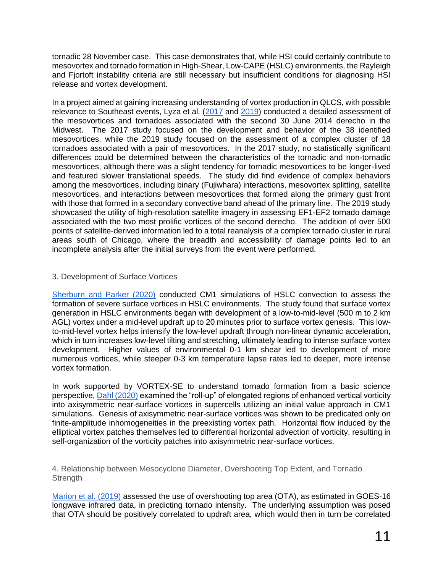tornadic 28 November case. This case demonstrates that, while HSI could certainly contribute to mesovortex and tornado formation in High-Shear, Low-CAPE (HSLC) environments, the Rayleigh and Fjortoft instability criteria are still necessary but insufficient conditions for diagnosing HSI release and vortex development.

In a project aimed at gaining increasing understanding of vortex production in QLCS, with possible relevance to Southeast events, Lyza et al. [\(2017](https://ejssm.org/ojs/index.php/ejssm/article/view/162/111) and [2019\)](https://ejssm.org/ojs/index.php/ejssm/article/view/170/120) conducted a detailed assessment of the mesovortices and tornadoes associated with the second 30 June 2014 derecho in the Midwest. The 2017 study focused on the development and behavior of the 38 identified mesovortices, while the 2019 study focused on the assessment of a complex cluster of 18 tornadoes associated with a pair of mesovortices. In the 2017 study, no statistically significant differences could be determined between the characteristics of the tornadic and non-tornadic mesovortices, although there was a slight tendency for tornadic mesovortices to be longer-lived and featured slower translational speeds. The study did find evidence of complex behaviors among the mesovortices, including binary (Fujiwhara) interactions, mesovortex splitting, satellite mesovortices, and interactions between mesovortices that formed along the primary gust front with those that formed in a secondary convective band ahead of the primary line. The 2019 study showcased the utility of high-resolution satellite imagery in assessing EF1-EF2 tornado damage associated with the two most prolific vortices of the second derecho. The addition of over 500 points of satellite-derived information led to a total reanalysis of a complex tornado cluster in rural areas south of Chicago, where the breadth and accessibility of damage points led to an incomplete analysis after the initial surveys from the event were performed.

#### 3. Development of Surface Vortices

[Sherburn and Parker \(2020\)](https://doi.org/10.1175/MWR-D-18-0246.1) conducted CM1 simulations of HSLC convection to assess the formation of severe surface vortices in HSLC environments. The study found that surface vortex generation in HSLC environments began with development of a low-to-mid-level (500 m to 2 km AGL) vortex under a mid-level updraft up to 20 minutes prior to surface vortex genesis. This lowto-mid-level vortex helps intensify the low-level updraft through non-linear dynamic acceleration, which in turn increases low-level tilting and stretching, ultimately leading to intense surface vortex development. Higher values of environmental 0-1 km shear led to development of more numerous vortices, while steeper 0-3 km temperature lapse rates led to deeper, more intense vortex formation.

In work supported by VORTEX-SE to understand tornado formation from a basic science perspective, [Dahl \(2020\)](https://doi.org/10.1175/MWR-D-20-0080.1) examined the "roll-up" of elongated regions of enhanced vertical vorticity into axisymmetric near-surface vortices in supercells utilizing an initial value approach in CM1 simulations. Genesis of axisymmetric near-surface vortices was shown to be predicated only on finite-amplitude inhomogeneities in the preexisting vortex path. Horizontal flow induced by the elliptical vortex patches themselves led to differential horizontal advection of vorticity, resulting in self-organization of the vorticity patches into axisymmetric near-surface vortices.

4. Relationship between Mesocyclone Diameter, Overshooting Top Extent, and Tornado **Strength** 

[Marion et al. \(2019\)](https://doi.org/10.1029/2019GL084099) assessed the use of overshooting top area (OTA), as estimated in GOES-16 longwave infrared data, in predicting tornado intensity. The underlying assumption was posed that OTA should be positively correlated to updraft area, which would then in turn be correlated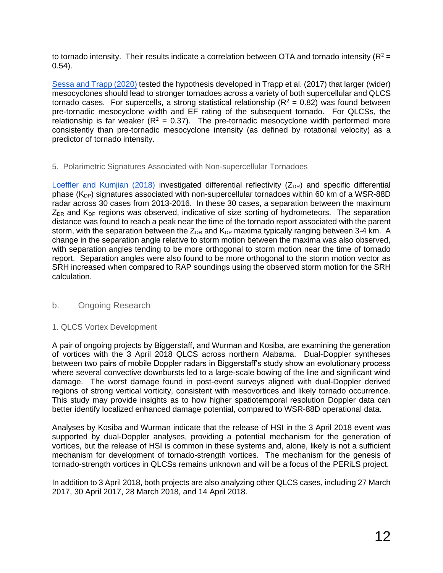to tornado intensity. Their results indicate a correlation between OTA and tornado intensity ( $R^2$  = 0.54).

[Sessa and Trapp \(2020\)](https://doi.org/10.1175/WAF-D-19-0099.1) tested the hypothesis developed in Trapp et al. (2017) that larger (wider) mesocyclones should lead to stronger tornadoes across a variety of both supercellular and QLCS tornado cases. For supercells, a strong statistical relationship  $(R^2 = 0.82)$  was found between pre-tornadic mesocyclone width and EF rating of the subsequent tornado. For QLCSs, the relationship is far weaker ( $R^2 = 0.37$ ). The pre-tornadic mesocyclone width performed more consistently than pre-tornadic mesocyclone intensity (as defined by rotational velocity) as a predictor of tornado intensity.

#### 5. Polarimetric Signatures Associated with Non-supercellular Tornadoes

[Loeffler and Kumjian \(2018\)](https://doi.org/10.1175/WAF-D-18-0011.1) investigated differential reflectivity  $(Z_{DR})$  and specific differential phase  $(K_{DP})$  signatures associated with non-supercellular tornadoes within 60 km of a WSR-88D radar across 30 cases from 2013-2016. In these 30 cases, a separation between the maximum  $Z_{DR}$  and  $K_{DP}$  regions was observed, indicative of size sorting of hydrometeors. The separation distance was found to reach a peak near the time of the tornado report associated with the parent storm, with the separation between the  $Z_{DR}$  and  $K_{DP}$  maxima typically ranging between 3-4 km. A change in the separation angle relative to storm motion between the maxima was also observed, with separation angles tending to be more orthogonal to storm motion near the time of tornado report. Separation angles were also found to be more orthogonal to the storm motion vector as SRH increased when compared to RAP soundings using the observed storm motion for the SRH calculation.

#### b. Ongoing Research

#### 1. QLCS Vortex Development

A pair of ongoing projects by Biggerstaff, and Wurman and Kosiba, are examining the generation of vortices with the 3 April 2018 QLCS across northern Alabama. Dual-Doppler syntheses between two pairs of mobile Doppler radars in Biggerstaff's study show an evolutionary process where several convective downbursts led to a large-scale bowing of the line and significant wind damage. The worst damage found in post-event surveys aligned with dual-Doppler derived regions of strong vertical vorticity, consistent with mesovortices and likely tornado occurrence. This study may provide insights as to how higher spatiotemporal resolution Doppler data can better identify localized enhanced damage potential, compared to WSR-88D operational data.

Analyses by Kosiba and Wurman indicate that the release of HSI in the 3 April 2018 event was supported by dual-Doppler analyses, providing a potential mechanism for the generation of vortices, but the release of HSI is common in these systems and, alone, likely is not a sufficient mechanism for development of tornado-strength vortices. The mechanism for the genesis of tornado-strength vortices in QLCSs remains unknown and will be a focus of the PERiLS project.

In addition to 3 April 2018, both projects are also analyzing other QLCS cases, including 27 March 2017, 30 April 2017, 28 March 2018, and 14 April 2018.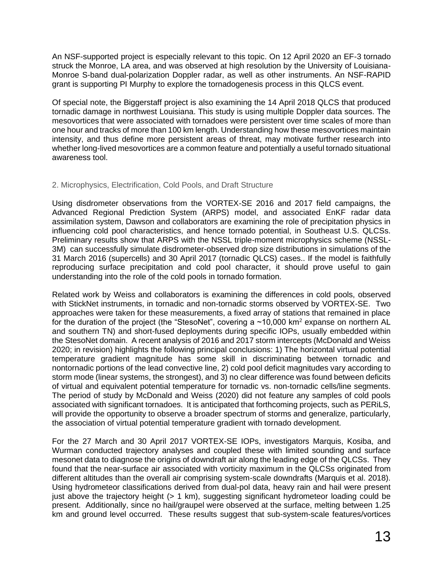An NSF-supported project is especially relevant to this topic. On 12 April 2020 an EF-3 tornado struck the Monroe, LA area, and was observed at high resolution by the University of Louisiana-Monroe S-band dual-polarization Doppler radar, as well as other instruments. An NSF-RAPID grant is supporting PI Murphy to explore the tornadogenesis process in this QLCS event.

Of special note, the Biggerstaff project is also examining the 14 April 2018 QLCS that produced tornadic damage in northwest Louisiana. This study is using multiple Doppler data sources. The mesovortices that were associated with tornadoes were persistent over time scales of more than one hour and tracks of more than 100 km length. Understanding how these mesovortices maintain intensity, and thus define more persistent areas of threat, may motivate further research into whether long-lived mesovortices are a common feature and potentially a useful tornado situational awareness tool.

#### 2. Microphysics, Electrification, Cold Pools, and Draft Structure

Using disdrometer observations from the VORTEX-SE 2016 and 2017 field campaigns, the Advanced Regional Prediction System (ARPS) model, and associated EnKF radar data assimilation system, Dawson and collaborators are examining the role of precipitation physics in influencing cold pool characteristics, and hence tornado potential, in Southeast U.S. QLCSs. Preliminary results show that ARPS with the NSSL triple-moment microphysics scheme (NSSL-3M) can successfully simulate disdrometer-observed drop size distributions in simulations of the 31 March 2016 (supercells) and 30 April 2017 (tornadic QLCS) cases.. If the model is faithfully reproducing surface precipitation and cold pool character, it should prove useful to gain understanding into the role of the cold pools in tornado formation.

Related work by Weiss and collaborators is examining the differences in cold pools, observed with StickNet instruments, in tornadic and non-tornadic storms observed by VORTEX-SE. Two approaches were taken for these measurements, a fixed array of stations that remained in place for the duration of the project (the "StesoNet", covering a  $\sim$ 10,000 km<sup>2</sup> expanse on northern AL and southern TN) and short-fused deployments during specific IOPs, usually embedded within the StesoNet domain. A recent analysis of 2016 and 2017 storm intercepts (McDonald and Weiss 2020; in revision) highlights the following principal conclusions: 1) The horizontal virtual potential temperature gradient magnitude has some skill in discriminating between tornadic and nontornadic portions of the lead convective line, 2) cold pool deficit magnitudes vary according to storm mode (linear systems, the strongest), and 3) no clear difference was found between deficits of virtual and equivalent potential temperature for tornadic vs. non-tornadic cells/line segments. The period of study by McDonald and Weiss (2020) did not feature any samples of cold pools associated with significant tornadoes. It is anticipated that forthcoming projects, such as PERiLS, will provide the opportunity to observe a broader spectrum of storms and generalize, particularly, the association of virtual potential temperature gradient with tornado development.

For the 27 March and 30 April 2017 VORTEX-SE IOPs, investigators Marquis, Kosiba, and Wurman conducted trajectory analyses and coupled these with limited sounding and surface mesonet data to diagnose the origins of downdraft air along the leading edge of the QLCSs. They found that the near-surface air associated with vorticity maximum in the QLCSs originated from different altitudes than the overall air comprising system-scale downdrafts (Marquis et al. 2018). Using hydrometeor classifications derived from dual-pol data, heavy rain and hail were present just above the trajectory height  $(> 1 \text{ km})$ , suggesting significant hydrometeor loading could be present. Additionally, since no hail/graupel were observed at the surface, melting between 1.25 km and ground level occurred. These results suggest that sub-system-scale features/vortices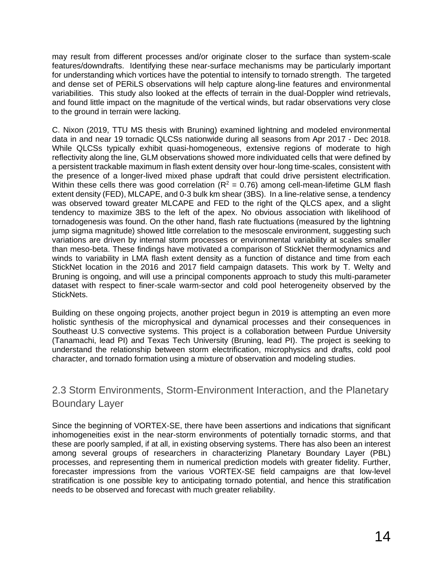may result from different processes and/or originate closer to the surface than system-scale features/downdrafts. Identifying these near-surface mechanisms may be particularly important for understanding which vortices have the potential to intensify to tornado strength. The targeted and dense set of PERiLS observations will help capture along-line features and environmental variabilities. This study also looked at the effects of terrain in the dual-Doppler wind retrievals, and found little impact on the magnitude of the vertical winds, but radar observations very close to the ground in terrain were lacking.

C. Nixon (2019, TTU MS thesis with Bruning) examined lightning and modeled environmental data in and near 19 tornadic QLCSs nationwide during all seasons from Apr 2017 - Dec 2018. While QLCSs typically exhibit quasi-homogeneous, extensive regions of moderate to high reflectivity along the line, GLM observations showed more individuated cells that were defined by a persistent trackable maximum in flash extent density over hour-long time-scales, consistent with the presence of a longer-lived mixed phase updraft that could drive persistent electrification. Within these cells there was good correlation ( $R^2 = 0.76$ ) among cell-mean-lifetime GLM flash extent density (FED), MLCAPE, and 0-3 bulk km shear (3BS). In a line-relative sense, a tendency was observed toward greater MLCAPE and FED to the right of the QLCS apex, and a slight tendency to maximize 3BS to the left of the apex. No obvious association with likelihood of tornadogenesis was found. On the other hand, flash rate fluctuations (measured by the lightning jump sigma magnitude) showed little correlation to the mesoscale environment, suggesting such variations are driven by internal storm processes or environmental variability at scales smaller than meso-beta. These findings have motivated a comparison of StickNet thermodynamics and winds to variability in LMA flash extent density as a function of distance and time from each StickNet location in the 2016 and 2017 field campaign datasets. This work by T. Welty and Bruning is ongoing, and will use a principal components approach to study this multi-parameter dataset with respect to finer-scale warm-sector and cold pool heterogeneity observed by the StickNets.

Building on these ongoing projects, another project begun in 2019 is attempting an even more holistic synthesis of the microphysical and dynamical processes and their consequences in Southeast U.S convective systems. This project is a collaboration between Purdue University (Tanamachi, lead PI) and Texas Tech University (Bruning, lead PI). The project is seeking to understand the relationship between storm electrification, microphysics and drafts, cold pool character, and tornado formation using a mixture of observation and modeling studies.

# 2.3 Storm Environments, Storm-Environment Interaction, and the Planetary Boundary Layer

Since the beginning of VORTEX-SE, there have been assertions and indications that significant inhomogeneities exist in the near-storm environments of potentially tornadic storms, and that these are poorly sampled, if at all, in existing observing systems. There has also been an interest among several groups of researchers in characterizing Planetary Boundary Layer (PBL) processes, and representing them in numerical prediction models with greater fidelity. Further, forecaster impressions from the various VORTEX-SE field campaigns are that low-level stratification is one possible key to anticipating tornado potential, and hence this stratification needs to be observed and forecast with much greater reliability.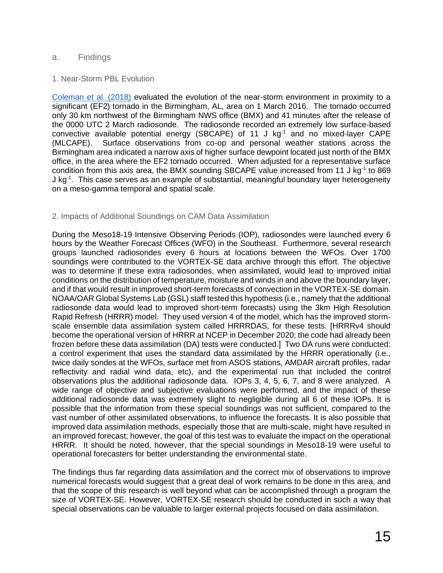#### a. Findings

#### 1. Near-Storm PBL Evolution

[Coleman et al. \(2018\)](https://ejssm.org/ojs/index.php/ejssm/article/view/165/115) evaluated the evolution of the near-storm environment in proximity to a significant (EF2) tornado in the Birmingham, AL, area on 1 March 2016. The tornado occurred only 30 km northwest of the Birmingham NWS office (BMX) and 41 minutes after the release of the 0000 UTC 2 March radiosonde. The radiosonde recorded an extremely low surface-based convective available potential energy (SBCAPE) of 11 J kg<sup>-1</sup> and no mixed-layer CAPE (MLCAPE). Surface observations from co-op and personal weather stations across the Birmingham area indicated a narrow axis of higher surface dewpoint located just north of the BMX office, in the area where the EF2 tornado occurred. When adjusted for a representative surface condition from this axis area, the BMX sounding SBCAPE value increased from 11 J kg<sup>-1</sup> to 869 J kg<sup>-1</sup>. This case serves as an example of substantial, meaningful boundary layer heterogeneity on a meso-gamma temporal and spatial scale.

#### 2. Impacts of Additional Soundings on CAM Data Assimilation

During the Meso18-19 Intensive Observing Periods (IOP), radiosondes were launched every 6 hours by the Weather Forecast Offices (WFO) in the Southeast. Furthermore, several research groups launched radiosondes every 6 hours at locations between the WFOs. Over 1700 soundings were contributed to the VORTEX-SE data archive through this effort. The objective was to determine if these extra radiosondes, when assimilated, would lead to improved initial conditions on the distribution of temperature, moisture and winds in and above the boundary layer, and if that would result in improved short-term forecasts of convection in the VORTEX-SE domain. NOAA/OAR Global Systems Lab (GSL) staff tested this hypothesis (i.e., namely that the additional radiosonde data would lead to improved short-term forecasts) using the 3km High Resolution Rapid Refresh (HRRR) model. They used version 4 of the model, which has the improved stormscale ensemble data assimilation system called HRRRDAS, for these tests. [HRRRv4 should become the operational version of HRRR at NCEP in December 2020; the code had already been frozen before these data assimilation (DA) tests were conducted.] Two DA runs were conducted: a control experiment that uses the standard data assimilated by the HRRR operationally (i.e., twice daily sondes at the WFOs, surface met from ASOS stations, AMDAR aircraft profiles, radar reflectivity and radial wind data, etc), and the experimental run that included the control observations plus the additional radiosonde data. IOPs 3, 4, 5, 6, 7, and 8 were analyzed. A wide range of objective and subjective evaluations were performed, and the impact of these additional radiosonde data was extremely slight to negligible during all 6 of these IOPs. It is possible that the information from these special soundings was not sufficient, compared to the vast number of other assimilated observations, to influence the forecasts. It is also possible that improved data assimilation methods, especially those that are multi-scale, might have resulted in an improved forecast; however, the goal of this test was to evaluate the impact on the operational HRRR. It should be noted, however, that the special soundings in Meso18-19 were useful to operational forecasters for better understanding the environmental state.

The findings thus far regarding data assimilation and the correct mix of observations to improve numerical forecasts would suggest that a great deal of work remains to be done in this area, and that the scope of this research is well beyond what can be accomplished through a program the size of VORTEX-SE. However, VORTEX-SE research should be conducted in such a way that special observations can be valuable to larger external projects focused on data assimilation.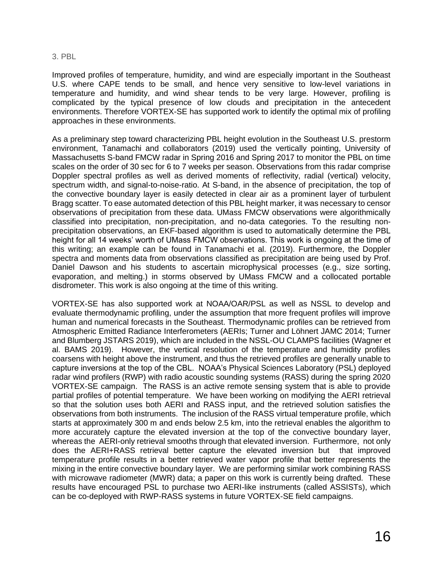#### 3. PBL

Improved profiles of temperature, humidity, and wind are especially important in the Southeast U.S. where CAPE tends to be small, and hence very sensitive to low-level variations in temperature and humidity, and wind shear tends to be very large. However, profiling is complicated by the typical presence of low clouds and precipitation in the antecedent environments. Therefore VORTEX-SE has supported work to identify the optimal mix of profiling approaches in these environments.

As a preliminary step toward characterizing PBL height evolution in the Southeast U.S. prestorm environment, Tanamachi and collaborators (2019) used the vertically pointing, University of Massachusetts S-band FMCW radar in Spring 2016 and Spring 2017 to monitor the PBL on time scales on the order of 30 sec for 6 to 7 weeks per season. Observations from this radar comprise Doppler spectral profiles as well as derived moments of reflectivity, radial (vertical) velocity, spectrum width, and signal-to-noise-ratio. At S-band, in the absence of precipitation, the top of the convective boundary layer is easily detected in clear air as a prominent layer of turbulent Bragg scatter. To ease automated detection of this PBL height marker, it was necessary to censor observations of precipitation from these data. UMass FMCW observations were algorithmically classified into precipitation, non-precipitation, and no-data categories. To the resulting nonprecipitation observations, an EKF-based algorithm is used to automatically determine the PBL height for all 14 weeks' worth of UMass FMCW observations. This work is ongoing at the time of this writing; an example can be found in Tanamachi et al. (2019). Furthermore, the Doppler spectra and moments data from observations classified as precipitation are being used by Prof. Daniel Dawson and his students to ascertain microphysical processes (e.g., size sorting, evaporation, and melting.) in storms observed by UMass FMCW and a collocated portable disdrometer. This work is also ongoing at the time of this writing.

VORTEX-SE has also supported work at NOAA/OAR/PSL as well as NSSL to develop and evaluate thermodynamic profiling, under the assumption that more frequent profiles will improve human and numerical forecasts in the Southeast. Thermodynamic profiles can be retrieved from Atmospheric Emitted Radiance Interferometers (AERIs; Turner and Löhnert JAMC 2014; Turner and Blumberg JSTARS 2019), which are included in the NSSL-OU CLAMPS facilities (Wagner et al. BAMS 2019). However, the vertical resolution of the temperature and humidity profiles coarsens with height above the instrument, and thus the retrieved profiles are generally unable to capture inversions at the top of the CBL. NOAA's Physical Sciences Laboratory (PSL) deployed radar wind profilers (RWP) with radio acoustic sounding systems (RASS) during the spring 2020 VORTEX-SE campaign. The RASS is an active remote sensing system that is able to provide partial profiles of potential temperature. We have been working on modifying the AERI retrieval so that the solution uses both AERI and RASS input, and the retrieved solution satisfies the observations from both instruments. The inclusion of the RASS virtual temperature profile, which starts at approximately 300 m and ends below 2.5 km, into the retrieval enables the algorithm to more accurately capture the elevated inversion at the top of the convective boundary layer, whereas the AERI-only retrieval smooths through that elevated inversion. Furthermore, not only does the AERI+RASS retrieval better capture the elevated inversion but that improved temperature profile results in a better retrieved water vapor profile that better represents the mixing in the entire convective boundary layer. We are performing similar work combining RASS with microwave radiometer (MWR) data; a paper on this work is currently being drafted. These results have encouraged PSL to purchase two AERI-like instruments (called ASSISTs), which can be co-deployed with RWP-RASS systems in future VORTEX-SE field campaigns.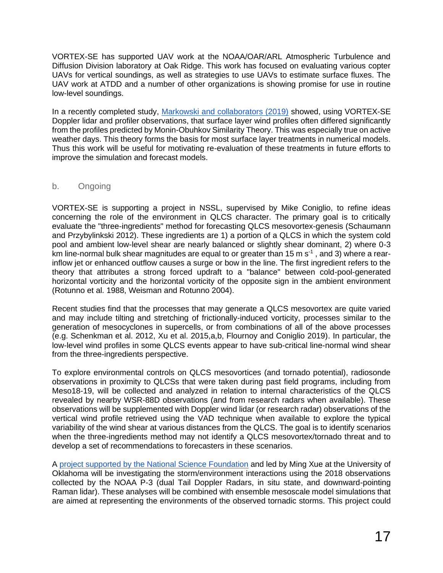VORTEX-SE has supported UAV work at the NOAA/OAR/ARL Atmospheric Turbulence and Diffusion Division laboratory at Oak Ridge. This work has focused on evaluating various copter UAVs for vertical soundings, as well as strategies to use UAVs to estimate surface fluxes. The UAV work at ATDD and a number of other organizations is showing promise for use in routine low-level soundings.

In a recently completed study, [Markowski and collaborators \(2019\)](https://doi.org/10.1175/MWR-D-19-0091.1) showed, using VORTEX-SE Doppler lidar and profiler observations, that surface layer wind profiles often differed significantly from the profiles predicted by Monin-Obuhkov Similarity Theory. This was especially true on active weather days. This theory forms the basis for most surface layer treatments in numerical models. Thus this work will be useful for motivating re-evaluation of these treatments in future efforts to improve the simulation and forecast models.

#### b. Ongoing

VORTEX-SE is supporting a project in NSSL, supervised by Mike Coniglio, to refine ideas concerning the role of the environment in QLCS character. The primary goal is to critically evaluate the "three-ingredients" method for forecasting QLCS mesovortex-genesis (Schaumann and Przybylinkski 2012). These ingredients are 1) a portion of a QLCS in which the system cold pool and ambient low-level shear are nearly balanced or slightly shear dominant, 2) where 0-3 km line-normal bulk shear magnitudes are equal to or greater than 15 m s<sup>-1</sup>, and 3) where a rearinflow jet or enhanced outflow causes a surge or bow in the line. The first ingredient refers to the theory that attributes a strong forced updraft to a "balance" between cold-pool-generated horizontal vorticity and the horizontal vorticity of the opposite sign in the ambient environment (Rotunno et al. 1988, Weisman and Rotunno 2004).

Recent studies find that the processes that may generate a QLCS mesovortex are quite varied and may include tilting and stretching of frictionally-induced vorticity, processes similar to the generation of mesocyclones in supercells, or from combinations of all of the above processes (e.g. Schenkman et al. 2012, Xu et al. 2015,a,b, Flournoy and Coniglio 2019). In particular, the low-level wind profiles in some QLCS events appear to have sub-critical line-normal wind shear from the three-ingredients perspective.

To explore environmental controls on QLCS mesovortices (and tornado potential), radiosonde observations in proximity to QLCSs that were taken during past field programs, including from Meso18-19, will be collected and analyzed in relation to internal characteristics of the QLCS revealed by nearby WSR-88D observations (and from research radars when available). These observations will be supplemented with Doppler wind lidar (or research radar) observations of the vertical wind profile retrieved using the VAD technique when available to explore the typical variability of the wind shear at various distances from the QLCS. The goal is to identify scenarios when the three-ingredients method may not identify a QLCS mesovortex/tornado threat and to develop a set of recommendations to forecasters in these scenarios.

A [project supported by the National Science Foundation](https://www.nsf.gov/awardsearch/showAward?AWD_ID=1917701&HistoricalAwards=false) and led by Ming Xue at the University of Oklahoma will be investigating the storm/environment interactions using the 2018 observations collected by the NOAA P-3 (dual Tail Doppler Radars, in situ state, and downward-pointing Raman lidar). These analyses will be combined with ensemble mesoscale model simulations that are aimed at representing the environments of the observed tornadic storms. This project could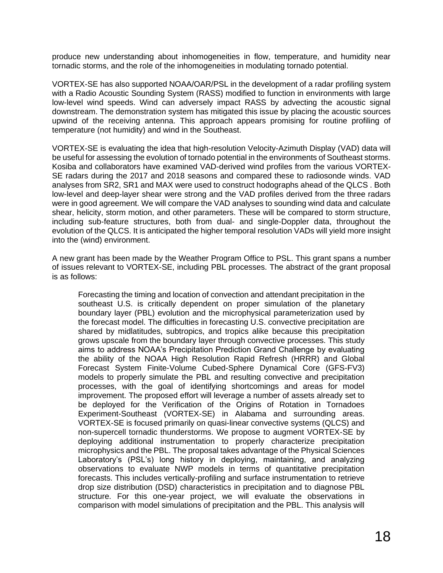produce new understanding about inhomogeneities in flow, temperature, and humidity near tornadic storms, and the role of the inhomogeneities in modulating tornado potential.

VORTEX-SE has also supported NOAA/OAR/PSL in the development of a radar profiling system with a Radio Acoustic Sounding System (RASS) modified to function in environments with large low-level wind speeds. Wind can adversely impact RASS by advecting the acoustic signal downstream. The demonstration system has mitigated this issue by placing the acoustic sources upwind of the receiving antenna. This approach appears promising for routine profiling of temperature (not humidity) and wind in the Southeast.

VORTEX-SE is evaluating the idea that high-resolution Velocity-Azimuth Display (VAD) data will be useful for assessing the evolution of tornado potential in the environments of Southeast storms. Kosiba and collaborators have examined VAD-derived wind profiles from the various VORTEX-SE radars during the 2017 and 2018 seasons and compared these to radiosonde winds. VAD analyses from SR2, SR1 and MAX were used to construct hodographs ahead of the QLCS . Both low-level and deep-layer shear were strong and the VAD profiles derived from the three radars were in good agreement. We will compare the VAD analyses to sounding wind data and calculate shear, helicity, storm motion, and other parameters. These will be compared to storm structure, including sub-feature structures, both from dual- and single-Doppler data, throughout the evolution of the QLCS. It is anticipated the higher temporal resolution VADs will yield more insight into the (wind) environment.

A new grant has been made by the Weather Program Office to PSL. This grant spans a number of issues relevant to VORTEX-SE, including PBL processes. The abstract of the grant proposal is as follows:

Forecasting the timing and location of convection and attendant precipitation in the southeast U.S. is critically dependent on proper simulation of the planetary boundary layer (PBL) evolution and the microphysical parameterization used by the forecast model. The difficulties in forecasting U.S. convective precipitation are shared by midlatitudes, subtropics, and tropics alike because this precipitation grows upscale from the boundary layer through convective processes. This study aims to address NOAA's Precipitation Prediction Grand Challenge by evaluating the ability of the NOAA High Resolution Rapid Refresh (HRRR) and Global Forecast System Finite-Volume Cubed-Sphere Dynamical Core (GFS-FV3) models to properly simulate the PBL and resulting convective and precipitation processes, with the goal of identifying shortcomings and areas for model improvement. The proposed effort will leverage a number of assets already set to be deployed for the Verification of the Origins of Rotation in Tornadoes Experiment-Southeast (VORTEX-SE) in Alabama and surrounding areas. VORTEX-SE is focused primarily on quasi-linear convective systems (QLCS) and non-supercell tornadic thunderstorms. We propose to augment VORTEX-SE by deploying additional instrumentation to properly characterize precipitation microphysics and the PBL. The proposal takes advantage of the Physical Sciences Laboratory's (PSL's) long history in deploying, maintaining, and analyzing observations to evaluate NWP models in terms of quantitative precipitation forecasts. This includes vertically-profiling and surface instrumentation to retrieve drop size distribution (DSD) characteristics in precipitation and to diagnose PBL structure. For this one-year project, we will evaluate the observations in comparison with model simulations of precipitation and the PBL. This analysis will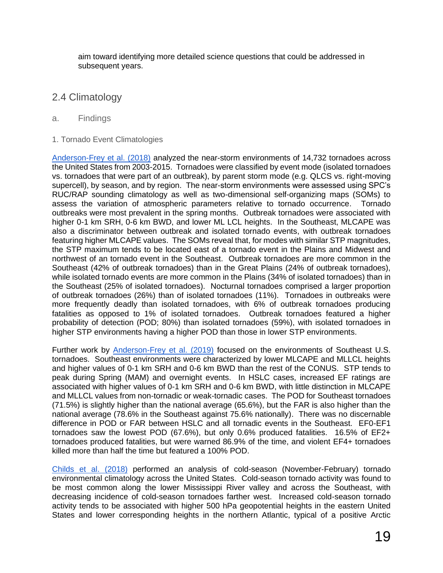aim toward identifying more detailed science questions that could be addressed in subsequent years.

## 2.4 Climatology

#### a. Findings

1. Tornado Event Climatologies

[Anderson-Frey et al. \(2018\)](https://doi.org/10.1175/WAF-D-18-0057.1) analyzed the near-storm environments of 14,732 tornadoes across the United States from 2003-2015. Tornadoes were classified by event mode (isolated tornadoes vs. tornadoes that were part of an outbreak), by parent storm mode (e.g. QLCS vs. right-moving supercell), by season, and by region. The near-storm environments were assessed using SPC's RUC/RAP sounding climatology as well as two-dimensional self-organizing maps (SOMs) to assess the variation of atmospheric parameters relative to tornado occurrence. Tornado outbreaks were most prevalent in the spring months. Outbreak tornadoes were associated with higher 0-1 km SRH, 0-6 km BWD, and lower ML LCL heights. In the Southeast, MLCAPE was also a discriminator between outbreak and isolated tornado events, with outbreak tornadoes featuring higher MLCAPE values. The SOMs reveal that, for modes with similar STP magnitudes, the STP maximum tends to be located east of a tornado event in the Plains and Midwest and northwest of an tornado event in the Southeast. Outbreak tornadoes are more common in the Southeast (42% of outbreak tornadoes) than in the Great Plains (24% of outbreak tornadoes), while isolated tornado events are more common in the Plains (34% of isolated tornadoes) than in the Southeast (25% of isolated tornadoes). Nocturnal tornadoes comprised a larger proportion of outbreak tornadoes (26%) than of isolated tornadoes (11%). Tornadoes in outbreaks were more frequently deadly than isolated tornadoes, with 6% of outbreak tornadoes producing fatalities as opposed to 1% of isolated tornadoes. Outbreak tornadoes featured a higher probability of detection (POD; 80%) than isolated tornadoes (59%), with isolated tornadoes in higher STP environments having a higher POD than those in lower STP environments.

Further work by [Anderson-Frey et al. \(2019\)](https://doi.org/10.1175/WAF-D-18-0211.1) focused on the environments of Southeast U.S. tornadoes. Southeast environments were characterized by lower MLCAPE and MLLCL heights and higher values of 0-1 km SRH and 0-6 km BWD than the rest of the CONUS. STP tends to peak during Spring (MAM) and overnight events. In HSLC cases, increased EF ratings are associated with higher values of 0-1 km SRH and 0-6 km BWD, with little distinction in MLCAPE and MLLCL values from non-tornadic or weak-tornadic cases. The POD for Southeast tornadoes (71.5%) is slightly higher than the national average (65.6%), but the FAR is also higher than the national average (78.6% in the Southeast against 75.6% nationally). There was no discernable difference in POD or FAR between HSLC and all tornadic events in the Southeast. EF0-EF1 tornadoes saw the lowest POD (67.6%), but only 0.6% produced fatalities. 16.5% of EF2+ tornadoes produced fatalities, but were warned 86.9% of the time, and violent EF4+ tornadoes killed more than half the time but featured a 100% POD.

[Childs et al. \(2018\)](https://doi.org/10.1175/WAF-D-17-0120.1) performed an analysis of cold-season (November-February) tornado environmental climatology across the United States. Cold-season tornado activity was found to be most common along the lower Mississippi River valley and across the Southeast, with decreasing incidence of cold-season tornadoes farther west. Increased cold-season tornado activity tends to be associated with higher 500 hPa geopotential heights in the eastern United States and lower corresponding heights in the northern Atlantic, typical of a positive Arctic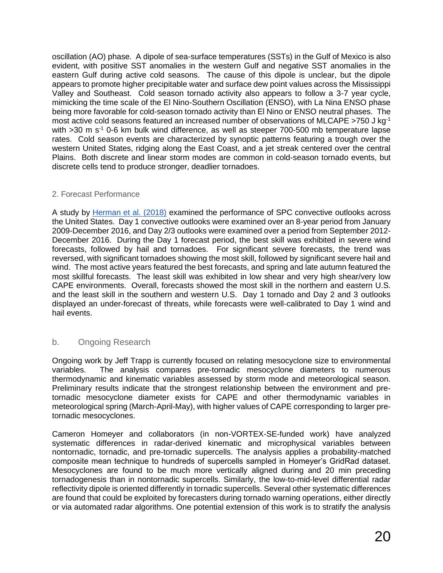oscillation (AO) phase. A dipole of sea-surface temperatures (SSTs) in the Gulf of Mexico is also evident, with positive SST anomalies in the western Gulf and negative SST anomalies in the eastern Gulf during active cold seasons. The cause of this dipole is unclear, but the dipole appears to promote higher precipitable water and surface dew point values across the Mississippi Valley and Southeast. Cold season tornado activity also appears to follow a 3-7 year cycle, mimicking the time scale of the El Nino-Southern Oscillation (ENSO), with La Nina ENSO phase being more favorable for cold-season tornado activity than El Nino or ENSO neutral phases. The most active cold seasons featured an increased number of observations of MLCAPE >750 J kg-1 with  $>$ 30 m s<sup>-1</sup> 0-6 km bulk wind difference, as well as steeper 700-500 mb temperature lapse rates. Cold season events are characterized by synoptic patterns featuring a trough over the western United States, ridging along the East Coast, and a jet streak centered over the central Plains. Both discrete and linear storm modes are common in cold-season tornado events, but discrete cells tend to produce stronger, deadlier tornadoes.

#### 2. Forecast Performance

A study by [Herman et al. \(2018\)](https://doi.org/10.1175/WAF-D-17-0104.1) examined the performance of SPC convective outlooks across the United States. Day 1 convective outlooks were examined over an 8-year period from January 2009-December 2016, and Day 2/3 outlooks were examined over a period from September 2012- December 2016. During the Day 1 forecast period, the best skill was exhibited in severe wind forecasts, followed by hail and tornadoes. For significant severe forecasts, the trend was reversed, with significant tornadoes showing the most skill, followed by significant severe hail and wind. The most active years featured the best forecasts, and spring and late autumn featured the most skillful forecasts. The least skill was exhibited in low shear and very high shear/very low CAPE environments. Overall, forecasts showed the most skill in the northern and eastern U.S. and the least skill in the southern and western U.S. Day 1 tornado and Day 2 and 3 outlooks displayed an under-forecast of threats, while forecasts were well-calibrated to Day 1 wind and hail events.

#### b. Ongoing Research

Ongoing work by Jeff Trapp is currently focused on relating mesocyclone size to environmental variables. The analysis compares pre-tornadic mesocyclone diameters to numerous thermodynamic and kinematic variables assessed by storm mode and meteorological season. Preliminary results indicate that the strongest relationship between the environment and pretornadic mesocyclone diameter exists for CAPE and other thermodynamic variables in meteorological spring (March-April-May), with higher values of CAPE corresponding to larger pretornadic mesocyclones.

Cameron Homeyer and collaborators (in non-VORTEX-SE-funded work) have analyzed systematic differences in radar-derived kinematic and microphysical variables between nontornadic, tornadic, and pre-tornadic supercells. The analysis applies a probability-matched composite mean technique to hundreds of supercells sampled in Homeyer's GridRad dataset. Mesocyclones are found to be much more vertically aligned during and 20 min preceding tornadogenesis than in nontornadic supercells. Similarly, the low-to-mid-level differential radar reflectivity dipole is oriented differently in tornadic supercells. Several other systematic differences are found that could be exploited by forecasters during tornado warning operations, either directly or via automated radar algorithms. One potential extension of this work is to stratify the analysis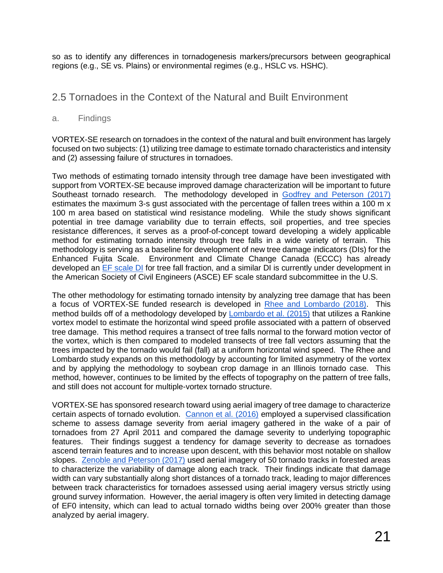so as to identify any differences in tornadogenesis markers/precursors between geographical regions (e.g., SE vs. Plains) or environmental regimes (e.g., HSLC vs. HSHC).

# 2.5 Tornadoes in the Context of the Natural and Built Environment

#### a. Findings

VORTEX-SE research on tornadoes in the context of the natural and built environment has largely focused on two subjects: (1) utilizing tree damage to estimate tornado characteristics and intensity and (2) assessing failure of structures in tornadoes.

Two methods of estimating tornado intensity through tree damage have been investigated with support from VORTEX-SE because improved damage characterization will be important to future Southeast tornado research. The methodology developed in [Godfrey and Peterson \(2017\)](https://doi.org/10.1175/WAF-D-16-0104.1) estimates the maximum 3-s gust associated with the percentage of fallen trees within a 100 m x 100 m area based on statistical wind resistance modeling. While the study shows significant potential in tree damage variability due to terrain effects, soil properties, and tree species resistance differences, it serves as a proof-of-concept toward developing a widely applicable method for estimating tornado intensity through tree falls in a wide variety of terrain. This methodology is serving as a baseline for development of new tree damage indicators (DIs) for the Enhanced Fujita Scale. Environment and Climate Change Canada (ECCC) has already developed an [EF scale DI](https://www.canada.ca/en/environment-climate-change/services/seasonal-weather-hazards/publications/enhanced-fujita-scale-damage-indicators/chapter-27.html) for tree fall fraction, and a similar DI is currently under development in the American Society of Civil Engineers (ASCE) EF scale standard subcommittee in the U.S.

The other methodology for estimating tornado intensity by analyzing tree damage that has been a focus of VORTEX-SE funded research is developed in [Rhee and Lombardo \(2018\).](https://doi.org/10.1016/j.jweia.2018.07.017) This method builds off of a methodology developed by **Lombardo et al.** (2015) that utilizes a Rankine vortex model to estimate the horizontal wind speed profile associated with a pattern of observed tree damage. This method requires a transect of tree falls normal to the forward motion vector of the vortex, which is then compared to modeled transects of tree fall vectors assuming that the trees impacted by the tornado would fail (fall) at a uniform horizontal wind speed. The Rhee and Lombardo study expands on this methodology by accounting for limited asymmetry of the vortex and by applying the methodology to soybean crop damage in an Illinois tornado case. This method, however, continues to be limited by the effects of topography on the pattern of tree falls, and still does not account for multiple-vortex tornado structure.

VORTEX-SE has sponsored research toward using aerial imagery of tree damage to characterize certain aspects of tornado evolution. [Cannon et al. \(2016\)](https://doi.org/10.1007/s10980-016-0384-8) employed a supervised classification scheme to assess damage severity from aerial imagery gathered in the wake of a pair of tornadoes from 27 April 2011 and compared the damage severity to underlying topographic features. Their findings suggest a tendency for damage severity to decrease as tornadoes ascend terrain features and to increase upon descent, with this behavior most notable on shallow slopes. [Zenoble and Peterson \(2017\)](https://ejssm.org/ojs/index.php/ejssm/article/view/158/110) used aerial imagery of 50 tornado tracks in forested areas to characterize the variability of damage along each track. Their findings indicate that damage width can vary substantially along short distances of a tornado track, leading to major differences between track characteristics for tornadoes assessed using aerial imagery versus strictly using ground survey information. However, the aerial imagery is often very limited in detecting damage of EF0 intensity, which can lead to actual tornado widths being over 200% greater than those analyzed by aerial imagery.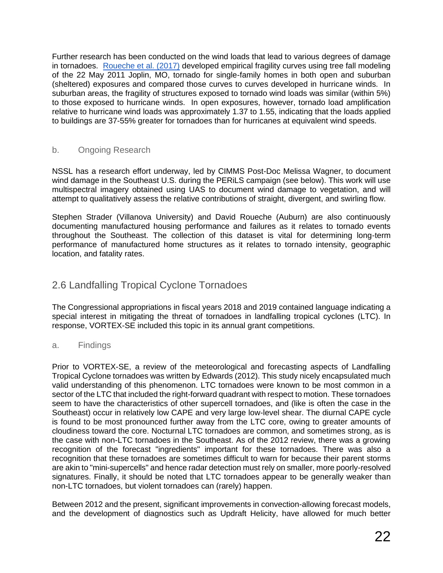Further research has been conducted on the wind loads that lead to various degrees of damage in tornadoes. [Roueche et al. \(2017\)](https://doi.org/10.1061/(ASCE)ST.1943-541X.0001854) developed empirical fragility curves using tree fall modeling of the 22 May 2011 Joplin, MO, tornado for single-family homes in both open and suburban (sheltered) exposures and compared those curves to curves developed in hurricane winds. In suburban areas, the fragility of structures exposed to tornado wind loads was similar (within 5%) to those exposed to hurricane winds. In open exposures, however, tornado load amplification relative to hurricane wind loads was approximately 1.37 to 1.55, indicating that the loads applied to buildings are 37-55% greater for tornadoes than for hurricanes at equivalent wind speeds.

#### b. Ongoing Research

NSSL has a research effort underway, led by CIMMS Post-Doc Melissa Wagner, to document wind damage in the Southeast U.S. during the PERiLS campaign (see below). This work will use multispectral imagery obtained using UAS to document wind damage to vegetation, and will attempt to qualitatively assess the relative contributions of straight, divergent, and swirling flow.

Stephen Strader (Villanova University) and David Roueche (Auburn) are also continuously documenting manufactured housing performance and failures as it relates to tornado events throughout the Southeast. The collection of this dataset is vital for determining long-term performance of manufactured home structures as it relates to tornado intensity, geographic location, and fatality rates.

# 2.6 Landfalling Tropical Cyclone Tornadoes

The Congressional appropriations in fiscal years 2018 and 2019 contained language indicating a special interest in mitigating the threat of tornadoes in landfalling tropical cyclones (LTC). In response, VORTEX-SE included this topic in its annual grant competitions.

a. Findings

Prior to VORTEX-SE, a review of the meteorological and forecasting aspects of Landfalling Tropical Cyclone tornadoes was written by Edwards (2012). This study nicely encapsulated much valid understanding of this phenomenon. LTC tornadoes were known to be most common in a sector of the LTC that included the right-forward quadrant with respect to motion. These tornadoes seem to have the characteristics of other supercell tornadoes, and (like is often the case in the Southeast) occur in relatively low CAPE and very large low-level shear. The diurnal CAPE cycle is found to be most pronounced further away from the LTC core, owing to greater amounts of cloudiness toward the core. Nocturnal LTC tornadoes are common, and sometimes strong, as is the case with non-LTC tornadoes in the Southeast. As of the 2012 review, there was a growing recognition of the forecast "ingredients" important for these tornadoes. There was also a recognition that these tornadoes are sometimes difficult to warn for because their parent storms are akin to "mini-supercells" and hence radar detection must rely on smaller, more poorly-resolved signatures. Finally, it should be noted that LTC tornadoes appear to be generally weaker than non-LTC tornadoes, but violent tornadoes can (rarely) happen.

Between 2012 and the present, significant improvements in convection-allowing forecast models, and the development of diagnostics such as Updraft Helicity, have allowed for much better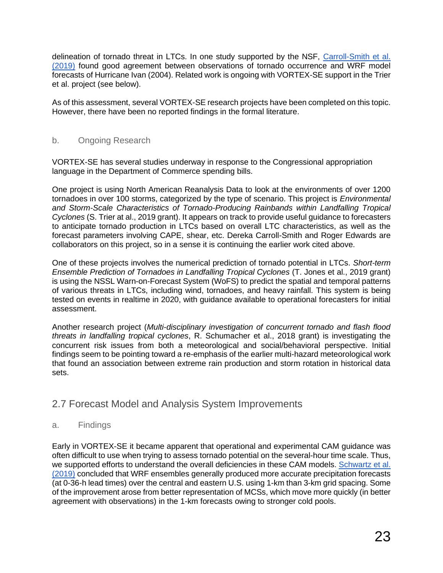delineation of tornado threat in LTCs. In one study supported by the NSF, [Carroll-Smith et al.](https://ejssm.org/ojs/index.php/ejssm/article/view/168/119)  [\(2019\)](https://ejssm.org/ojs/index.php/ejssm/article/view/168/119) found good agreement between observations of tornado occurrence and WRF model forecasts of Hurricane Ivan (2004). Related work is ongoing with VORTEX-SE support in the Trier et al. project (see below).

As of this assessment, several VORTEX-SE research projects have been completed on this topic. However, there have been no reported findings in the formal literature.

#### b. Ongoing Research

VORTEX-SE has several studies underway in response to the Congressional appropriation language in the Department of Commerce spending bills.

One project is using North American Reanalysis Data to look at the environments of over 1200 tornadoes in over 100 storms, categorized by the type of scenario. This project is *Environmental and Storm-Scale Characteristics of Tornado-Producing Rainbands within Landfalling Tropical Cyclones* (S. Trier at al., 2019 grant). It appears on track to provide useful guidance to forecasters to anticipate tornado production in LTCs based on overall LTC characteristics, as well as the forecast parameters involving CAPE, shear, etc. Dereka Carroll-Smith and Roger Edwards are collaborators on this project, so in a sense it is continuing the earlier work cited above.

One of these projects involves the numerical prediction of tornado potential in LTCs. *Short-term Ensemble Prediction of Tornadoes in Landfalling Tropical Cyclones* (T. Jones et al., 2019 grant) is using the NSSL Warn-on-Forecast System (WoFS) to predict the spatial and temporal patterns of various threats in LTCs, including wind, tornadoes, and heavy rainfall. This system is being tested on events in realtime in 2020, with guidance available to operational forecasters for initial assessment.

Another research project (*Multi-disciplinary investigation of concurrent tornado and flash flood threats in landfalling tropical cyclones*, R. Schumacher et al., 2018 grant) is investigating the concurrent risk issues from both a meteorological and social/behavioral perspective. Initial findings seem to be pointing toward a re-emphasis of the earlier multi-hazard meteorological work that found an association between extreme rain production and storm rotation in historical data sets.

### 2.7 Forecast Model and Analysis System Improvements

#### a. Findings

Early in VORTEX-SE it became apparent that operational and experimental CAM guidance was often difficult to use when trying to assess tornado potential on the several-hour time scale. Thus, we supported efforts to understand the overall deficiencies in these CAM models. Schwartz et al. [\(2019\)](https://doi.org/10.1175/MWR-D-16-0410.1) concluded that WRF ensembles generally produced more accurate precipitation forecasts (at 0-36-h lead times) over the central and eastern U.S. using 1-km than 3-km grid spacing. Some of the improvement arose from better representation of MCSs, which move more quickly (in better agreement with observations) in the 1-km forecasts owing to stronger cold pools.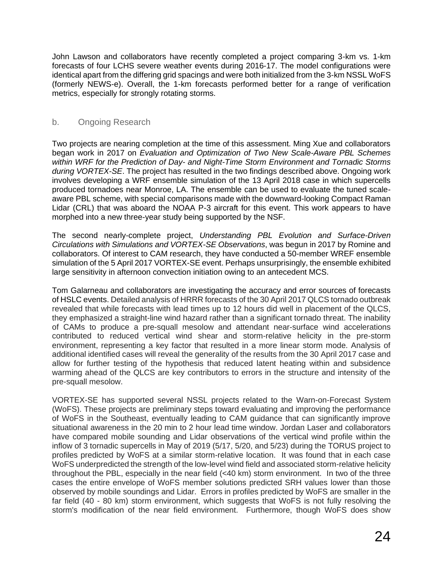John Lawson and collaborators have recently completed a project comparing 3-km vs. 1-km forecasts of four LCHS severe weather events during 2016-17. The model configurations were identical apart from the differing grid spacings and were both initialized from the 3-km NSSL WoFS (formerly NEWS-e). Overall, the 1-km forecasts performed better for a range of verification metrics, especially for strongly rotating storms.

#### b. Ongoing Research

Two projects are nearing completion at the time of this assessment. Ming Xue and collaborators began work in 2017 on *Evaluation and Optimization of Two New Scale-Aware PBL Schemes within WRF for the Prediction of Day- and Night-Time Storm Environment and Tornadic Storms during VORTEX-SE*. The project has resulted in the two findings described above. Ongoing work involves developing a WRF ensemble simulation of the 13 April 2018 case in which supercells produced tornadoes near Monroe, LA. The ensemble can be used to evaluate the tuned scaleaware PBL scheme, with special comparisons made with the downward-looking Compact Raman Lidar (CRL) that was aboard the NOAA P-3 aircraft for this event. This work appears to have morphed into a new three-year study being supported by the NSF.

The second nearly-complete project, *Understanding PBL Evolution and Surface-Driven Circulations with Simulations and VORTEX-SE Observations*, was begun in 2017 by Romine and collaborators. Of interest to CAM research, they have conducted a 50-member WREF ensemble simulation of the 5 April 2017 VORTEX-SE event. Perhaps unsurprisingly, the ensemble exhibited large sensitivity in afternoon convection initiation owing to an antecedent MCS.

Tom Galarneau and collaborators are investigating the accuracy and error sources of forecasts of HSLC events. Detailed analysis of HRRR forecasts of the 30 April 2017 QLCS tornado outbreak revealed that while forecasts with lead times up to 12 hours did well in placement of the QLCS, they emphasized a straight-line wind hazard rather than a significant tornado threat. The inability of CAMs to produce a pre-squall mesolow and attendant near-surface wind accelerations contributed to reduced vertical wind shear and storm-relative helicity in the pre-storm environment, representing a key factor that resulted in a more linear storm mode. Analysis of additional identified cases will reveal the generality of the results from the 30 April 2017 case and allow for further testing of the hypothesis that reduced latent heating within and subsidence warming ahead of the QLCS are key contributors to errors in the structure and intensity of the pre-squall mesolow.

VORTEX-SE has supported several NSSL projects related to the Warn-on-Forecast System (WoFS). These projects are preliminary steps toward evaluating and improving the performance of WoFS in the Southeast, eventually leading to CAM guidance that can significantly improve situational awareness in the 20 min to 2 hour lead time window. Jordan Laser and collaborators have compared mobile sounding and Lidar observations of the vertical wind profile within the inflow of 3 tornadic supercells in May of 2019 (5/17, 5/20, and 5/23) during the TORUS project to profiles predicted by WoFS at a similar storm-relative location. It was found that in each case WoFS underpredicted the strength of the low-level wind field and associated storm-relative helicity throughout the PBL, especially in the near field (<40 km) storm environment. In two of the three cases the entire envelope of WoFS member solutions predicted SRH values lower than those observed by mobile soundings and Lidar. Errors in profiles predicted by WoFS are smaller in the far field (40 - 80 km) storm environment, which suggests that WoFS is not fully resolving the storm's modification of the near field environment. Furthermore, though WoFS does show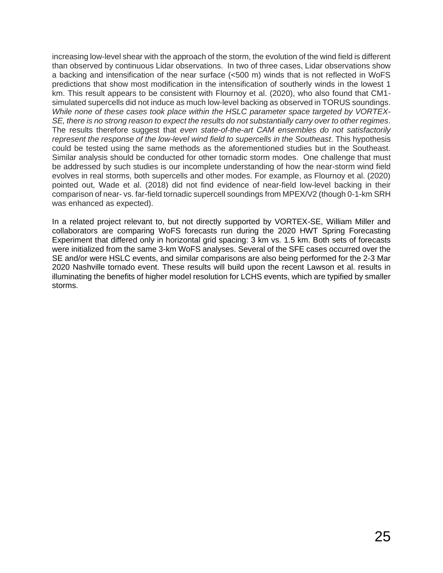increasing low-level shear with the approach of the storm, the evolution of the wind field is different than observed by continuous Lidar observations. In two of three cases, Lidar observations show a backing and intensification of the near surface (<500 m) winds that is not reflected in WoFS predictions that show most modification in the intensification of southerly winds in the lowest 1 km. This result appears to be consistent with Flournoy et al. (2020), who also found that CM1 simulated supercells did not induce as much low-level backing as observed in TORUS soundings. *While none of these cases took place within the HSLC parameter space targeted by VORTEX-SE, there is no strong reason to expect the results do not substantially carry over to other regimes*. The results therefore suggest that *even state-of-the-art CAM ensembles do not satisfactorily*  represent the response of the low-level wind field to supercells in the Southeast. This hypothesis could be tested using the same methods as the aforementioned studies but in the Southeast. Similar analysis should be conducted for other tornadic storm modes. One challenge that must be addressed by such studies is our incomplete understanding of how the near-storm wind field evolves in real storms, both supercells and other modes. For example, as Flournoy et al. (2020) pointed out, Wade et al. (2018) did not find evidence of near-field low-level backing in their comparison of near- vs. far-field tornadic supercell soundings from MPEX/V2 (though 0-1-km SRH was enhanced as expected).

In a related project relevant to, but not directly supported by VORTEX-SE, William Miller and collaborators are comparing WoFS forecasts run during the 2020 HWT Spring Forecasting Experiment that differed only in horizontal grid spacing: 3 km vs. 1.5 km. Both sets of forecasts were initialized from the same 3-km WoFS analyses. Several of the SFE cases occurred over the SE and/or were HSLC events, and similar comparisons are also being performed for the 2-3 Mar 2020 Nashville tornado event. These results will build upon the recent Lawson et al. results in illuminating the benefits of higher model resolution for LCHS events, which are typified by smaller storms.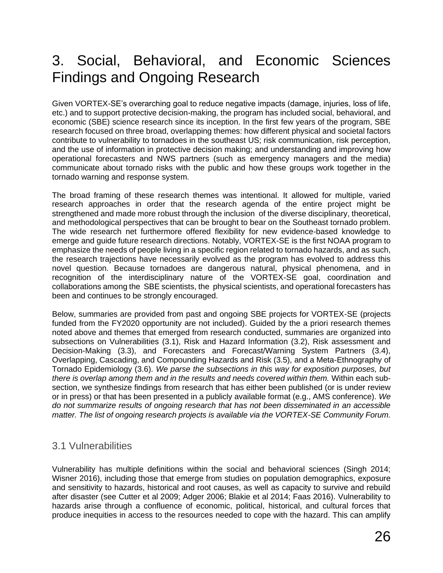# 3. Social, Behavioral, and Economic Sciences Findings and Ongoing Research

Given VORTEX-SE's overarching goal to reduce negative impacts (damage, injuries, loss of life, etc.) and to support protective decision-making, the program has included social, behavioral, and economic (SBE) science research since its inception. In the first few years of the program, SBE research focused on three broad, overlapping themes: how different physical and societal factors contribute to vulnerability to tornadoes in the southeast US; risk communication, risk perception, and the use of information in protective decision making; and understanding and improving how operational forecasters and NWS partners (such as emergency managers and the media) communicate about tornado risks with the public and how these groups work together in the tornado warning and response system.

The broad framing of these research themes was intentional. It allowed for multiple, varied research approaches in order that the research agenda of the entire project might be strengthened and made more robust through the inclusion of the diverse disciplinary, theoretical, and methodological perspectives that can be brought to bear on the Southeast tornado problem. The wide research net furthermore offered flexibility for new evidence-based knowledge to emerge and guide future research directions. Notably, VORTEX-SE is the first NOAA program to emphasize the needs of people living in a specific region related to tornado hazards, and as such, the research trajections have necessarily evolved as the program has evolved to address this novel question. Because tornadoes are dangerous natural, physical phenomena, and in recognition of the interdisciplinary nature of the VORTEX-SE goal, coordination and collaborations among the SBE scientists, the physical scientists, and operational forecasters has been and continues to be strongly encouraged.

Below, summaries are provided from past and ongoing SBE projects for VORTEX-SE (projects funded from the FY2020 opportunity are not included). Guided by the a priori research themes noted above and themes that emerged from research conducted, summaries are organized into subsections on Vulnerabilities (3.1), Risk and Hazard Information (3.2), Risk assessment and Decision-Making (3.3), and Forecasters and Forecast/Warning System Partners (3.4), Overlapping, Cascading, and Compounding Hazards and Risk (3.5), and a Meta-Ethnography of Tornado Epidemiology (3.6). *We parse the subsections in this way for exposition purposes, but there is overlap among them and in the results and needs covered within them.* Within each subsection, we synthesize findings from research that has either been published (or is under review or in press) or that has been presented in a publicly available format (e.g., AMS conference). *We do not summarize results of ongoing research that has not been disseminated in an accessible matter. The list of ongoing research projects is available via the VORTEX-SE Community Forum.*

### 3.1 Vulnerabilities

Vulnerability has multiple definitions within the social and behavioral sciences (Singh 2014; Wisner 2016), including those that emerge from studies on population demographics, exposure and sensitivity to hazards, historical and root causes, as well as capacity to survive and rebuild after disaster (see Cutter et al 2009; Adger 2006; Blakie et al 2014; Faas 2016). Vulnerability to hazards arise through a confluence of economic, political, historical, and cultural forces that produce inequities in access to the resources needed to cope with the hazard. This can amplify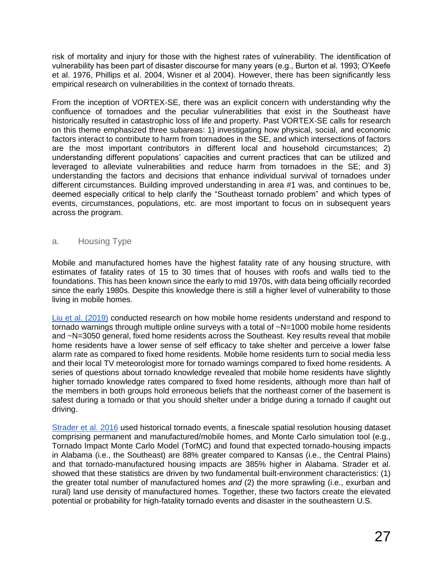risk of mortality and injury for those with the highest rates of vulnerability. The identification of vulnerability has been part of disaster discourse for many years (e.g., Burton et al. 1993; O'Keefe et al. 1976, Phillips et al. 2004, Wisner et al 2004). However, there has been significantly less empirical research on vulnerabilities in the context of tornado threats.

From the inception of VORTEX-SE, there was an explicit concern with understanding why the confluence of tornadoes and the peculiar vulnerabilities that exist in the Southeast have historically resulted in catastrophic loss of life and property. Past VORTEX-SE calls for research on this theme emphasized three subareas: 1) investigating how physical, social, and economic factors interact to contribute to harm from tornadoes in the SE, and which intersections of factors are the most important contributors in different local and household circumstances; 2) understanding different populations' capacities and current practices that can be utilized and leveraged to alleviate vulnerabilities and reduce harm from tornadoes in the SE; and 3) understanding the factors and decisions that enhance individual survival of tornadoes under different circumstances. Building improved understanding in area #1 was, and continues to be, deemed especially critical to help clarify the "Southeast tornado problem" and which types of events, circumstances, populations, etc. are most important to focus on in subsequent years across the program.

#### a. Housing Type

Mobile and manufactured homes have the highest fatality rate of any housing structure, with estimates of fatality rates of 15 to 30 times that of houses with roofs and walls tied to the foundations. This has been known since the early to mid 1970s, with data being officially recorded since the early 1980s. Despite this knowledge there is still a higher level of vulnerability to those living in mobile homes.

[Liu et al. \(2019\)](https://doi.org/10.1175/WCAS-D-17-0080.1) conducted research on how mobile home residents understand and respond to tornado warnings through multiple online surveys with a total of ~N=1000 mobile home residents and ~N=3050 general, fixed home residents across the Southeast. Key results reveal that mobile home residents have a lower sense of self efficacy to take shelter and perceive a lower false alarm rate as compared to fixed home residents. Mobile home residents turn to social media less and their local TV meteorologist more for tornado warnings compared to fixed home residents. A series of questions about tornado knowledge revealed that mobile home residents have slightly higher tornado knowledge rates compared to fixed home residents, although more than half of the members in both groups hold erroneous beliefs that the northeast corner of the basement is safest during a tornado or that you should shelter under a bridge during a tornado if caught out driving.

[Strader et al. 2016](https://doi.org/10.1002/met.1552) used historical tornado events, a finescale spatial resolution housing dataset comprising permanent and manufactured/mobile homes, and Monte Carlo simulation tool (e.g., Tornado Impact Monte Carlo Model (TorMC) and found that expected tornado-housing impacts in Alabama (i.e., the Southeast) are 88% greater compared to Kansas (i.e., the Central Plains) and that tornado-manufactured housing impacts are 385% higher in Alabama. Strader et al. showed that these statistics are driven by two fundamental built-environment characteristics: (1) the greater total number of manufactured homes *and* (2) the more sprawling (i.e., exurban and rural) land use density of manufactured homes. Together, these two factors create the elevated potential or probability for high-fatality tornado events and disaster in the southeastern U.S.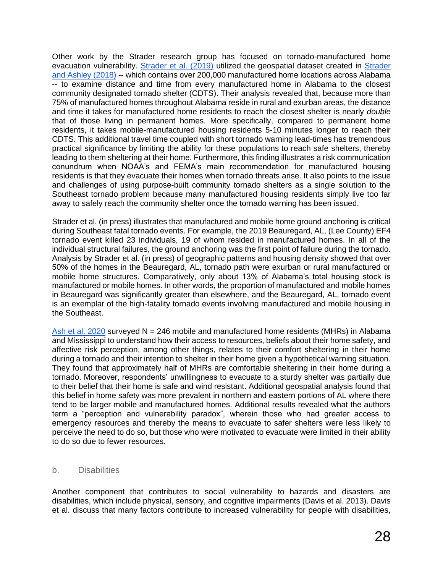Other work by the Strader research group has focused on tornado-manufactured home evacuation vulnerability. [Strader et al. \(2019\)](https://67c8b98e-0562-4cb8-85ee-be13181efb5f.filesusr.com/ugd/fc36a1_1e18549c3860443e879cff00bc1eab2c.pdf) utilized the geospatial dataset created in [Strader](https://doi.org/10.1175/WCAS-D-18-0060.1)  [and Ashley \(2018\)](https://doi.org/10.1175/WCAS-D-18-0060.1) -- which contains over 200,000 manufactured home locations across Alabama -- to examine distance and time from every manufactured home in Alabama to the closest community designated tornado shelter (CDTS). Their analysis revealed that, because more than 75% of manufactured homes throughout Alabama reside in rural and exurban areas, the distance and time it takes for manufactured home residents to reach the closest shelter is nearly *double* that of those living in permanent homes. More specifically, compared to permanent home residents, it takes mobile-manufactured housing residents 5-10 minutes longer to reach their CDTS. This additional travel time coupled with short tornado warning lead-times has tremendous practical significance by limiting the ability for these populations to reach safe shelters, thereby leading to them sheltering at their home. Furthermore, this finding illustrates a risk communication conundrum when NOAA's and FEMA's main recommendation for manufactured housing residents is that they evacuate their homes when tornado threats arise. It also points to the issue and challenges of using purpose-built community tornado shelters as a single solution to the Southeast tornado problem because many manufactured housing residents simply live too far away to safely reach the community shelter once the tornado warning has been issued.

Strader et al. (in press) illustrates that manufactured and mobile home ground anchoring is critical during Southeast fatal tornado events. For example, the 2019 Beauregard, AL, (Lee County) EF4 tornado event killed 23 individuals, 19 of whom resided in manufactured homes. In all of the individual structural failures, the ground anchoring was the first point of failure during the tornado. Analysis by Strader et al. (in press) of geographic patterns and housing density showed that over 50% of the homes in the Beauregard, AL, tornado path were exurban or rural manufactured or mobile home structures. Comparatively, only about 13% of Alabama's total housing stock is manufactured or mobile homes. In other words, the proportion of manufactured and mobile homes in Beauregard was significantly greater than elsewhere, and the Beauregard, AL, tornado event is an exemplar of the high-fatality tornado events involving manufactured and mobile housing in the Southeast.

[Ash et al. 2020](https://doi.org/10.1175/WCAS-D-19-0088.1) surveyed  $N = 246$  mobile and manufactured home residents (MHRs) in Alabama and Mississippi to understand how their access to resources, beliefs about their home safety, and affective risk perception, among other things, relates to their comfort sheltering in their home during a tornado and their intention to shelter in their home given a hypothetical warning situation. They found that approximately half of MHRs are comfortable sheltering in their home during a tornado. Moreover, respondents' unwillingness to evacuate to a sturdy shelter was partially due to their belief that their home is safe and wind resistant. Additional geospatial analysis found that this belief in home safety was more prevalent in northern and eastern portions of AL where there tend to be larger mobile and manufactured homes. Additional results revealed what the authors term a "perception and vulnerability paradox", wherein those who had greater access to emergency resources and thereby the means to evacuate to safer shelters were less likely to perceive the need to do so, but those who were motivated to evacuate were limited in their ability to do so due to fewer resources.

#### b. Disabilities

Another component that contributes to social vulnerability to hazards and disasters are disabilities, which include physical, sensory, and cognitive impairments (Davis et al. 2013). Davis et al. discuss that many factors contribute to increased vulnerability for people with disabilities,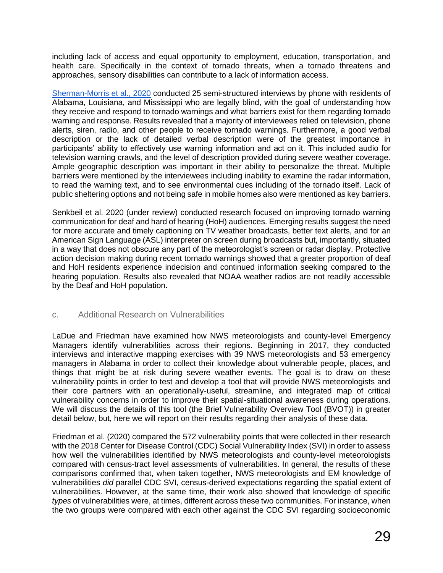including lack of access and equal opportunity to employment, education, transportation, and health care. Specifically in the context of tornado threats, when a tornado threatens and approaches, sensory disabilities can contribute to a lack of information access.

[Sherman-Morris et al., 2020](https://doi.org/10.1016/j.ijdrr.2020.101709) conducted 25 semi-structured interviews by phone with residents of Alabama, Louisiana, and Mississippi who are legally blind, with the goal of understanding how they receive and respond to tornado warnings and what barriers exist for them regarding tornado warning and response. Results revealed that a majority of interviewees relied on television, phone alerts, siren, radio, and other people to receive tornado warnings. Furthermore, a good verbal description or the lack of detailed verbal description were of the greatest importance in participants' ability to effectively use warning information and act on it. This included audio for television warning crawls, and the level of description provided during severe weather coverage. Ample geographic description was important in their ability to personalize the threat. Multiple barriers were mentioned by the interviewees including inability to examine the radar information, to read the warning text, and to see environmental cues including of the tornado itself. Lack of public sheltering options and not being safe in mobile homes also were mentioned as key barriers.

Senkbeil et al. 2020 (under review) conducted research focused on improving tornado warning communication for deaf and hard of hearing (HoH) audiences. Emerging results suggest the need for more accurate and timely captioning on TV weather broadcasts, better text alerts, and for an American Sign Language (ASL) interpreter on screen during broadcasts but, importantly, situated in a way that does not obscure any part of the meteorologist's screen or radar display. Protective action decision making during recent tornado warnings showed that a greater proportion of deaf and HoH residents experience indecision and continued information seeking compared to the hearing population. Results also revealed that NOAA weather radios are not readily accessible by the Deaf and HoH population.

#### c. Additional Research on Vulnerabilities

LaDue and Friedman have examined how NWS meteorologists and county-level Emergency Managers identify vulnerabilities across their regions. Beginning in 2017, they conducted interviews and interactive mapping exercises with 39 NWS meteorologists and 53 emergency managers in Alabama in order to collect their knowledge about vulnerable people, places, and things that might be at risk during severe weather events. The goal is to draw on these vulnerability points in order to test and develop a tool that will provide NWS meteorologists and their core partners with an operationally-useful, streamline, and integrated map of critical vulnerability concerns in order to improve their spatial-situational awareness during operations. We will discuss the details of this tool (the Brief Vulnerability Overview Tool (BVOT)) in greater detail below, but, here we will report on their results regarding their analysis of these data.

Friedman et al. (2020) compared the 572 vulnerability points that were collected in their research with the 2018 Center for Disease Control (CDC) Social Vulnerability Index (SVI) in order to assess how well the vulnerabilities identified by NWS meteorologists and county-level meteorologists compared with census-tract level assessments of vulnerabilities. In general, the results of these comparisons confirmed that, when taken together, NWS meteorologists and EM knowledge of vulnerabilities *did* parallel CDC SVI, census-derived expectations regarding the spatial extent of vulnerabilities. However, at the same time, their work also showed that knowledge of specific *types* of vulnerabilities were, at times, different across these two communities. For instance, when the two groups were compared with each other against the CDC SVI regarding socioeconomic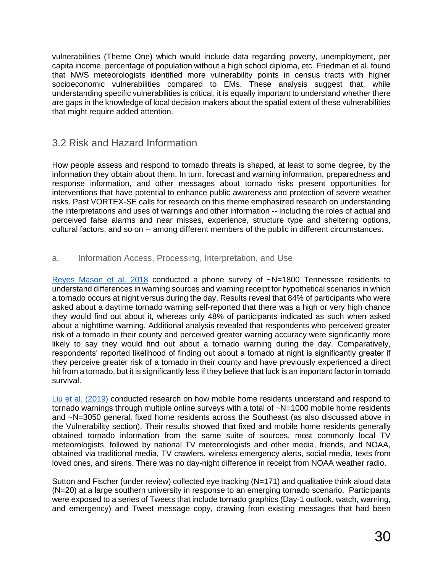vulnerabilities (Theme One) which would include data regarding poverty, unemployment, per capita income, percentage of population without a high school diploma, etc. Friedman et al. found that NWS meteorologists identified more vulnerability points in census tracts with higher socioeconomic vulnerabilities compared to EMs. These analysis suggest that, while understanding specific vulnerabilities is critical, it is equally important to understand whether there are gaps in the knowledge of local decision makers about the spatial extent of these vulnerabilities that might require added attention.

### 3.2 Risk and Hazard Information

How people assess and respond to tornado threats is shaped, at least to some degree, by the information they obtain about them. In turn, forecast and warning information, preparedness and response information, and other messages about tornado risks present opportunities for interventions that have potential to enhance public awareness and protection of severe weather risks. Past VORTEX-SE calls for research on this theme emphasized research on understanding the interpretations and uses of warnings and other information -- including the roles of actual and perceived false alarms and near misses, experience, structure type and sheltering options, cultural factors, and so on -- among different members of the public in different circumstances.

#### a. Information Access, Processing, Interpretation, and Use

[Reyes Mason et al. 2018](https://doi.org/10.1175/WCAS-D-17-0114.1) conducted a phone survey of ~N=1800 Tennessee residents to understand differences in warning sources and warning receipt for hypothetical scenarios in which a tornado occurs at night versus during the day. Results reveal that 84% of participants who were asked about a daytime tornado warning self-reported that there was a high or very high chance they would find out about it, whereas only 48% of participants indicated as such when asked about a nighttime warning. Additional analysis revealed that respondents who perceived greater risk of a tornado in their county and perceived greater warning accuracy were significantly more likely to say they would find out about a tornado warning during the day. Comparatively, respondents' reported likelihood of finding out about a tornado at night is significantly greater if they perceive greater risk of a tornado in their county and have previously experienced a direct hit from a tornado, but it is significantly less if they believe that luck is an important factor in tornado survival.

[Liu et al. \(2019\)](https://doi.org/10.1175/WCAS-D-17-0080.1) conducted research on how mobile home residents understand and respond to tornado warnings through multiple online surveys with a total of  $-N=1000$  mobile home residents and ~N=3050 general, fixed home residents across the Southeast (as also discussed above in the Vulnerability section). Their results showed that fixed and mobile home residents generally obtained tornado information from the same suite of sources, most commonly local TV meteorologists, followed by national TV meteorologists and other media, friends, and NOAA, obtained via traditional media, TV crawlers, wireless emergency alerts, social media, texts from loved ones, and sirens. There was no day-night difference in receipt from NOAA weather radio.

Sutton and Fischer (under review) collected eye tracking (N=171) and qualitative think aloud data (N=20) at a large southern university in response to an emerging tornado scenario. Participants were exposed to a series of Tweets that include tornado graphics (Day-1 outlook, watch, warning, and emergency) and Tweet message copy, drawing from existing messages that had been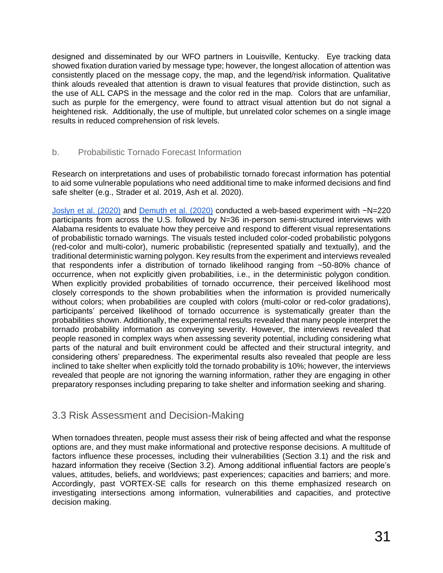designed and disseminated by our WFO partners in Louisville, Kentucky. Eye tracking data showed fixation duration varied by message type; however, the longest allocation of attention was consistently placed on the message copy, the map, and the legend/risk information. Qualitative think alouds revealed that attention is drawn to visual features that provide distinction, such as the use of ALL CAPS in the message and the color red in the map. Colors that are unfamiliar, such as purple for the emergency, were found to attract visual attention but do not signal a heightened risk. Additionally, the use of multiple, but unrelated color schemes on a single image results in reduced comprehension of risk levels.

#### b. Probabilistic Tornado Forecast Information

Research on interpretations and uses of probabilistic tornado forecast information has potential to aid some vulnerable populations who need additional time to make informed decisions and find safe shelter (e.g., Strader et al. 2019, Ash et al. 2020).

[Joslyn et al. \(2020\)](https://ams.confex.com/ams/2020Annual/videogateway.cgi/id/516061?recordingid=516061) and [Demuth et al. \(2020\)](https://ams.confex.com/ams/2020Annual/videogateway.cgi/id/516178?recordingid=516178) conducted a web-based experiment with ~N=220 participants from across the U.S. followed by N=36 in-person semi-structured interviews with Alabama residents to evaluate how they perceive and respond to different visual representations of probabilistic tornado warnings. The visuals tested included color-coded probabilistic polygons (red-color and multi-color), numeric probabilistic (represented spatially and textually), and the traditional deterministic warning polygon. Key results from the experiment and interviews revealed that respondents infer a distribution of tornado likelihood ranging from ~50-80% chance of occurrence, when not explicitly given probabilities, i.e., in the deterministic polygon condition. When explicitly provided probabilities of tornado occurrence, their perceived likelihood most closely corresponds to the shown probabilities when the information is provided numerically without colors; when probabilities are coupled with colors (multi-color or red-color gradations), participants' perceived likelihood of tornado occurrence is systematically greater than the probabilities shown. Additionally, the experimental results revealed that many people interpret the tornado probability information as conveying severity. However, the interviews revealed that people reasoned in complex ways when assessing severity potential, including considering what parts of the natural and built environment could be affected and their structural integrity, and considering others' preparedness. The experimental results also revealed that people are less inclined to take shelter when explicitly told the tornado probability is 10%; however, the interviews revealed that people are not ignoring the warning information, rather they are engaging in other preparatory responses including preparing to take shelter and information seeking and sharing.

### 3.3 Risk Assessment and Decision-Making

When tornadoes threaten, people must assess their risk of being affected and what the response options are, and they must make informational and protective response decisions. A multitude of factors influence these processes, including their vulnerabilities (Section 3.1) and the risk and hazard information they receive (Section 3.2). Among additional influential factors are people's values, attitudes, beliefs, and worldviews; past experiences; capacities and barriers; and more. Accordingly, past VORTEX-SE calls for research on this theme emphasized research on investigating intersections among information, vulnerabilities and capacities, and protective decision making.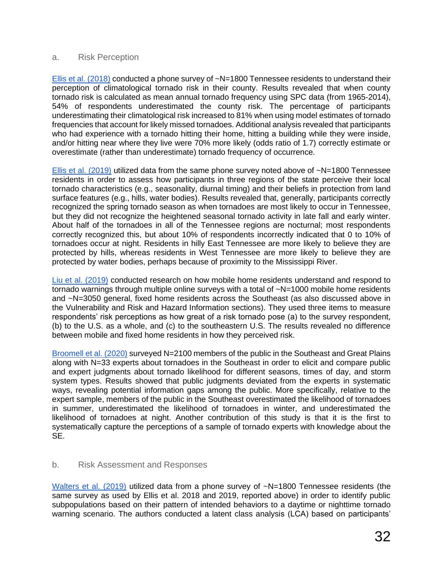#### a. Risk Perception

[Ellis et al. \(2018\)](https://doi.org/10.1007/s00484-018-1547-x) conducted a phone survey of  $-N=1800$  Tennessee residents to understand their perception of climatological tornado risk in their county. Results revealed that when county tornado risk is calculated as mean annual tornado frequency using SPC data (from 1965-2014), 54% of respondents underestimated the county risk. The percentage of participants underestimating their climatological risk increased to 81% when using model estimates of tornado frequencies that account for likely missed tornadoes. Additional analysis revealed that participants who had experience with a tornado hitting their home, hitting a building while they were inside, and/or hitting near where they live were 70% more likely (odds ratio of 1.7) correctly estimate or overestimate (rather than underestimate) tornado frequency of occurrence.

[Ellis et al. \(2019\)](https://doi.org/10.1371/journal.pone.0219897) utilized data from the same phone survey noted above of ~N=1800 Tennessee residents in order to assess how participants in three regions of the state perceive their local tornado characteristics (e.g., seasonality, diurnal timing) and their beliefs in protection from land surface features (e.g., hills, water bodies). Results revealed that, generally, participants correctly recognized the spring tornado season as when tornadoes are most likely to occur in Tennessee, but they did not recognize the heightened seasonal tornado activity in late fall and early winter. About half of the tornadoes in all of the Tennessee regions are nocturnal; most respondents correctly recognized this, but about 10% of respondents incorrectly indicated that 0 to 10% of tornadoes occur at night. Residents in hilly East Tennessee are more likely to believe they are protected by hills, whereas residents in West Tennessee are more likely to believe they are protected by water bodies, perhaps because of proximity to the Mississippi River.

[Liu et al. \(2019\)](https://doi.org/10.1175/WCAS-D-17-0080.1) conducted research on how mobile home residents understand and respond to tornado warnings through multiple online surveys with a total of ~N=1000 mobile home residents and ~N=3050 general, fixed home residents across the Southeast (as also discussed above in the Vulnerability and Risk and Hazard Information sections). They used three items to measure respondents' risk perceptions as how great of a risk tornado pose (a) to the survey respondent, (b) to the U.S. as a whole, and (c) to the southeastern U.S. The results revealed no difference between mobile and fixed home residents in how they perceived risk.

[Broomell et al. \(2020\)](https://doi.org/10.1175/WCAS-D-20-0030.1) surveyed N=2100 members of the public in the Southeast and Great Plains along with N=33 experts about tornadoes in the Southeast in order to elicit and compare public and expert judgments about tornado likelihood for different seasons, times of day, and storm system types. Results showed that public judgments deviated from the experts in systematic ways, revealing potential information gaps among the public. More specifically, relative to the expert sample, members of the public in the Southeast overestimated the likelihood of tornadoes in summer, underestimated the likelihood of tornadoes in winter, and underestimated the likelihood of tornadoes at night. Another contribution of this study is that it is the first to systematically capture the perceptions of a sample of tornado experts with knowledge about the SE.

#### b. Risk Assessment and Responses

[Walters et al. \(2019\)](https://doi.org/10.1016/j.ijdrr.2018.12.007) utilized data from a phone survey of ~N=1800 Tennessee residents (the same survey as used by Ellis et al. 2018 and 2019, reported above) in order to identify public subpopulations based on their pattern of intended behaviors to a daytime or nighttime tornado warning scenario. The authors conducted a latent class analysis (LCA) based on participants'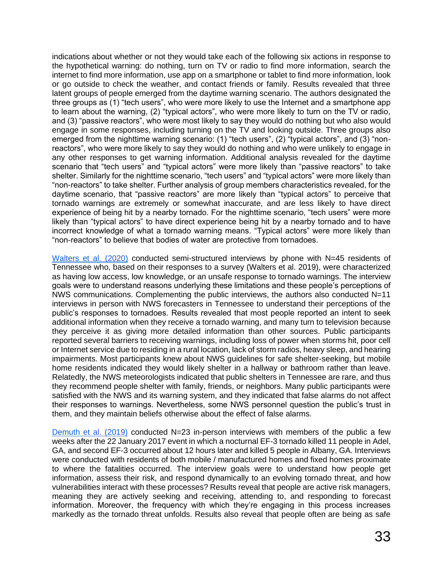indications about whether or not they would take each of the following six actions in response to the hypothetical warning: do nothing, turn on TV or radio to find more information, search the internet to find more information, use app on a smartphone or tablet to find more information, look or go outside to check the weather, and contact friends or family. Results revealed that three latent groups of people emerged from the daytime warning scenario. The authors designated the three groups as (1) "tech users", who were more likely to use the Internet and a smartphone app to learn about the warning, (2) "typical actors", who were more likely to turn on the TV or radio, and (3) "passive reactors", who were most likely to say they would do nothing but who also would engage in some responses, including turning on the TV and looking outside. Three groups also emerged from the nighttime warning scenario: (1) "tech users", (2) "typical actors", and (3) "nonreactors", who were more likely to say they would do nothing and who were unlikely to engage in any other responses to get warning information. Additional analysis revealed for the daytime scenario that "tech users" and "typical actors" were more likely than "passive reactors" to take shelter. Similarly for the nighttime scenario, "tech users" and "typical actors" were more likely than "non-reactors" to take shelter. Further analysis of group members characteristics revealed, for the daytime scenario, that "passive reactors" are more likely than "typical actors" to perceive that tornado warnings are extremely or somewhat inaccurate, and are less likely to have direct experience of being hit by a nearby tornado. For the nighttime scenario, "tech users" were more likely than "typical actors" to have direct experience being hit by a nearby tornado and to have incorrect knowledge of what a tornado warning means. "Typical actors" were more likely than "non-reactors" to believe that bodies of water are protective from tornadoes.

[Walters et al. \(2020\)](https://doi.org/10.1175/WAF-D-19-0090.1) conducted semi-structured interviews by phone with N=45 residents of Tennessee who, based on their responses to a survey (Walters et al. 2019), were characterized as having low access, low knowledge, or an unsafe response to tornado warnings. The interview goals were to understand reasons underlying these limitations and these people's perceptions of NWS communications. Complementing the public interviews, the authors also conducted N=11 interviews in person with NWS forecasters in Tennessee to understand their perceptions of the public's responses to tornadoes. Results revealed that most people reported an intent to seek additional information when they receive a tornado warning, and many turn to television because they perceive it as giving more detailed information than other sources. Public participants reported several barriers to receiving warnings, including loss of power when storms hit, poor cell or Internet service due to residing in a rural location, lack of storm radios, heavy sleep, and hearing impairments. Most participants knew about NWS guidelines for safe shelter-seeking, but mobile home residents indicated they would likely shelter in a hallway or bathroom rather than leave. Relatedly, the NWS meteorologists indicated that public shelters in Tennessee are rare, and thus they recommend people shelter with family, friends, or neighbors. Many public participants were satisfied with the NWS and its warning system, and they indicated that false alarms do not affect their responses to warnings. Nevertheless, some NWS personnel question the public's trust in them, and they maintain beliefs otherwise about the effect of false alarms.

[Demuth et al. \(2019\)](https://ams.confex.com/ams/2019Annual/videogateway.cgi/id/50733?recordingid=50733) conducted N=23 in-person interviews with members of the public a few weeks after the 22 January 2017 event in which a nocturnal EF-3 tornado killed 11 people in Adel, GA, and second EF-3 occurred about 12 hours later and killed 5 people in Albany, GA. Interviews were conducted with residents of both mobile / manufactured homes and fixed homes proximate to where the fatalities occurred. The interview goals were to understand how people get information, assess their risk, and respond dynamically to an evolving tornado threat, and how vulnerabilities interact with these processes? Results reveal that people are active risk managers, meaning they are actively seeking and receiving, attending to, and responding to forecast information. Moreover, the frequency with which they're engaging in this process increases markedly as the tornado threat unfolds. Results also reveal that people often are being as safe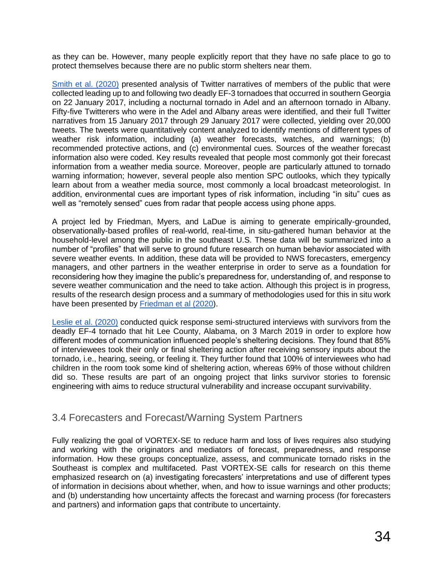as they can be. However, many people explicitly report that they have no safe place to go to protect themselves because there are no public storm shelters near them.

[Smith et al. \(2020\)](https://ams.confex.com/ams/2020Annual/videogateway.cgi/id/516755?recordingid=516755) presented analysis of Twitter narratives of members of the public that were collected leading up to and following two deadly EF-3 tornadoes that occurred in southern Georgia on 22 January 2017, including a nocturnal tornado in Adel and an afternoon tornado in Albany. Fifty-five Twitterers who were in the Adel and Albany areas were identified, and their full Twitter narratives from 15 January 2017 through 29 January 2017 were collected, yielding over 20,000 tweets. The tweets were quantitatively content analyzed to identify mentions of different types of weather risk information, including (a) weather forecasts, watches, and warnings; (b) recommended protective actions, and (c) environmental cues. Sources of the weather forecast information also were coded. Key results revealed that people most commonly got their forecast information from a weather media source. Moreover, people are particularly attuned to tornado warning information; however, several people also mention SPC outlooks, which they typically learn about from a weather media source, most commonly a local broadcast meteorologist. In addition, environmental cues are important types of risk information, including "in situ" cues as well as "remotely sensed" cues from radar that people access using phone apps.

A project led by Friedman, Myers, and LaDue is aiming to generate empirically-grounded, observationally-based profiles of real-world, real-time, in situ-gathered human behavior at the household-level among the public in the southeast U.S. These data will be summarized into a number of "profiles" that will serve to ground future research on human behavior associated with severe weather events. In addition, these data will be provided to NWS forecasters, emergency managers, and other partners in the weather enterprise in order to serve as a foundation for reconsidering how they imagine the public's preparedness for, understanding of, and response to severe weather communication and the need to take action. Although this project is in progress, results of the research design process and a summary of methodologies used for this in situ work have been presented by [Friedman et al \(2020\)](https://ams.confex.com/ams/2020Annual/videogateway.cgi/id/516757?recordingid=516757).

[Leslie et al. \(2020\)](https://ams.confex.com/ams/2020Annual/videogateway.cgi/id/516328?recordingid=516328) conducted quick response semi-structured interviews with survivors from the deadly EF-4 tornado that hit Lee County, Alabama, on 3 March 2019 in order to explore how different modes of communication influenced people's sheltering decisions. They found that 85% of interviewees took their only or final sheltering action after receiving sensory inputs about the tornado, i.e., hearing, seeing, or feeling it. They further found that 100% of interviewees who had children in the room took some kind of sheltering action, whereas 69% of those without children did so. These results are part of an ongoing project that links survivor stories to forensic engineering with aims to reduce structural vulnerability and increase occupant survivability.

# 3.4 Forecasters and Forecast/Warning System Partners

Fully realizing the goal of VORTEX-SE to reduce harm and loss of lives requires also studying and working with the originators and mediators of forecast, preparedness, and response information. How these groups conceptualize, assess, and communicate tornado risks in the Southeast is complex and multifaceted. Past VORTEX-SE calls for research on this theme emphasized research on (a) investigating forecasters' interpretations and use of different types of information in decisions about whether, when, and how to issue warnings and other products; and (b) understanding how uncertainty affects the forecast and warning process (for forecasters and partners) and information gaps that contribute to uncertainty.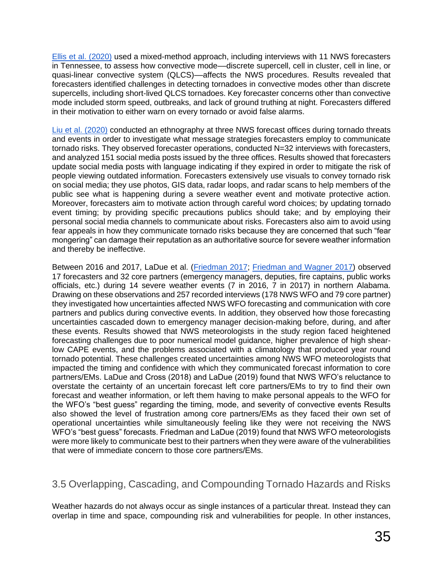[Ellis et al. \(2020\)](https://doi.org/10.1080/24694452.2019.1670042) used a mixed-method approach, including interviews with 11 NWS forecasters in Tennessee, to assess how convective mode––discrete supercell, cell in cluster, cell in line, or quasi-linear convective system (QLCS)––affects the NWS procedures. Results revealed that forecasters identified challenges in detecting tornadoes in convective modes other than discrete supercells, including short-lived QLCS tornadoes. Key forecaster concerns other than convective mode included storm speed, outbreaks, and lack of ground truthing at night. Forecasters differed in their motivation to either warn on every tornado or avoid false alarms.

[Liu et al. \(2020\)](https://doi.org/10.1016/j.pubrev.2019.101879) conducted an ethnography at three NWS forecast offices during tornado threats and events in order to investigate what message strategies forecasters employ to communicate tornado risks. They observed forecaster operations, conducted N=32 interviews with forecasters, and analyzed 151 social media posts issued by the three offices. Results showed that forecasters update social media posts with language indicating if they expired in order to mitigate the risk of people viewing outdated information. Forecasters extensively use visuals to convey tornado risk on social media; they use photos, GIS data, radar loops, and radar scans to help members of the public see what is happening during a severe weather event and motivate protective action. Moreover, forecasters aim to motivate action through careful word choices; by updating tornado event timing; by providing specific precautions publics should take; and by employing their personal social media channels to communicate about risks. Forecasters also aim to avoid using fear appeals in how they communicate tornado risks because they are concerned that such "fear mongering" can damage their reputation as an authoritative source for severe weather information and thereby be ineffective.

Between 2016 and 2017, LaDue et al. [\(Friedman 2017;](https://ams.confex.com/ams/97Annual/videogateway.cgi/id/36077?recordingid=36077&uniqueid=Paper317824) [Friedman and Wagner 2017\)](https://ams.confex.com/ams/97Annual/videogateway.cgi/id/36243?recordingid=36243&uniqueid=Paper307147) observed 17 forecasters and 32 core partners (emergency managers, deputies, fire captains, public works officials, etc.) during 14 severe weather events (7 in 2016, 7 in 2017) in northern Alabama. Drawing on these observations and 257 recorded interviews (178 NWS WFO and 79 core partner) they investigated how uncertainties affected NWS WFO forecasting and communication with core partners and publics during convective events. In addition, they observed how those forecasting uncertainties cascaded down to emergency manager decision-making before, during, and after these events. Results showed that NWS meteorologists in the study region faced heightened forecasting challenges due to poor numerical model guidance, higher prevalence of high shearlow CAPE events, and the problems associated with a climatology that produced year round tornado potential. These challenges created uncertainties among NWS WFO meteorologists that impacted the timing and confidence with which they communicated forecast information to core partners/EMs. LaDue and Cross (2018) and LaDue (2019) found that NWS WFO's reluctance to overstate the certainty of an uncertain forecast left core partners/EMs to try to find their own forecast and weather information, or left them having to make personal appeals to the WFO for the WFO's "best guess" regarding the timing, mode, and severity of convective events Results also showed the level of frustration among core partners/EMs as they faced their own set of operational uncertainties while simultaneously feeling like they were not receiving the NWS WFO's "best guess" forecasts. Friedman and LaDue (2019) found that NWS WFO meteorologists were more likely to communicate best to their partners when they were aware of the vulnerabilities that were of immediate concern to those core partners/EMs.

# 3.5 Overlapping, Cascading, and Compounding Tornado Hazards and Risks

Weather hazards do not always occur as single instances of a particular threat. Instead they can overlap in time and space, compounding risk and vulnerabilities for people. In other instances,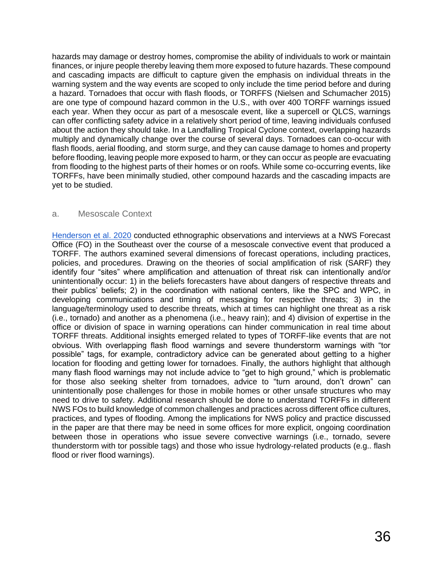hazards may damage or destroy homes, compromise the ability of individuals to work or maintain finances, or injure people thereby leaving them more exposed to future hazards. These compound and cascading impacts are difficult to capture given the emphasis on individual threats in the warning system and the way events are scoped to only include the time period before and during a hazard. Tornadoes that occur with flash floods, or TORFFS (Nielsen and Schumacher 2015) are one type of compound hazard common in the U.S., with over 400 TORFF warnings issued each year. When they occur as part of a mesoscale event, like a supercell or QLCS, warnings can offer conflicting safety advice in a relatively short period of time, leaving individuals confused about the action they should take. In a Landfalling Tropical Cyclone context, overlapping hazards multiply and dynamically change over the course of several days. Tornadoes can co-occur with flash floods, aerial flooding, and storm surge, and they can cause damage to homes and property before flooding, leaving people more exposed to harm, or they can occur as people are evacuating from flooding to the highest parts of their homes or on roofs. While some co-occurring events, like TORFFs, have been minimally studied, other compound hazards and the cascading impacts are yet to be studied.

#### a. Mesoscale Context

[Henderson](https://doi.org/10.1175/WAF-D-19-0216.1) [et al. 2020](https://doi.org/10.1175/WAF-D-19-0216.1) conducted ethnographic observations and interviews at a NWS Forecast Office (FO) in the Southeast over the course of a mesoscale convective event that produced a TORFF. The authors examined several dimensions of forecast operations, including practices, policies, and procedures. Drawing on the theories of social amplification of risk (SARF) they identify four "sites" where amplification and attenuation of threat risk can intentionally and/or unintentionally occur: 1) in the beliefs forecasters have about dangers of respective threats and their publics' beliefs; 2) in the coordination with national centers, like the SPC and WPC, in developing communications and timing of messaging for respective threats; 3) in the language/terminology used to describe threats, which at times can highlight one threat as a risk (i.e., tornado) and another as a phenomena (i.e., heavy rain); and 4) division of expertise in the office or division of space in warning operations can hinder communication in real time about TORFF threats. Additional insights emerged related to types of TORFF-like events that are not obvious. With overlapping flash flood warnings and severe thunderstorm warnings with "tor possible" tags, for example, contradictory advice can be generated about getting to a higher location for flooding and getting lower for tornadoes. Finally, the authors highlight that although many flash flood warnings may not include advice to "get to high ground," which is problematic for those also seeking shelter from tornadoes, advice to "turn around, don't drown" can unintentionally pose challenges for those in mobile homes or other unsafe structures who may need to drive to safety. Additional research should be done to understand TORFFs in different NWS FOs to build knowledge of common challenges and practices across different office cultures, practices, and types of flooding. Among the implications for NWS policy and practice discussed in the paper are that there may be need in some offices for more explicit, ongoing coordination between those in operations who issue severe convective warnings (i.e., tornado, severe thunderstorm with tor possible tags) and those who issue hydrology-related products (e.g.. flash flood or river flood warnings).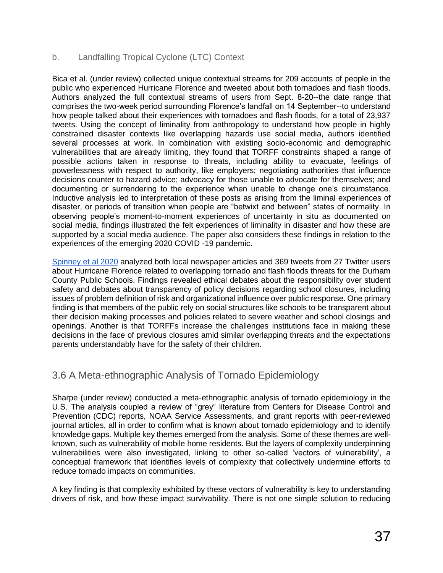#### b. Landfalling Tropical Cyclone (LTC) Context

Bica et al. (under review) collected unique contextual streams for 209 accounts of people in the public who experienced Hurricane Florence and tweeted about both tornadoes and flash floods. Authors analyzed the full contextual streams of users from Sept. 8-20--the date range that comprises the two-week period surrounding Florence's landfall on 14 September--to understand how people talked about their experiences with tornadoes and flash floods, for a total of 23,937 tweets. Using the concept of liminality from anthropology to understand how people in highly constrained disaster contexts like overlapping hazards use social media, authors identified several processes at work. In combination with existing socio-economic and demographic vulnerabilities that are already limiting, they found that TORFF constraints shaped a range of possible actions taken in response to threats, including ability to evacuate, feelings of powerlessness with respect to authority, like employers; negotiating authorities that influence decisions counter to hazard advice; advocacy for those unable to advocate for themselves; and documenting or surrendering to the experience when unable to change one's circumstance. Inductive analysis led to interpretation of these posts as arising from the liminal experiences of disaster, or periods of transition when people are "betwixt and between" states of normality. In observing people's moment-to-moment experiences of uncertainty in situ as documented on social media, findings illustrated the felt experiences of liminality in disaster and how these are supported by a social media audience. The paper also considers these findings in relation to the experiences of the emerging 2020 COVID -19 pandemic.

[Spinney et al 2020](https://ams.confex.com/ams/2020Annual/videogateway.cgi/id/516672?recordingid=516672) analyzed both local newspaper articles and 369 tweets from 27 Twitter users about Hurricane Florence related to overlapping tornado and flash floods threats for the Durham County Public Schools. Findings revealed ethical debates about the responsibility over student safety and debates about transparency of policy decisions regarding school closures, including issues of problem definition of risk and organizational influence over public response. One primary finding is that members of the public rely on social structures like schools to be transparent about their decision making processes and policies related to severe weather and school closings and openings. Another is that TORFFs increase the challenges institutions face in making these decisions in the face of previous closures amid similar overlapping threats and the expectations parents understandably have for the safety of their children.

# 3.6 A Meta-ethnographic Analysis of Tornado Epidemiology

Sharpe (under review) conducted a meta-ethnographic analysis of tornado epidemiology in the U.S. The analysis coupled a review of "grey" literature from Centers for Disease Control and Prevention (CDC) reports, NOAA Service Assessments, and grant reports with peer-reviewed journal articles, all in order to confirm what is known about tornado epidemiology and to identify knowledge gaps. Multiple key themes emerged from the analysis. Some of these themes are wellknown, such as vulnerability of mobile home residents. But the layers of complexity underpinning vulnerabilities were also investigated, linking to other so-called 'vectors of vulnerability', a conceptual framework that identifies levels of complexity that collectively undermine efforts to reduce tornado impacts on communities.

A key finding is that complexity exhibited by these vectors of vulnerability is key to understanding drivers of risk, and how these impact survivability. There is not one simple solution to reducing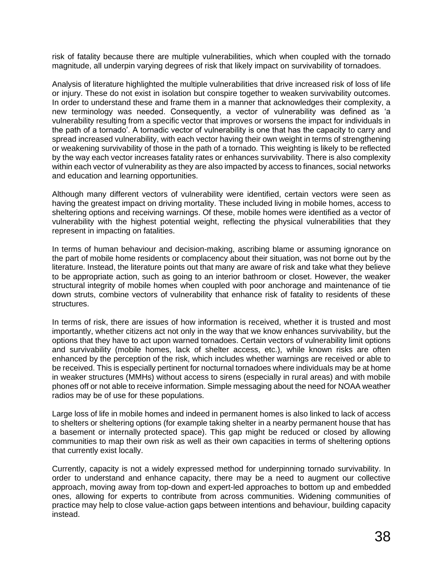risk of fatality because there are multiple vulnerabilities, which when coupled with the tornado magnitude, all underpin varying degrees of risk that likely impact on survivability of tornadoes.

Analysis of literature highlighted the multiple vulnerabilities that drive increased risk of loss of life or injury. These do not exist in isolation but conspire together to weaken survivability outcomes. In order to understand these and frame them in a manner that acknowledges their complexity, a new terminology was needed. Consequently, a vector of vulnerability was defined as 'a vulnerability resulting from a specific vector that improves or worsens the impact for individuals in the path of a tornado'. A tornadic vector of vulnerability is one that has the capacity to carry and spread increased vulnerability, with each vector having their own weight in terms of strengthening or weakening survivability of those in the path of a tornado. This weighting is likely to be reflected by the way each vector increases fatality rates or enhances survivability. There is also complexity within each vector of vulnerability as they are also impacted by access to finances, social networks and education and learning opportunities.

Although many different vectors of vulnerability were identified, certain vectors were seen as having the greatest impact on driving mortality. These included living in mobile homes, access to sheltering options and receiving warnings. Of these, mobile homes were identified as a vector of vulnerability with the highest potential weight, reflecting the physical vulnerabilities that they represent in impacting on fatalities.

In terms of human behaviour and decision-making, ascribing blame or assuming ignorance on the part of mobile home residents or complacency about their situation, was not borne out by the literature. Instead, the literature points out that many are aware of risk and take what they believe to be appropriate action, such as going to an interior bathroom or closet. However, the weaker structural integrity of mobile homes when coupled with poor anchorage and maintenance of tie down struts, combine vectors of vulnerability that enhance risk of fatality to residents of these structures.

In terms of risk, there are issues of how information is received, whether it is trusted and most importantly, whether citizens act not only in the way that we know enhances survivability, but the options that they have to act upon warned tornadoes. Certain vectors of vulnerability limit options and survivability (mobile homes, lack of shelter access, etc.), while known risks are often enhanced by the perception of the risk, which includes whether warnings are received or able to be received. This is especially pertinent for nocturnal tornadoes where individuals may be at home in weaker structures (MMHs) without access to sirens (especially in rural areas) and with mobile phones off or not able to receive information. Simple messaging about the need for NOAA weather radios may be of use for these populations.

Large loss of life in mobile homes and indeed in permanent homes is also linked to lack of access to shelters or sheltering options (for example taking shelter in a nearby permanent house that has a basement or internally protected space). This gap might be reduced or closed by allowing communities to map their own risk as well as their own capacities in terms of sheltering options that currently exist locally.

Currently, capacity is not a widely expressed method for underpinning tornado survivability. In order to understand and enhance capacity, there may be a need to augment our collective approach, moving away from top-down and expert-led approaches to bottom up and embedded ones, allowing for experts to contribute from across communities. Widening communities of practice may help to close value-action gaps between intentions and behaviour, building capacity instead.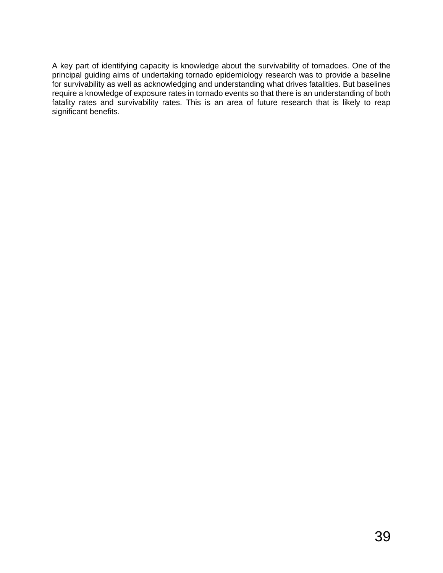A key part of identifying capacity is knowledge about the survivability of tornadoes. One of the principal guiding aims of undertaking tornado epidemiology research was to provide a baseline for survivability as well as acknowledging and understanding what drives fatalities. But baselines require a knowledge of exposure rates in tornado events so that there is an understanding of both fatality rates and survivability rates. This is an area of future research that is likely to reap significant benefits.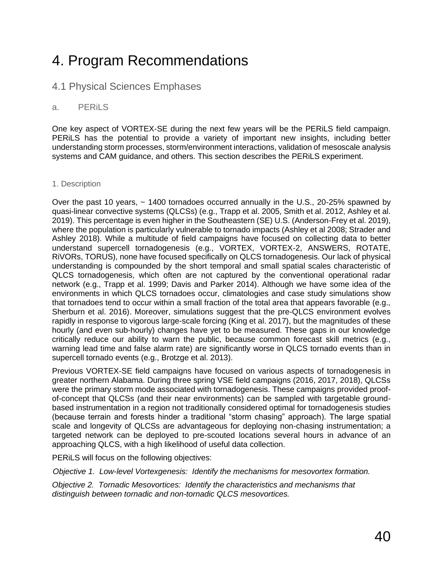# 4. Program Recommendations

### 4.1 Physical Sciences Emphases

#### a. PERiLS

One key aspect of VORTEX-SE during the next few years will be the PERiLS field campaign. PERiLS has the potential to provide a variety of important new insights, including better understanding storm processes, storm/environment interactions, validation of mesoscale analysis systems and CAM guidance, and others. This section describes the PERiLS experiment.

#### 1. Description

Over the past 10 years,  $\sim$  1400 tornadoes occurred annually in the U.S., 20-25% spawned by quasi-linear convective systems (QLCSs) (e.g., Trapp et al. 2005, Smith et al. 2012, Ashley et al. 2019). This percentage is even higher in the Southeastern (SE) U.S. (Anderson-Frey et al. 2019), where the population is particularly vulnerable to tornado impacts (Ashley et al 2008; Strader and Ashley 2018). While a multitude of field campaigns have focused on collecting data to better understand supercell tornadogenesis (e.g., VORTEX, VORTEX-2, ANSWERS, ROTATE, RiVORs, TORUS), none have focused specifically on QLCS tornadogenesis. Our lack of physical understanding is compounded by the short temporal and small spatial scales characteristic of QLCS tornadogenesis, which often are not captured by the conventional operational radar network (e.g., Trapp et al. 1999; Davis and Parker 2014). Although we have some idea of the environments in which QLCS tornadoes occur, climatologies and case study simulations show that tornadoes tend to occur within a small fraction of the total area that appears favorable (e.g., Sherburn et al. 2016). Moreover, simulations suggest that the pre-QLCS environment evolves rapidly in response to vigorous large-scale forcing (King et al. 2017), but the magnitudes of these hourly (and even sub-hourly) changes have yet to be measured. These gaps in our knowledge critically reduce our ability to warn the public, because common forecast skill metrics (e.g., warning lead time and false alarm rate) are significantly worse in QLCS tornado events than in supercell tornado events (e.g., Brotzge et al. 2013).

Previous VORTEX-SE field campaigns have focused on various aspects of tornadogenesis in greater northern Alabama. During three spring VSE field campaigns (2016, 2017, 2018), QLCSs were the primary storm mode associated with tornadogenesis. These campaigns provided proofof-concept that QLCSs (and their near environments) can be sampled with targetable groundbased instrumentation in a region not traditionally considered optimal for tornadogenesis studies (because terrain and forests hinder a traditional "storm chasing" approach). The large spatial scale and longevity of QLCSs are advantageous for deploying non-chasing instrumentation; a targeted network can be deployed to pre-scouted locations several hours in advance of an approaching QLCS, with a high likelihood of useful data collection.

PERiLS will focus on the following objectives:

*Objective 1. Low-level Vortexgenesis: Identify the mechanisms for mesovortex formation.*

*Objective 2. Tornadic Mesovortices: Identify the characteristics and mechanisms that distinguish between tornadic and non-tornadic QLCS mesovortices.*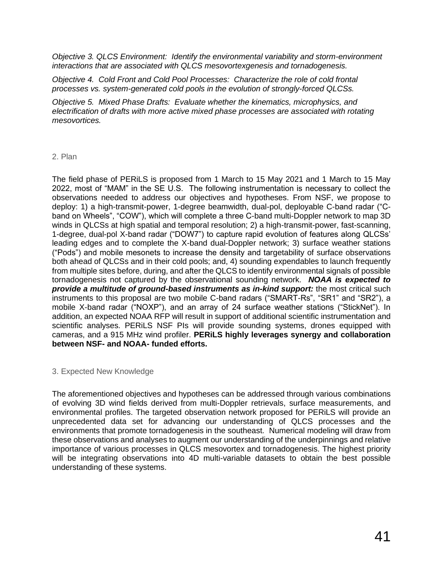*Objective 3. QLCS Environment: Identify the environmental variability and storm-environment interactions that are associated with QLCS mesovortexgenesis and tornadogenesis.*

*Objective 4. Cold Front and Cold Pool Processes: Characterize the role of cold frontal processes vs. system-generated cold pools in the evolution of strongly-forced QLCSs.*

*Objective 5. Mixed Phase Drafts: Evaluate whether the kinematics, microphysics, and electrification of drafts with more active mixed phase processes are associated with rotating mesovortices.*

#### 2. Plan

The field phase of PERiLS is proposed from 1 March to 15 May 2021 and 1 March to 15 May 2022, most of "MAM" in the SE U.S. The following instrumentation is necessary to collect the observations needed to address our objectives and hypotheses. From NSF, we propose to deploy: 1) a high-transmit-power, 1-degree beamwidth, dual-pol, deployable C-band radar ("Cband on Wheels", "COW"), which will complete a three C-band multi-Doppler network to map 3D winds in QLCSs at high spatial and temporal resolution; 2) a high-transmit-power, fast-scanning, 1-degree, dual-pol X-band radar ("DOW7") to capture rapid evolution of features along QLCSs' leading edges and to complete the X-band dual-Doppler network; 3) surface weather stations ("Pods") and mobile mesonets to increase the density and targetability of surface observations both ahead of QLCSs and in their cold pools; and, 4) sounding expendables to launch frequently from multiple sites before, during, and after the QLCS to identify environmental signals of possible tornadogenesis not captured by the observational sounding network. *NOAA is expected to provide a multitude of ground-based instruments as in-kind support:* the most critical such instruments to this proposal are two mobile C-band radars ("SMART-Rs", "SR1" and "SR2"), a mobile X-band radar ("NOXP"), and an array of 24 surface weather stations ("StickNet"). In addition, an expected NOAA RFP will result in support of additional scientific instrumentation and scientific analyses. PERiLS NSF PIs will provide sounding systems, drones equipped with cameras, and a 915 MHz wind profiler. **PERiLS highly leverages synergy and collaboration between NSF- and NOAA- funded efforts.** 

#### 3. Expected New Knowledge

The aforementioned objectives and hypotheses can be addressed through various combinations of evolving 3D wind fields derived from multi-Doppler retrievals, surface measurements, and environmental profiles. The targeted observation network proposed for PERiLS will provide an unprecedented data set for advancing our understanding of QLCS processes and the environments that promote tornadogenesis in the southeast. Numerical modeling will draw from these observations and analyses to augment our understanding of the underpinnings and relative importance of various processes in QLCS mesovortex and tornadogenesis. The highest priority will be integrating observations into 4D multi-variable datasets to obtain the best possible understanding of these systems.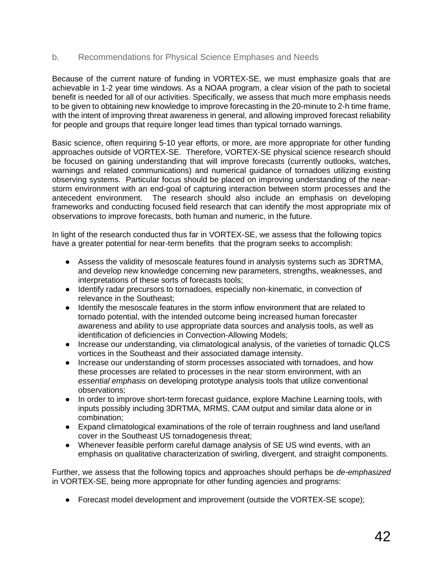#### b. Recommendations for Physical Science Emphases and Needs

Because of the current nature of funding in VORTEX-SE, we must emphasize goals that are achievable in 1-2 year time windows. As a NOAA program, a clear vision of the path to societal benefit is needed for all of our activities. Specifically, we assess that much more emphasis needs to be given to obtaining new knowledge to improve forecasting in the 20-minute to 2-h time frame, with the intent of improving threat awareness in general, and allowing improved forecast reliability for people and groups that require longer lead times than typical tornado warnings.

Basic science, often requiring 5-10 year efforts, or more, are more appropriate for other funding approaches outside of VORTEX-SE. Therefore, VORTEX-SE physical science research should be focused on gaining understanding that will improve forecasts (currently outlooks, watches, warnings and related communications) and numerical guidance of tornadoes utilizing existing observing systems. Particular focus should be placed on improving understanding of the nearstorm environment with an end-goal of capturing interaction between storm processes and the antecedent environment. The research should also include an emphasis on developing frameworks and conducting focused field research that can identify the most appropriate mix of observations to improve forecasts, both human and numeric, in the future.

In light of the research conducted thus far in VORTEX-SE, we assess that the following topics have a greater potential for near-term benefits that the program seeks to accomplish:

- Assess the validity of mesoscale features found in analysis systems such as 3DRTMA, and develop new knowledge concerning new parameters, strengths, weaknesses, and interpretations of these sorts of forecasts tools;
- Identify radar precursors to tornadoes, especially non-kinematic, in convection of relevance in the Southeast;
- Identify the mesoscale features in the storm inflow environment that are related to tornado potential, with the intended outcome being increased human forecaster awareness and ability to use appropriate data sources and analysis tools, as well as identification of deficiencies in Convection-Allowing Models;
- Increase our understanding, via climatological analysis, of the varieties of tornadic QLCS vortices in the Southeast and their associated damage intensity.
- Increase our understanding of storm processes associated with tornadoes, and how these processes are related to processes in the near storm environment, with an *essential emphasis* on developing prototype analysis tools that utilize conventional observations;
- In order to improve short-term forecast guidance, explore Machine Learning tools, with inputs possibly including 3DRTMA, MRMS, CAM output and similar data alone or in combination;
- Expand climatological examinations of the role of terrain roughness and land use/land cover in the Southeast US tornadogenesis threat;
- Whenever feasible perform careful damage analysis of SE US wind events, with an emphasis on qualitative characterization of swirling, divergent, and straight components.

Further, we assess that the following topics and approaches should perhaps be *de-emphasized* in VORTEX-SE, being more appropriate for other funding agencies and programs:

• Forecast model development and improvement (outside the VORTEX-SE scope);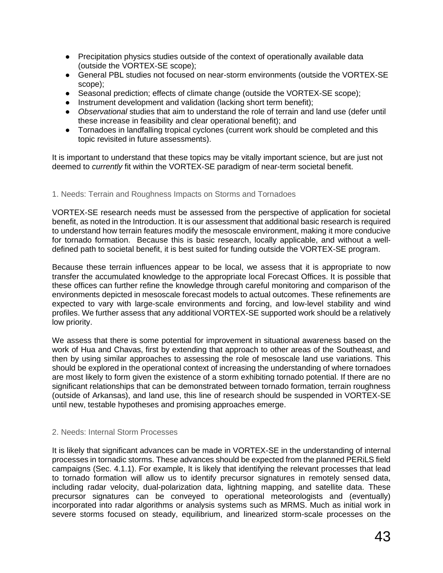- Precipitation physics studies outside of the context of operationally available data (outside the VORTEX-SE scope);
- General PBL studies not focused on near-storm environments (outside the VORTEX-SE scope);
- Seasonal prediction; effects of climate change (outside the VORTEX-SE scope);
- Instrument development and validation (lacking short term benefit);
- *Observational* studies that aim to understand the role of terrain and land use (defer until these increase in feasibility and clear operational benefit); and
- Tornadoes in landfalling tropical cyclones (current work should be completed and this topic revisited in future assessments).

It is important to understand that these topics may be vitally important science, but are just not deemed to *currently* fit within the VORTEX-SE paradigm of near-term societal benefit.

#### 1. Needs: Terrain and Roughness Impacts on Storms and Tornadoes

VORTEX-SE research needs must be assessed from the perspective of application for societal benefit, as noted in the Introduction. It is our assessment that additional basic research is required to understand how terrain features modify the mesoscale environment, making it more conducive for tornado formation. Because this is basic research, locally applicable, and without a welldefined path to societal benefit, it is best suited for funding outside the VORTEX-SE program.

Because these terrain influences appear to be local, we assess that it is appropriate to now transfer the accumulated knowledge to the appropriate local Forecast Offices. It is possible that these offices can further refine the knowledge through careful monitoring and comparison of the environments depicted in mesoscale forecast models to actual outcomes. These refinements are expected to vary with large-scale environments and forcing, and low-level stability and wind profiles. We further assess that any additional VORTEX-SE supported work should be a relatively low priority.

We assess that there is some potential for improvement in situational awareness based on the work of Hua and Chavas, first by extending that approach to other areas of the Southeast, and then by using similar approaches to assessing the role of mesoscale land use variations. This should be explored in the operational context of increasing the understanding of where tornadoes are most likely to form given the existence of a storm exhibiting tornado potential. If there are no significant relationships that can be demonstrated between tornado formation, terrain roughness (outside of Arkansas), and land use, this line of research should be suspended in VORTEX-SE until new, testable hypotheses and promising approaches emerge.

#### 2. Needs: Internal Storm Processes

It is likely that significant advances can be made in VORTEX-SE in the understanding of internal processes in tornadic storms. These advances should be expected from the planned PERiLS field campaigns (Sec. 4.1.1). For example, It is likely that identifying the relevant processes that lead to tornado formation will allow us to identify precursor signatures in remotely sensed data, including radar velocity, dual-polarization data, lightning mapping, and satellite data. These precursor signatures can be conveyed to operational meteorologists and (eventually) incorporated into radar algorithms or analysis systems such as MRMS. Much as initial work in severe storms focused on steady, equilibrium, and linearized storm-scale processes on the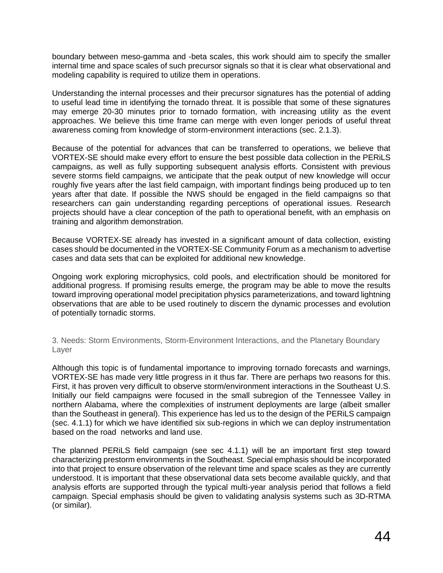boundary between meso-gamma and -beta scales, this work should aim to specify the smaller internal time and space scales of such precursor signals so that it is clear what observational and modeling capability is required to utilize them in operations.

Understanding the internal processes and their precursor signatures has the potential of adding to useful lead time in identifying the tornado threat. It is possible that some of these signatures may emerge 20-30 minutes prior to tornado formation, with increasing utility as the event approaches. We believe this time frame can merge with even longer periods of useful threat awareness coming from knowledge of storm-environment interactions (sec. 2.1.3).

Because of the potential for advances that can be transferred to operations, we believe that VORTEX-SE should make every effort to ensure the best possible data collection in the PERiLS campaigns, as well as fully supporting subsequent analysis efforts. Consistent with previous severe storms field campaigns, we anticipate that the peak output of new knowledge will occur roughly five years after the last field campaign, with important findings being produced up to ten years after that date. If possible the NWS should be engaged in the field campaigns so that researchers can gain understanding regarding perceptions of operational issues. Research projects should have a clear conception of the path to operational benefit, with an emphasis on training and algorithm demonstration.

Because VORTEX-SE already has invested in a significant amount of data collection, existing cases should be documented in the VORTEX-SE Community Forum as a mechanism to advertise cases and data sets that can be exploited for additional new knowledge.

Ongoing work exploring microphysics, cold pools, and electrification should be monitored for additional progress. If promising results emerge, the program may be able to move the results toward improving operational model precipitation physics parameterizations, and toward lightning observations that are able to be used routinely to discern the dynamic processes and evolution of potentially tornadic storms.

3. Needs: Storm Environments, Storm-Environment Interactions, and the Planetary Boundary Layer

Although this topic is of fundamental importance to improving tornado forecasts and warnings, VORTEX-SE has made very little progress in it thus far. There are perhaps two reasons for this. First, it has proven very difficult to observe storm/environment interactions in the Southeast U.S. Initially our field campaigns were focused in the small subregion of the Tennessee Valley in northern Alabama, where the complexities of instrument deployments are large (albeit smaller than the Southeast in general). This experience has led us to the design of the PERiLS campaign (sec. 4.1.1) for which we have identified six sub-regions in which we can deploy instrumentation based on the road networks and land use.

The planned PERiLS field campaign (see sec 4.1.1) will be an important first step toward characterizing prestorm environments in the Southeast. Special emphasis should be incorporated into that project to ensure observation of the relevant time and space scales as they are currently understood. It is important that these observational data sets become available quickly, and that analysis efforts are supported through the typical multi-year analysis period that follows a field campaign. Special emphasis should be given to validating analysis systems such as 3D-RTMA (or similar).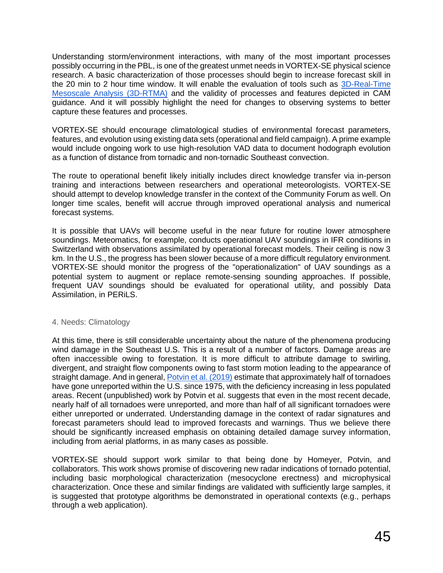Understanding storm/environment interactions, with many of the most important processes possibly occurring in the PBL, is one of the greatest unmet needs in VORTEX-SE physical science research. A basic characterization of those processes should begin to increase forecast skill in the 20 min to 2 hour time window. It will enable the evaluation of tools such as [3D-Real-Time](https://ams.confex.com/ams/2020Annual/meetingapp.cgi/Paper/365960)  [Mesoscale Analysis \(3D-RTMA\)](https://ams.confex.com/ams/2020Annual/meetingapp.cgi/Paper/365960) and the validity of processes and features depicted in CAM guidance. And it will possibly highlight the need for changes to observing systems to better capture these features and processes.

VORTEX-SE should encourage climatological studies of environmental forecast parameters, features, and evolution using existing data sets (operational and field campaign). A prime example would include ongoing work to use high-resolution VAD data to document hodograph evolution as a function of distance from tornadic and non-tornadic Southeast convection.

The route to operational benefit likely initially includes direct knowledge transfer via in-person training and interactions between researchers and operational meteorologists. VORTEX-SE should attempt to develop knowledge transfer in the context of the Community Forum as well. On longer time scales, benefit will accrue through improved operational analysis and numerical forecast systems.

It is possible that UAVs will become useful in the near future for routine lower atmosphere soundings. Meteomatics, for example, conducts operational UAV soundings in IFR conditions in Switzerland with observations assimilated by operational forecast models. Their ceiling is now 3 km. In the U.S., the progress has been slower because of a more difficult regulatory environment. VORTEX-SE should monitor the progress of the "operationalization" of UAV soundings as a potential system to augment or replace remote-sensing sounding approaches. If possible, frequent UAV soundings should be evaluated for operational utility, and possibly Data Assimilation, in PERiLS.

#### 4. Needs: Climatology

At this time, there is still considerable uncertainty about the nature of the phenomena producing wind damage in the Southeast U.S. This is a result of a number of factors. Damage areas are often inaccessible owing to forestation. It is more difficult to attribute damage to swirling, divergent, and straight flow components owing to fast storm motion leading to the appearance of straight damage. And in general, [Potvin et al. \(2019\)](https://journals.ametsoc.org/waf/article/34/1/15/40706) estimate that approximately half of tornadoes have gone unreported within the U.S. since 1975, with the deficiency increasing in less populated areas. Recent (unpublished) work by Potvin et al. suggests that even in the most recent decade, nearly half of all tornadoes were unreported, and more than half of all significant tornadoes were either unreported or underrated. Understanding damage in the context of radar signatures and forecast parameters should lead to improved forecasts and warnings. Thus we believe there should be significantly increased emphasis on obtaining detailed damage survey information, including from aerial platforms, in as many cases as possible.

VORTEX-SE should support work similar to that being done by Homeyer, Potvin, and collaborators. This work shows promise of discovering new radar indications of tornado potential, including basic morphological characterization (mesocyclone erectness) and microphysical characterization. Once these and similar findings are validated with sufficiently large samples, it is suggested that prototype algorithms be demonstrated in operational contexts (e.g., perhaps through a web application).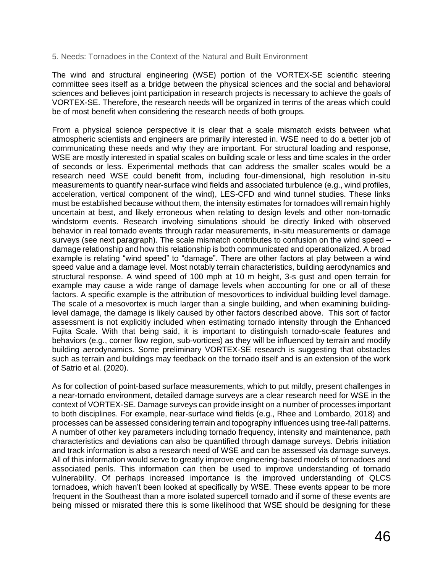#### 5. Needs: Tornadoes in the Context of the Natural and Built Environment

The wind and structural engineering (WSE) portion of the VORTEX-SE scientific steering committee sees itself as a bridge between the physical sciences and the social and behavioral sciences and believes joint participation in research projects is necessary to achieve the goals of VORTEX-SE. Therefore, the research needs will be organized in terms of the areas which could be of most benefit when considering the research needs of both groups.

From a physical science perspective it is clear that a scale mismatch exists between what atmospheric scientists and engineers are primarily interested in. WSE need to do a better job of communicating these needs and why they are important. For structural loading and response, WSE are mostly interested in spatial scales on building scale or less and time scales in the order of seconds or less. Experimental methods that can address the smaller scales would be a research need WSE could benefit from, including four-dimensional, high resolution in-situ measurements to quantify near-surface wind fields and associated turbulence (e.g., wind profiles, acceleration, vertical component of the wind), LES-CFD and wind tunnel studies. These links must be established because without them, the intensity estimates for tornadoes will remain highly uncertain at best, and likely erroneous when relating to design levels and other non-tornadic windstorm events. Research involving simulations should be directly linked with observed behavior in real tornado events through radar measurements, in-situ measurements or damage surveys (see next paragraph). The scale mismatch contributes to confusion on the wind speed – damage relationship and how this relationship is both communicated and operationalized. A broad example is relating "wind speed" to "damage". There are other factors at play between a wind speed value and a damage level. Most notably terrain characteristics, building aerodynamics and structural response. A wind speed of 100 mph at 10 m height, 3-s gust and open terrain for example may cause a wide range of damage levels when accounting for one or all of these factors. A specific example is the attribution of mesovortices to individual building level damage. The scale of a mesovortex is much larger than a single building, and when examining buildinglevel damage, the damage is likely caused by other factors described above. This sort of factor assessment is not explicitly included when estimating tornado intensity through the Enhanced Fujita Scale. With that being said, it is important to distinguish tornado-scale features and behaviors (e.g., corner flow region, sub-vortices) as they will be influenced by terrain and modify building aerodynamics. Some preliminary VORTEX-SE research is suggesting that obstacles such as terrain and buildings may feedback on the tornado itself and is an extension of the work of Satrio et al. (2020).

As for collection of point-based surface measurements, which to put mildly, present challenges in a near-tornado environment, detailed damage surveys are a clear research need for WSE in the context of VORTEX-SE. Damage surveys can provide insight on a number of processes important to both disciplines. For example, near-surface wind fields (e.g., Rhee and Lombardo, 2018) and processes can be assessed considering terrain and topography influences using tree-fall patterns. A number of other key parameters including tornado frequency, intensity and maintenance, path characteristics and deviations can also be quantified through damage surveys. Debris initiation and track information is also a research need of WSE and can be assessed via damage surveys. All of this information would serve to greatly improve engineering-based models of tornadoes and associated perils. This information can then be used to improve understanding of tornado vulnerability. Of perhaps increased importance is the improved understanding of QLCS tornadoes, which haven't been looked at specifically by WSE. These events appear to be more frequent in the Southeast than a more isolated supercell tornado and if some of these events are being missed or misrated there this is some likelihood that WSE should be designing for these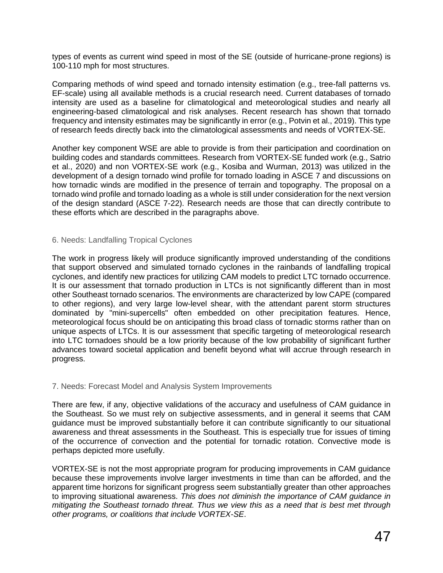types of events as current wind speed in most of the SE (outside of hurricane-prone regions) is 100-110 mph for most structures.

Comparing methods of wind speed and tornado intensity estimation (e.g., tree-fall patterns vs. EF-scale) using all available methods is a crucial research need. Current databases of tornado intensity are used as a baseline for climatological and meteorological studies and nearly all engineering-based climatological and risk analyses. Recent research has shown that tornado frequency and intensity estimates may be significantly in error (e.g., Potvin et al., 2019). This type of research feeds directly back into the climatological assessments and needs of VORTEX-SE.

Another key component WSE are able to provide is from their participation and coordination on building codes and standards committees. Research from VORTEX-SE funded work (e.g., Satrio et al., 2020) and non VORTEX-SE work (e.g., Kosiba and Wurman, 2013) was utilized in the development of a design tornado wind profile for tornado loading in ASCE 7 and discussions on how tornadic winds are modified in the presence of terrain and topography. The proposal on a tornado wind profile and tornado loading as a whole is still under consideration for the next version of the design standard (ASCE 7-22). Research needs are those that can directly contribute to these efforts which are described in the paragraphs above.

#### 6. Needs: Landfalling Tropical Cyclones

The work in progress likely will produce significantly improved understanding of the conditions that support observed and simulated tornado cyclones in the rainbands of landfalling tropical cyclones, and identify new practices for utilizing CAM models to predict LTC tornado occurrence. It is our assessment that tornado production in LTCs is not significantly different than in most other Southeast tornado scenarios. The environments are characterized by low CAPE (compared to other regions), and very large low-level shear, with the attendant parent storm structures dominated by "mini-supercells" often embedded on other precipitation features. Hence, meteorological focus should be on anticipating this broad class of tornadic storms rather than on unique aspects of LTCs. It is our assessment that specific targeting of meteorological research into LTC tornadoes should be a low priority because of the low probability of significant further advances toward societal application and benefit beyond what will accrue through research in progress.

#### 7. Needs: Forecast Model and Analysis System Improvements

There are few, if any, objective validations of the accuracy and usefulness of CAM guidance in the Southeast. So we must rely on subjective assessments, and in general it seems that CAM guidance must be improved substantially before it can contribute significantly to our situational awareness and threat assessments in the Southeast. This is especially true for issues of timing of the occurrence of convection and the potential for tornadic rotation. Convective mode is perhaps depicted more usefully.

VORTEX-SE is not the most appropriate program for producing improvements in CAM guidance because these improvements involve larger investments in time than can be afforded, and the apparent time horizons for significant progress seem substantially greater than other approaches to improving situational awareness. *This does not diminish the importance of CAM guidance in mitigating the Southeast tornado threat. Thus we view this as a need that is best met through other programs, or coalitions that include VORTEX-SE*.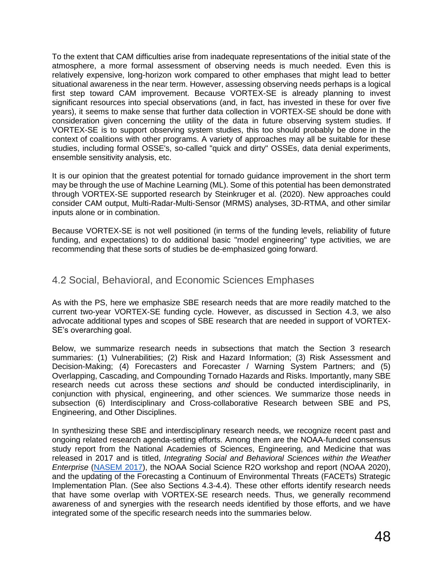To the extent that CAM difficulties arise from inadequate representations of the initial state of the atmosphere, a more formal assessment of observing needs is much needed. Even this is relatively expensive, long-horizon work compared to other emphases that might lead to better situational awareness in the near term. However, assessing observing needs perhaps is a logical first step toward CAM improvement. Because VORTEX-SE is already planning to invest significant resources into special observations (and, in fact, has invested in these for over five years), it seems to make sense that further data collection in VORTEX-SE should be done with consideration given concerning the utility of the data in future observing system studies. If VORTEX-SE is to support observing system studies, this too should probably be done in the context of coalitions with other programs. A variety of approaches may all be suitable for these studies, including formal OSSE's, so-called "quick and dirty" OSSEs, data denial experiments, ensemble sensitivity analysis, etc.

It is our opinion that the greatest potential for tornado guidance improvement in the short term may be through the use of Machine Learning (ML). Some of this potential has been demonstrated through VORTEX-SE supported research by Steinkruger et al. (2020). New approaches could consider CAM output, Multi-Radar-Multi-Sensor (MRMS) analyses, 3D-RTMA, and other similar inputs alone or in combination.

Because VORTEX-SE is not well positioned (in terms of the funding levels, reliability of future funding, and expectations) to do additional basic "model engineering" type activities, we are recommending that these sorts of studies be de-emphasized going forward.

### 4.2 Social, Behavioral, and Economic Sciences Emphases

As with the PS, here we emphasize SBE research needs that are more readily matched to the current two-year VORTEX-SE funding cycle. However, as discussed in Section 4.3, we also advocate additional types and scopes of SBE research that are needed in support of VORTEX-SE's overarching goal.

Below, we summarize research needs in subsections that match the Section 3 research summaries: (1) Vulnerabilities; (2) Risk and Hazard Information; (3) Risk Assessment and Decision-Making; (4) Forecasters and Forecaster / Warning System Partners; and (5) Overlapping, Cascading, and Compounding Tornado Hazards and Risks. Importantly, many SBE research needs cut across these sections *and* should be conducted interdisciplinarily, in conjunction with physical, engineering, and other sciences. We summarize those needs in subsection (6) Interdisciplinary and Cross-collaborative Research between SBE and PS, Engineering, and Other Disciplines.

In synthesizing these SBE and interdisciplinary research needs, we recognize recent past and ongoing related research agenda-setting efforts. Among them are the NOAA-funded consensus study report from the National Academies of Sciences, Engineering, and Medicine that was released in 2017 and is titled, *Integrating Social and Behavioral Sciences within the Weather Enterprise* [\(NASEM 2017\)](https://www.nap.edu/catalog/24865/integrating-social-and-behavioral-sciences-within-the-weather-enterprise), the NOAA Social Science R2O workshop and report (NOAA 2020), and the updating of the Forecasting a Continuum of Environmental Threats (FACETs) Strategic Implementation Plan. (See also Sections 4.3-4.4). These other efforts identify research needs that have some overlap with VORTEX-SE research needs. Thus, we generally recommend awareness of and synergies with the research needs identified by those efforts, and we have integrated some of the specific research needs into the summaries below.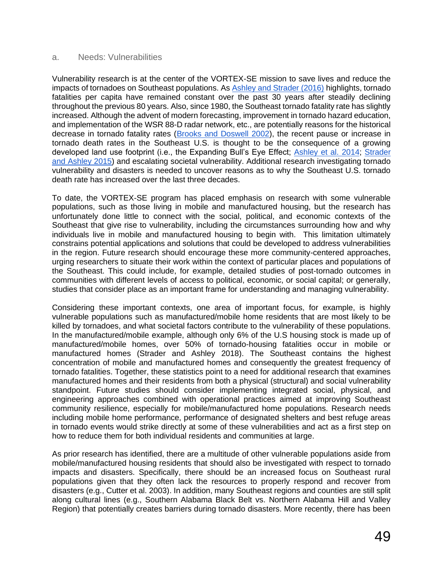#### a. Needs: Vulnerabilities

Vulnerability research is at the center of the VORTEX-SE mission to save lives and reduce the impacts of tornadoes on Southeast populations. As [Ashley and Strader \(2016\)](https://doi.org/10.1175/BAMS-D-15-00150.1) highlights, tornado fatalities per capita have remained constant over the past 30 years after steadily declining throughout the previous 80 years. Also, since 1980, the Southeast tornado fatality rate has slightly increased. Although the advent of modern forecasting, improvement in tornado hazard education, and implementation of the WSR 88-D radar network, etc., are potentially reasons for the historical decrease in tornado fatality rates [\(Brooks and Doswell 2002\)](https://doi.org/10.1175/1520-0434(2002)017%3C0354:DITMOC%3E2.0.CO;2), the recent pause or increase in tornado death rates in the Southeast U.S. is thought to be the consequence of a growing developed land use footprint (i.e., the Expanding Bull's Eye Effect; [Ashley et al. 2014;](https://doi.org/10.1175/WCAS-D-13-00047.1) Strader [and Ashley 2015\)](https://doi.org/10.1080/00431672.2015.1067108) and escalating societal vulnerability. Additional research investigating tornado vulnerability and disasters is needed to uncover reasons as to why the Southeast U.S. tornado death rate has increased over the last three decades.

To date, the VORTEX-SE program has placed emphasis on research with some vulnerable populations, such as those living in mobile and manufactured housing, but the research has unfortunately done little to connect with the social, political, and economic contexts of the Southeast that give rise to vulnerability, including the circumstances surrounding how and why individuals live in mobile and manufactured housing to begin with. This limitation ultimately constrains potential applications and solutions that could be developed to address vulnerabilities in the region. Future research should encourage these more community-centered approaches, urging researchers to situate their work within the context of particular places and populations of the Southeast. This could include, for example, detailed studies of post-tornado outcomes in communities with different levels of access to political, economic, or social capital; or generally, studies that consider place as an important frame for understanding and managing vulnerability.

Considering these important contexts, one area of important focus, for example, is highly vulnerable populations such as manufactured/mobile home residents that are most likely to be killed by tornadoes, and what societal factors contribute to the vulnerability of these populations. In the manufactured/mobile example, although only 6% of the U.S housing stock is made up of manufactured/mobile homes, over 50% of tornado-housing fatalities occur in mobile or manufactured homes (Strader and Ashley 2018). The Southeast contains the highest concentration of mobile and manufactured homes and consequently the greatest frequency of tornado fatalities. Together, these statistics point to a need for additional research that examines manufactured homes and their residents from both a physical (structural) and social vulnerability standpoint. Future studies should consider implementing integrated social, physical, and engineering approaches combined with operational practices aimed at improving Southeast community resilience, especially for mobile/manufactured home populations. Research needs including mobile home performance, performance of designated shelters and best refuge areas in tornado events would strike directly at some of these vulnerabilities and act as a first step on how to reduce them for both individual residents and communities at large.

As prior research has identified, there are a multitude of other vulnerable populations aside from mobile/manufactured housing residents that should also be investigated with respect to tornado impacts and disasters. Specifically, there should be an increased focus on Southeast rural populations given that they often lack the resources to properly respond and recover from disasters (e.g., Cutter et al. 2003). In addition, many Southeast regions and counties are still split along cultural lines (e.g., Southern Alabama Black Belt vs. Northern Alabama Hill and Valley Region) that potentially creates barriers during tornado disasters. More recently, there has been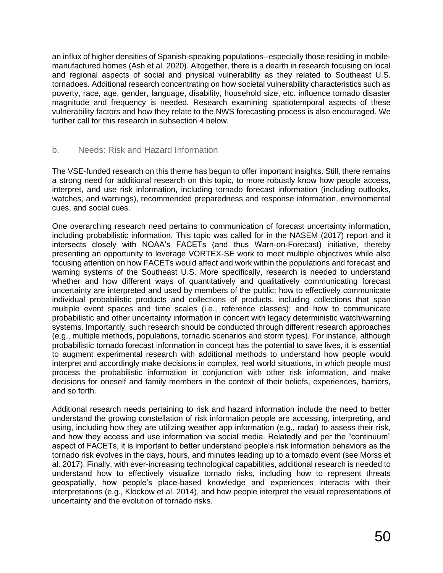an influx of higher densities of Spanish-speaking populations--especially those residing in mobilemanufactured homes (Ash et al. 2020). Altogether, there is a dearth in research focusing on local and regional aspects of social and physical vulnerability as they related to Southeast U.S. tornadoes. Additional research concentrating on how societal vulnerability characteristics such as poverty, race, age, gender, language, disability, household size, etc. influence tornado disaster magnitude and frequency is needed. Research examining spatiotemporal aspects of these vulnerability factors and how they relate to the NWS forecasting process is also encouraged. We further call for this research in subsection 4 below.

#### b. Needs: Risk and Hazard Information

The VSE-funded research on this theme has begun to offer important insights. Still, there remains a strong need for additional research on this topic, to more robustly know how people access, interpret, and use risk information, including tornado forecast information (including outlooks, watches, and warnings), recommended preparedness and response information, environmental cues, and social cues.

One overarching research need pertains to communication of forecast uncertainty information, including probabilistic information. This topic was called for in the NASEM (2017) report and it intersects closely with NOAA's FACETs (and thus Warn-on-Forecast) initiative, thereby presenting an opportunity to leverage VORTEX-SE work to meet multiple objectives while also focusing attention on how FACETs would affect and work within the populations and forecast and warning systems of the Southeast U.S. More specifically, research is needed to understand whether and how different ways of quantitatively and qualitatively communicating forecast uncertainty are interpreted and used by members of the public; how to effectively communicate individual probabilistic products and collections of products, including collections that span multiple event spaces and time scales (i.e., reference classes); and how to communicate probabilistic and other uncertainty information in concert with legacy deterministic watch/warning systems. Importantly, such research should be conducted through different research approaches (e.g., multiple methods, populations, tornadic scenarios and storm types). For instance, although probabilistic tornado forecast information in concept has the potential to save lives, it is essential to augment experimental research with additional methods to understand how people would interpret and accordingly make decisions in complex, real world situations, in which people must process the probabilistic information in conjunction with other risk information, and make decisions for oneself and family members in the context of their beliefs, experiences, barriers, and so forth.

Additional research needs pertaining to risk and hazard information include the need to better understand the growing constellation of risk information people are accessing, interpreting, and using, including how they are utilizing weather app information (e.g., radar) to assess their risk, and how they access and use information via social media. Relatedly and per the "continuum" aspect of FACETs, it is important to better understand people's risk information behaviors as the tornado risk evolves in the days, hours, and minutes leading up to a tornado event (see Morss et al. 2017). Finally, with ever-increasing technological capabilities, additional research is needed to understand how to effectively visualize tornado risks, including how to represent threats geospatially, how people's place-based knowledge and experiences interacts with their interpretations (e.g., Klockow et al. 2014), and how people interpret the visual representations of uncertainty and the evolution of tornado risks.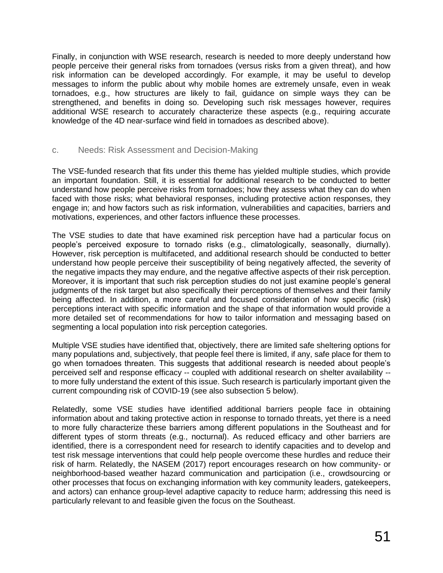Finally, in conjunction with WSE research, research is needed to more deeply understand how people perceive their general risks from tornadoes (versus risks from a given threat), and how risk information can be developed accordingly. For example, it may be useful to develop messages to inform the public about why mobile homes are extremely unsafe, even in weak tornadoes, e.g., how structures are likely to fail, guidance on simple ways they can be strengthened, and benefits in doing so. Developing such risk messages however, requires additional WSE research to accurately characterize these aspects (e.g., requiring accurate knowledge of the 4D near-surface wind field in tornadoes as described above).

#### c. Needs: Risk Assessment and Decision-Making

The VSE-funded research that fits under this theme has yielded multiple studies, which provide an important foundation. Still, it is essential for additional research to be conducted to better understand how people perceive risks from tornadoes; how they assess what they can do when faced with those risks; what behavioral responses, including protective action responses, they engage in; and how factors such as risk information, vulnerabilities and capacities, barriers and motivations, experiences, and other factors influence these processes.

The VSE studies to date that have examined risk perception have had a particular focus on people's perceived exposure to tornado risks (e.g., climatologically, seasonally, diurnally). However, risk perception is multifaceted, and additional research should be conducted to better understand how people perceive their susceptibility of being negatively affected, the severity of the negative impacts they may endure, and the negative affective aspects of their risk perception. Moreover, it is important that such risk perception studies do not just examine people's general judgments of the risk target but also specifically their perceptions of themselves and their family being affected. In addition, a more careful and focused consideration of how specific (risk) perceptions interact with specific information and the shape of that information would provide a more detailed set of recommendations for how to tailor information and messaging based on segmenting a local population into risk perception categories.

Multiple VSE studies have identified that, objectively, there are limited safe sheltering options for many populations and, subjectively, that people feel there is limited, if any, safe place for them to go when tornadoes threaten. This suggests that additional research is needed about people's perceived self and response efficacy -- coupled with additional research on shelter availability - to more fully understand the extent of this issue. Such research is particularly important given the current compounding risk of COVID-19 (see also subsection 5 below).

Relatedly, some VSE studies have identified additional barriers people face in obtaining information about and taking protective action in response to tornado threats, yet there is a need to more fully characterize these barriers among different populations in the Southeast and for different types of storm threats (e.g., nocturnal). As reduced efficacy and other barriers are identified, there is a correspondent need for research to identify capacities and to develop and test risk message interventions that could help people overcome these hurdles and reduce their risk of harm. Relatedly, the NASEM (2017) report encourages research on how community- or neighborhood-based weather hazard communication and participation (i.e., crowdsourcing or other processes that focus on exchanging information with key community leaders, gatekeepers, and actors) can enhance group-level adaptive capacity to reduce harm; addressing this need is particularly relevant to and feasible given the focus on the Southeast.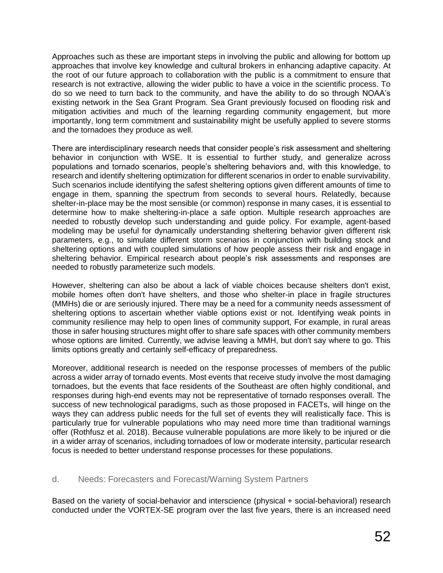Approaches such as these are important steps in involving the public and allowing for bottom up approaches that involve key knowledge and cultural brokers in enhancing adaptive capacity. At the root of our future approach to collaboration with the public is a commitment to ensure that research is not extractive, allowing the wider public to have a voice in the scientific process. To do so we need to turn back to the community, and have the ability to do so through NOAA's existing network in the Sea Grant Program. Sea Grant previously focused on flooding risk and mitigation activities and much of the learning regarding community engagement, but more importantly, long term commitment and sustainability might be usefully applied to severe storms and the tornadoes they produce as well.

There are interdisciplinary research needs that consider people's risk assessment and sheltering behavior in conjunction with WSE. It is essential to further study, and generalize across populations and tornado scenarios, people's sheltering behaviors and, with this knowledge, to research and identify sheltering optimization for different scenarios in order to enable survivability. Such scenarios include identifying the safest sheltering options given different amounts of time to engage in them, spanning the spectrum from seconds to several hours. Relatedly, because shelter-in-place may be the most sensible (or common) response in many cases, it is essential to determine how to make sheltering-in-place a safe option. Multiple research approaches are needed to robustly develop such understanding and guide policy. For example, agent-based modeling may be useful for dynamically understanding sheltering behavior given different risk parameters, e.g., to simulate different storm scenarios in conjunction with building stock and sheltering options and with coupled simulations of how people assess their risk and engage in sheltering behavior. Empirical research about people's risk assessments and responses are needed to robustly parameterize such models.

However, sheltering can also be about a lack of viable choices because shelters don't exist, mobile homes often don't have shelters, and those who shelter-in place in fragile structures (MMHs) die or are seriously injured. There may be a need for a community needs assessment of sheltering options to ascertain whether viable options exist or not. Identifying weak points in community resilience may help to open lines of community support, For example, in rural areas those in safer housing structures might offer to share safe spaces with other community members whose options are limited. Currently, we advise leaving a MMH, but don't say where to go. This limits options greatly and certainly self-efficacy of preparedness.

Moreover, additional research is needed on the response processes of members of the public across a wider array of tornado events. Most events that receive study involve the most damaging tornadoes, but the events that face residents of the Southeast are often highly conditional, and responses during high-end events may not be representative of tornado responses overall. The success of new technological paradigms, such as those proposed in FACETs, will hinge on the ways they can address public needs for the full set of events they will realistically face. This is particularly true for vulnerable populations who may need more time than traditional warnings offer (Rothfusz et al. 2018). Because vulnerable populations are more likely to be injured or die in a wider array of scenarios, including tornadoes of low or moderate intensity, particular research focus is needed to better understand response processes for these populations.

#### d. Needs: Forecasters and Forecast/Warning System Partners

Based on the variety of social-behavior and interscience (physical + social-behavioral) research conducted under the VORTEX-SE program over the last five years, there is an increased need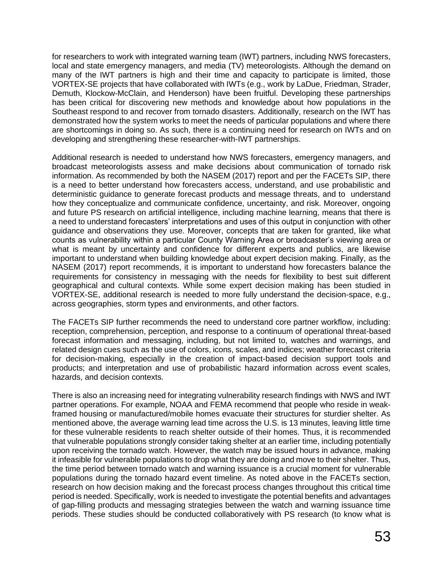for researchers to work with integrated warning team (IWT) partners, including NWS forecasters, local and state emergency managers, and media (TV) meteorologists. Although the demand on many of the IWT partners is high and their time and capacity to participate is limited, those VORTEX-SE projects that have collaborated with IWTs (e.g., work by LaDue, Friedman, Strader, Demuth, Klockow-McClain, and Henderson) have been fruitful. Developing these partnerships has been critical for discovering new methods and knowledge about how populations in the Southeast respond to and recover from tornado disasters. Additionally, research on the IWT has demonstrated how the system works to meet the needs of particular populations and where there are shortcomings in doing so. As such, there is a continuing need for research on IWTs and on developing and strengthening these researcher-with-IWT partnerships.

Additional research is needed to understand how NWS forecasters, emergency managers, and broadcast meteorologists assess and make decisions about communication of tornado risk information. As recommended by both the NASEM (2017) report and per the FACETs SIP, there is a need to better understand how forecasters access, understand, and use probabilistic and deterministic guidance to generate forecast products and message threats, and to understand how they conceptualize and communicate confidence, uncertainty, and risk. Moreover, ongoing and future PS research on artificial intelligence, including machine learning, means that there is a need to understand forecasters' interpretations and uses of this output in conjunction with other guidance and observations they use. Moreover, concepts that are taken for granted, like what counts as vulnerability within a particular County Warning Area or broadcaster's viewing area or what is meant by uncertainty and confidence for different experts and publics, are likewise important to understand when building knowledge about expert decision making. Finally, as the NASEM (2017) report recommends, it is important to understand how forecasters balance the requirements for consistency in messaging with the needs for flexibility to best suit different geographical and cultural contexts. While some expert decision making has been studied in VORTEX-SE, additional research is needed to more fully understand the decision-space, e.g., across geographies, storm types and environments, and other factors.

The FACETs SIP further recommends the need to understand core partner workflow, including: reception, comprehension, perception, and response to a continuum of operational threat-based forecast information and messaging, including, but not limited to, watches and warnings, and related design cues such as the use of colors, icons, scales, and indices; weather forecast criteria for decision-making, especially in the creation of impact-based decision support tools and products; and interpretation and use of probabilistic hazard information across event scales, hazards, and decision contexts.

There is also an increasing need for integrating vulnerability research findings with NWS and IWT partner operations. For example, NOAA and FEMA recommend that people who reside in weakframed housing or manufactured/mobile homes evacuate their structures for sturdier shelter. As mentioned above, the average warning lead time across the U.S. is 13 minutes, leaving little time for these vulnerable residents to reach shelter outside of their homes. Thus, it is recommended that vulnerable populations strongly consider taking shelter at an earlier time, including potentially upon receiving the tornado watch. However, the watch may be issued hours in advance, making it infeasible for vulnerable populations to drop what they are doing and move to their shelter. Thus, the time period between tornado watch and warning issuance is a crucial moment for vulnerable populations during the tornado hazard event timeline. As noted above in the FACETs section, research on how decision making and the forecast process changes throughout this critical time period is needed. Specifically, work is needed to investigate the potential benefits and advantages of gap-filling products and messaging strategies between the watch and warning issuance time periods. These studies should be conducted collaboratively with PS research (to know what is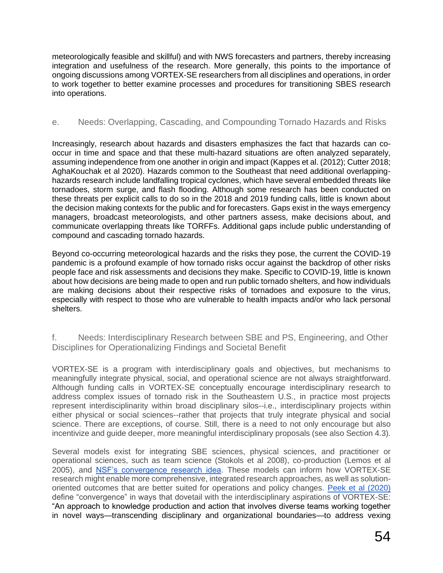meteorologically feasible and skillful) and with NWS forecasters and partners, thereby increasing integration and usefulness of the research. More generally, this points to the importance of ongoing discussions among VORTEX-SE researchers from all disciplines and operations, in order to work together to better examine processes and procedures for transitioning SBES research into operations.

#### e. Needs: Overlapping, Cascading, and Compounding Tornado Hazards and Risks

Increasingly, research about hazards and disasters emphasizes the fact that hazards can cooccur in time and space and that these multi-hazard situations are often analyzed separately, assuming independence from one another in origin and impact (Kappes et al. (2012); Cutter 2018; AghaKouchak et al 2020). Hazards common to the Southeast that need additional overlappinghazards research include landfalling tropical cyclones, which have several embedded threats like tornadoes, storm surge, and flash flooding. Although some research has been conducted on these threats per explicit calls to do so in the 2018 and 2019 funding calls, little is known about the decision making contexts for the public and for forecasters. Gaps exist in the ways emergency managers, broadcast meteorologists, and other partners assess, make decisions about, and communicate overlapping threats like TORFFs. Additional gaps include public understanding of compound and cascading tornado hazards.

Beyond co-occurring meteorological hazards and the risks they pose, the current the COVID-19 pandemic is a profound example of how tornado risks occur against the backdrop of other risks people face and risk assessments and decisions they make. Specific to COVID-19, little is known about how decisions are being made to open and run public tornado shelters, and how individuals are making decisions about their respective risks of tornadoes and exposure to the virus, especially with respect to those who are vulnerable to health impacts and/or who lack personal shelters.

f. Needs: Interdisciplinary Research between SBE and PS, Engineering, and Other Disciplines for Operationalizing Findings and Societal Benefit

VORTEX-SE is a program with interdisciplinary goals and objectives, but mechanisms to meaningfully integrate physical, social, and operational science are not always straightforward. Although funding calls in VORTEX-SE conceptually encourage interdisciplinary research to address complex issues of tornado risk in the Southeastern U.S., in practice most projects represent interdisciplinarity within broad disciplinary silos--i.e., interdisciplinary projects within either physical or social sciences--rather that projects that truly integrate physical and social science. There are exceptions, of course. Still, there is a need to not only encourage but also incentivize and guide deeper, more meaningful interdisciplinary proposals (see also Section 4.3).

Several models exist for integrating SBE sciences, physical sciences, and practitioner or operational sciences, such as team science (Stokols et al 2008), co-production (Lemos et al 2005), and [NSF's convergence research idea.](https://www.nsf.gov/news/special_reports/big_ideas/convergent.jsp) These models can inform how VORTEX-SE research might enable more comprehensive, integrated research approaches, as well as solutionoriented outcomes that are better suited for operations and policy changes. [Peek et al \(2020\)](https://doi.org/10.3389/fbuil.2020.00110) define "convergence" in ways that dovetail with the interdisciplinary aspirations of VORTEX-SE: "An approach to knowledge production and action that involves diverse teams working together in novel ways—transcending disciplinary and organizational boundaries—to address vexing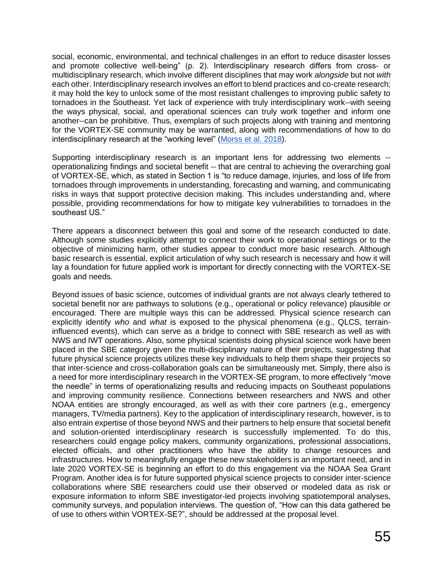social, economic, environmental, and technical challenges in an effort to reduce disaster losses and promote collective well-being" (p. 2). Interdisciplinary research differs from cross- or multidisciplinary research, which involve different disciplines that may work *alongside* but not *with*  each other. Interdisciplinary research involves an effort to blend practices and co-create research; it may hold the key to unlock some of the most resistant challenges to improving public safety to tornadoes in the Southeast. Yet lack of experience with truly interdisciplinary work--with seeing the ways physical, social, and operational sciences can truly work together and inform one another--can be prohibitive. Thus, exemplars of such projects along with training and mentoring for the VORTEX-SE community may be warranted, along with recommendations of how to do interdisciplinary research at the "working level" [\(Morss et al. 2018\)](https://doi.org/10.1111/risa.13246).

Supporting interdisciplinary research is an important lens for addressing two elements - operationalizing findings and societal benefit -- that are central to achieving the overarching goal of VORTEX-SE, which, as stated in Section 1 is "to reduce damage, injuries, and loss of life from tornadoes through improvements in understanding, forecasting and warning, and communicating risks in ways that support protective decision making. This includes understanding and, where possible, providing recommendations for how to mitigate key vulnerabilities to tornadoes in the southeast US."

There appears a disconnect between this goal and some of the research conducted to date. Although some studies explicitly attempt to connect their work to operational settings or to the objective of minimizing harm, other studies appear to conduct more basic research. Although basic research is essential, explicit articulation of why such research is necessary and how it will lay a foundation for future applied work is important for directly connecting with the VORTEX-SE goals and needs.

Beyond issues of basic science, outcomes of individual grants are not always clearly tethered to societal benefit nor are pathways to solutions (e.g., operational or policy relevance) plausible or encouraged. There are multiple ways this can be addressed. Physical science research can explicitly identify *who* and *what* is exposed to the physical phenomena (e.g., QLCS, terraininfluenced events), which can serve as a bridge to connect with SBE research as well as with NWS and IWT operations. Also, some physical scientists doing physical science work have been placed in the SBE category given the multi-disciplinary nature of their projects, suggesting that future physical science projects utilizes these key individuals to help them shape their projects so that inter-science and cross-collaboration goals can be simultaneously met. Simply, there also is a need for more interdisciplinary research in the VORTEX-SE program, to more effectively "move the needle" in terms of operationalizing results and reducing impacts on Southeast populations and improving community resilience. Connections between researchers and NWS and other NOAA entities are strongly encouraged, as well as with their core partners (e.g., emergency managers, TV/media partners). Key to the application of interdisciplinary research, however, is to also entrain expertise of those beyond NWS and their partners to help ensure that societal benefit and solution-oriented interdisciplinary research is successfully implemented. To do this, researchers could engage policy makers, community organizations, professional associations, elected officials, and other practitioners who have the ability to change resources and infrastructures. How to meaningfully engage these new stakeholders is an important need, and in late 2020 VORTEX-SE is beginning an effort to do this engagement via the NOAA Sea Grant Program. Another idea is for future supported physical science projects to consider inter-science collaborations where SBE researchers could use their observed or modeled data as risk or exposure information to inform SBE investigator-led projects involving spatiotemporal analyses, community surveys, and population interviews. The question of, "How can this data gathered be of use to others within VORTEX-SE?", should be addressed at the proposal level.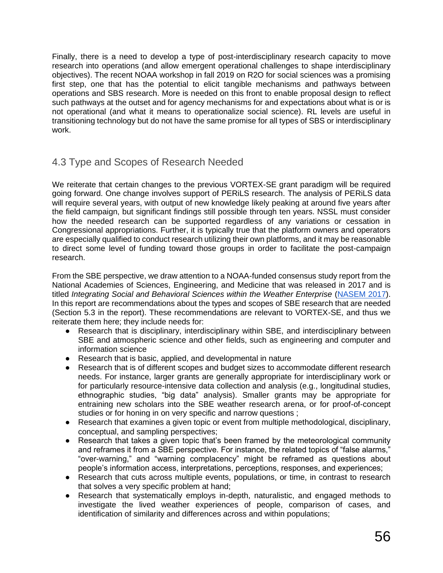Finally, there is a need to develop a type of post-interdisciplinary research capacity to move research into operations (and allow emergent operational challenges to shape interdisciplinary objectives). The recent NOAA workshop in fall 2019 on R2O for social sciences was a promising first step, one that has the potential to elicit tangible mechanisms and pathways between operations and SBS research. More is needed on this front to enable proposal design to reflect such pathways at the outset and for agency mechanisms for and expectations about what is or is not operational (and what it means to operationalize social science). RL levels are useful in transitioning technology but do not have the same promise for all types of SBS or interdisciplinary work.

# 4.3 Type and Scopes of Research Needed

We reiterate that certain changes to the previous VORTEX-SE grant paradigm will be required going forward. One change involves support of PERiLS research. The analysis of PERiLS data will require several years, with output of new knowledge likely peaking at around five years after the field campaign, but significant findings still possible through ten years. NSSL must consider how the needed research can be supported regardless of any variations or cessation in Congressional appropriations. Further, it is typically true that the platform owners and operators are especially qualified to conduct research utilizing their own platforms, and it may be reasonable to direct some level of funding toward those groups in order to facilitate the post-campaign research.

From the SBE perspective, we draw attention to a NOAA-funded consensus study report from the National Academies of Sciences, Engineering, and Medicine that was released in 2017 and is titled *Integrating Social and Behavioral Sciences within the Weather Enterprise* [\(NASEM 2017\)](https://www.nap.edu/catalog/24865/integrating-social-and-behavioral-sciences-within-the-weather-enterprise). In this report are recommendations about the types and scopes of SBE research that are needed (Section 5.3 in the report). These recommendations are relevant to VORTEX-SE, and thus we reiterate them here; they include needs for:

- Research that is disciplinary, interdisciplinary within SBE, and interdisciplinary between SBE and atmospheric science and other fields, such as engineering and computer and information science
- Research that is basic, applied, and developmental in nature
- Research that is of different scopes and budget sizes to accommodate different research needs. For instance, larger grants are generally appropriate for interdisciplinary work or for particularly resource-intensive data collection and analysis (e.g., longitudinal studies, ethnographic studies, "big data" analysis). Smaller grants may be appropriate for entraining new scholars into the SBE weather research arena, or for proof-of-concept studies or for honing in on very specific and narrow questions ;
- Research that examines a given topic or event from multiple methodological, disciplinary, conceptual, and sampling perspectives;
- Research that takes a given topic that's been framed by the meteorological community and reframes it from a SBE perspective. For instance, the related topics of "false alarms," "over-warning," and "warning complacency" might be reframed as questions about people's information access, interpretations, perceptions, responses, and experiences;
- Research that cuts across multiple events, populations, or time, in contrast to research that solves a very specific problem at hand;
- Research that systematically employs in-depth, naturalistic, and engaged methods to investigate the lived weather experiences of people, comparison of cases, and identification of similarity and differences across and within populations;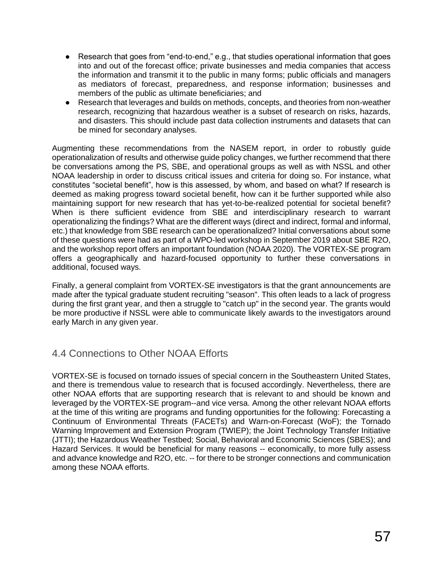- Research that goes from "end-to-end," e.g., that studies operational information that goes into and out of the forecast office; private businesses and media companies that access the information and transmit it to the public in many forms; public officials and managers as mediators of forecast, preparedness, and response information; businesses and members of the public as ultimate beneficiaries; and
- Research that leverages and builds on methods, concepts, and theories from non-weather research, recognizing that hazardous weather is a subset of research on risks, hazards, and disasters. This should include past data collection instruments and datasets that can be mined for secondary analyses.

Augmenting these recommendations from the NASEM report, in order to robustly guide operationalization of results and otherwise guide policy changes, we further recommend that there be conversations among the PS, SBE, and operational groups as well as with NSSL and other NOAA leadership in order to discuss critical issues and criteria for doing so. For instance, what constitutes "societal benefit", how is this assessed, by whom, and based on what? If research is deemed as making progress toward societal benefit, how can it be further supported while also maintaining support for new research that has yet-to-be-realized potential for societal benefit? When is there sufficient evidence from SBE and interdisciplinary research to warrant operationalizing the findings? What are the different ways (direct and indirect, formal and informal, etc.) that knowledge from SBE research can be operationalized? Initial conversations about some of these questions were had as part of a WPO-led workshop in September 2019 about SBE R2O, and the workshop report offers an important foundation (NOAA 2020). The VORTEX-SE program offers a geographically and hazard-focused opportunity to further these conversations in additional, focused ways.

Finally, a general complaint from VORTEX-SE investigators is that the grant announcements are made after the typical graduate student recruiting "season". This often leads to a lack of progress during the first grant year, and then a struggle to "catch up" in the second year. The grants would be more productive if NSSL were able to communicate likely awards to the investigators around early March in any given year.

# 4.4 Connections to Other NOAA Efforts

VORTEX-SE is focused on tornado issues of special concern in the Southeastern United States, and there is tremendous value to research that is focused accordingly. Nevertheless, there are other NOAA efforts that are supporting research that is relevant to and should be known and leveraged by the VORTEX-SE program--and vice versa. Among the other relevant NOAA efforts at the time of this writing are programs and funding opportunities for the following: Forecasting a Continuum of Environmental Threats (FACETs) and Warn-on-Forecast (WoF); the Tornado Warning Improvement and Extension Program (TWIEP); the Joint Technology Transfer Initiative (JTTI); the Hazardous Weather Testbed; Social, Behavioral and Economic Sciences (SBES); and Hazard Services. It would be beneficial for many reasons -- economically, to more fully assess and advance knowledge and R2O, etc. -- for there to be stronger connections and communication among these NOAA efforts.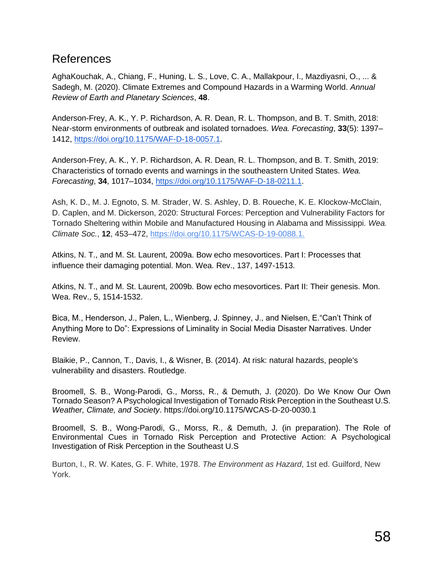# References

AghaKouchak, A., Chiang, F., Huning, L. S., Love, C. A., Mallakpour, I., Mazdiyasni, O., ... & Sadegh, M. (2020). Climate Extremes and Compound Hazards in a Warming World. *Annual Review of Earth and Planetary Sciences*, **48**.

Anderson-Frey, A. K., Y. P. Richardson, A. R. Dean, R. L. Thompson, and B. T. Smith, 2018: Near-storm environments of outbreak and isolated tornadoes. *Wea. Forecasting*, **33**(5): 1397– 1412, [https://doi.org/10.1175/WAF-D-18-0057.1.](https://doi.org/10.1175/WAF-D-18-0057.1)

Anderson-Frey, A. K., Y. P. Richardson, A. R. Dean, R. L. Thompson, and B. T. Smith, 2019: Characteristics of tornado events and warnings in the southeastern United States. *Wea. Forecasting*, **34**, 1017–1034, [https://doi.org/10.1175/WAF-D-18-0211.1.](https://doi.org/10.1175/WAF-D-18-0211.1)

Ash, K. D., M. J. Egnoto, S. M. Strader, W. S. Ashley, D. B. Roueche, K. E. Klockow-McClain, D. Caplen, and M. Dickerson, 2020: Structural Forces: Perception and Vulnerability Factors for Tornado Sheltering within Mobile and Manufactured Housing in Alabama and Mississippi. *Wea. Climate Soc.*, **12**, 453–472, [https://doi.org/10.1175/WCAS-D-19-0088.1.](https://doi.org/10.1175/WCAS-D-19-0088.1)

Atkins, N. T., and M. St. Laurent, 2009a. Bow echo mesovortices. Part I: Processes that influence their damaging potential. Mon. Wea. Rev., 137, 1497-1513.

Atkins, N. T., and M. St. Laurent, 2009b. Bow echo mesovortices. Part II: Their genesis. Mon. Wea. Rev., 5, 1514-1532.

Bica, M., Henderson, J., Palen, L., Wienberg, J. Spinney, J., and Nielsen, E."Can't Think of Anything More to Do": Expressions of Liminality in Social Media Disaster Narratives. Under Review.

Blaikie, P., Cannon, T., Davis, I., & Wisner, B. (2014). At risk: natural hazards, people's vulnerability and disasters. Routledge.

Broomell, S. B., Wong-Parodi, G., Morss, R., & Demuth, J. (2020). Do We Know Our Own Tornado Season? A Psychological Investigation of Tornado Risk Perception in the Southeast U.S. *Weather, Climate, and Society*. https://doi.org/10.1175/WCAS-D-20-0030.1

Broomell, S. B., Wong-Parodi, G., Morss, R., & Demuth, J. (in preparation). The Role of Environmental Cues in Tornado Risk Perception and Protective Action: A Psychological Investigation of Risk Perception in the Southeast U.S

Burton, I., R. W. Kates, G. F. White, 1978. *The Environment as Hazard*, 1st ed. Guilford, New York.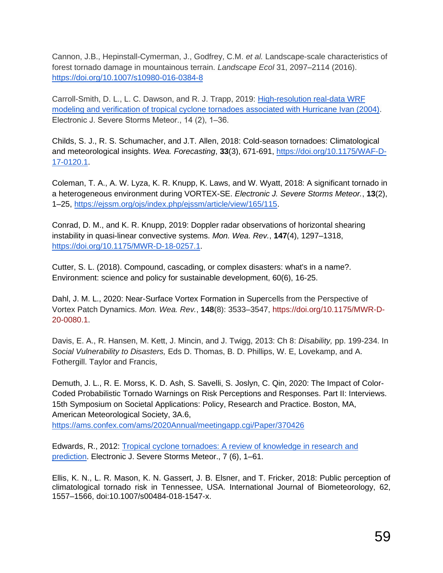Cannon, J.B., Hepinstall-Cymerman, J., Godfrey, C.M. *et al.* Landscape-scale characteristics of forest tornado damage in mountainous terrain. *Landscape Ecol* 31, 2097–2114 (2016). <https://doi.org/10.1007/s10980-016-0384-8>

Carroll-Smith, D. L., L. C. Dawson, and R. J. Trapp, 2019: [High-resolution real-data WRF](https://ejssm.org/ojs/index.php/ejssm/article/view/168/119)  [modeling and verification of tropical cyclone tornadoes associated with Hurricane Ivan \(2004\).](https://ejssm.org/ojs/index.php/ejssm/article/view/168/119) Electronic J. Severe Storms Meteor., 14 (2), 1-36.

Childs, S. J., R. S. Schumacher, and J.T. Allen, 2018: Cold-season tornadoes: Climatological and meteorological insights. *Wea. Forecasting*, **33**(3), 671-691, [https://doi.org/10.1175/WAF-D-](https://doi.org/10.1175/WAF-D-17-0120.1)[17-0120.1.](https://doi.org/10.1175/WAF-D-17-0120.1)

Coleman, T. A., A. W. Lyza, K. R. Knupp, K. Laws, and W. Wyatt, 2018: A significant tornado in a heterogeneous environment during VORTEX-SE. *Electronic J. Severe Storms Meteor.*, **13**(2), 1–25, [https://ejssm.org/ojs/index.php/ejssm/article/view/165/115.](https://ejssm.org/ojs/index.php/ejssm/article/view/165/115)

Conrad, D. M., and K. R. Knupp, 2019: Doppler radar observations of horizontal shearing instability in quasi-linear convective systems. *Mon. Wea. Rev.*, **147**(4), 1297–1318, [https://doi.org/10.1175/MWR-D-18-0257.1.](https://doi.org/10.1175/MWR-D-18-0257.1)

Cutter, S. L. (2018). Compound, cascading, or complex disasters: what's in a name?. Environment: science and policy for sustainable development, 60(6), 16-25.

Dahl, J. M. L., 2020: Near-Surface Vortex Formation in Supercells from the Perspective of Vortex Patch Dynamics. *Mon. Wea. Rev.*, **148**(8): 3533–3547, [https://doi.org/10.1175/MWR-D-](https://doi.org/10.1175/MWR-D-20-0080.1)[20-0080.1.](https://doi.org/10.1175/MWR-D-20-0080.1)

Davis, E. A., R. Hansen, M. Kett, J. Mincin, and J. Twigg, 2013: Ch 8: *Disability,* pp. 199-234. In *Social Vulnerability to Disasters,* Eds D. Thomas, B. D. Phillips, W. E, Lovekamp, and A. Fothergill. Taylor and Francis,

Demuth, J. L., R. E. Morss, K. D. Ash, S. Savelli, S. Joslyn, C. Qin, 2020: The Impact of Color-Coded Probabilistic Tornado Warnings on Risk Perceptions and Responses. Part II: Interviews. 15th Symposium on Societal Applications: Policy, Research and Practice. Boston, MA, American Meteorological Society, 3A.6,

<https://ams.confex.com/ams/2020Annual/meetingapp.cgi/Paper/370426>

Edwards, R., 2012: [Tropical cyclone tornadoes: A review of knowledge in research and](https://ejssm.org/ojs/index.php/ejssm/article/view/97/84)  [prediction.](https://ejssm.org/ojs/index.php/ejssm/article/view/97/84) Electronic J. Severe Storms Meteor., 7 (6), 1–61.

Ellis, K. N., L. R. Mason, K. N. Gassert, J. B. Elsner, and T. Fricker, 2018: Public perception of climatological tornado risk in Tennessee, USA. International Journal of Biometeorology, 62, 1557–1566, doi:10.1007/s00484-018-1547-x.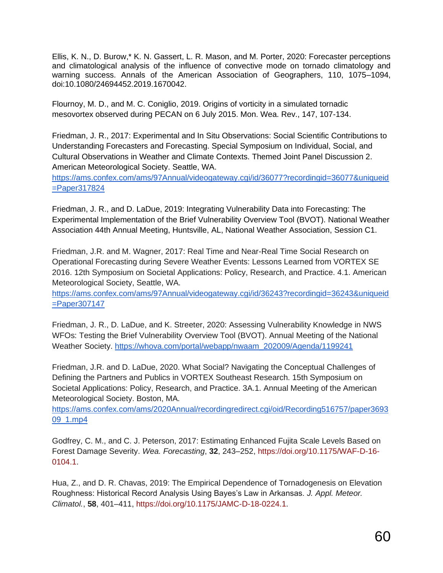Ellis, K. N., D. Burow,\* K. N. Gassert, L. R. Mason, and M. Porter, 2020: Forecaster perceptions and climatological analysis of the influence of convective mode on tornado climatology and warning success. Annals of the American Association of Geographers, 110, 1075–1094, doi:10.1080/24694452.2019.1670042.

Flournoy, M. D., and M. C. Coniglio, 2019. Origins of vorticity in a simulated tornadic mesovortex observed during PECAN on 6 July 2015. Mon. Wea. Rev., 147, 107-134.

Friedman, J. R., 2017: Experimental and In Situ Observations: Social Scientific Contributions to Understanding Forecasters and Forecasting. Special Symposium on Individual, Social, and Cultural Observations in Weather and Climate Contexts. Themed Joint Panel Discussion 2. American Meteorological Society. Seattle, WA.

[https://ams.confex.com/ams/97Annual/videogateway.cgi/id/36077?recordingid=36077&uniqueid](https://ams.confex.com/ams/97Annual/videogateway.cgi/id/36077?recordingid=36077&uniqueid=Paper317824) [=Paper317824](https://ams.confex.com/ams/97Annual/videogateway.cgi/id/36077?recordingid=36077&uniqueid=Paper317824)

Friedman, J. R., and D. LaDue, 2019: Integrating Vulnerability Data into Forecasting: The Experimental Implementation of the Brief Vulnerability Overview Tool (BVOT). National Weather Association 44th Annual Meeting, Huntsville, AL, National Weather Association, Session C1.

Friedman, J.R. and M. Wagner, 2017: Real Time and Near-Real Time Social Research on Operational Forecasting during Severe Weather Events: Lessons Learned from VORTEX SE 2016. 12th Symposium on Societal Applications: Policy, Research, and Practice. 4.1. American Meteorological Society, Seattle, WA.

[https://ams.confex.com/ams/97Annual/videogateway.cgi/id/36243?recordingid=36243&uniqueid](https://ams.confex.com/ams/97Annual/videogateway.cgi/id/36243?recordingid=36243&uniqueid=Paper307147) [=Paper307147](https://ams.confex.com/ams/97Annual/videogateway.cgi/id/36243?recordingid=36243&uniqueid=Paper307147)

Friedman, J. R., D. LaDue, and K. Streeter, 2020: Assessing Vulnerability Knowledge in NWS WFOs: Testing the Brief Vulnerability Overview Tool (BVOT). Annual Meeting of the National Weather Society. [https://whova.com/portal/webapp/nwaam\\_202009/Agenda/1199241](https://whova.com/portal/webapp/nwaam_202009/Agenda/1199241)

Friedman, J.R. and D. LaDue, 2020. What Social? Navigating the Conceptual Challenges of Defining the Partners and Publics in VORTEX Southeast Research. 15th Symposium on Societal Applications: Policy, Research, and Practice. 3A.1. Annual Meeting of the American Meteorological Society. Boston, MA.

[https://ams.confex.com/ams/2020Annual/recordingredirect.cgi/oid/Recording516757/paper3693](https://ams.confex.com/ams/2020Annual/recordingredirect.cgi/oid/Recording516757/paper369309_1.mp4) [09\\_1.mp4](https://ams.confex.com/ams/2020Annual/recordingredirect.cgi/oid/Recording516757/paper369309_1.mp4)

Godfrey, C. M., and C. J. Peterson, 2017: Estimating Enhanced Fujita Scale Levels Based on Forest Damage Severity. *Wea. Forecasting*, **32**, 243–252, [https://doi.org/10.1175/WAF-D-16-](https://doi.org/10.1175/WAF-D-16-0104.1) [0104.1.](https://doi.org/10.1175/WAF-D-16-0104.1)

Hua, Z., and D. R. Chavas, 2019: The Empirical Dependence of Tornadogenesis on Elevation Roughness: Historical Record Analysis Using Bayes's Law in Arkansas. *J. Appl. Meteor. Climatol.*, **58**, 401–411, [https://doi.org/10.1175/JAMC-D-18-0224.1.](https://doi.org/10.1175/JAMC-D-18-0224.1)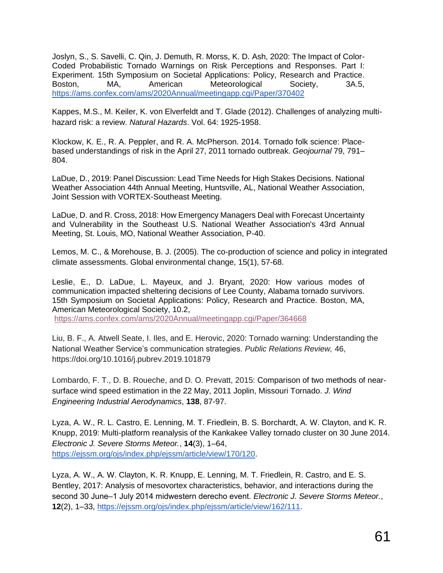Joslyn, S., S. Savelli, C. Qin, J. Demuth, R. Morss, K. D. Ash, 2020: The Impact of Color-Coded Probabilistic Tornado Warnings on Risk Perceptions and Responses. Part I: Experiment. 15th Symposium on Societal Applications: Policy, Research and Practice. Boston, MA, American Meteorological Society, 3A.5, <https://ams.confex.com/ams/2020Annual/meetingapp.cgi/Paper/370402>

Kappes, M.S., M. Keiler, K. von Elverfeldt and T. Glade (2012). Challenges of analyzing multihazard risk: a review. *Natural Hazards*. Vol. 64: 1925-1958.

Klockow, K. E., R. A. Peppler, and R. A. McPherson. 2014. Tornado folk science: Placebased understandings of risk in the April 27, 2011 tornado outbreak. *Geojournal* 79, 791– 804.

LaDue, D., 2019: Panel Discussion: Lead Time Needs for High Stakes Decisions. National Weather Association 44th Annual Meeting, Huntsville, AL, National Weather Association, Joint Session with VORTEX-Southeast Meeting.

LaDue, D. and R. Cross, 2018: How Emergency Managers Deal with Forecast Uncertainty and Vulnerability in the Southeast U.S. National Weather Association's 43rd Annual Meeting, St. Louis, MO, National Weather Association, P-40.

Lemos, M. C., & Morehouse, B. J. (2005). The co-production of science and policy in integrated climate assessments. Global environmental change, 15(1), 57-68.

Leslie, E., D. LaDue, L. Mayeux, and J. Bryant, 2020: How various modes of communication impacted sheltering decisions of Lee County, Alabama tornado survivors. 15th Symposium on Societal Applications: Policy, Research and Practice. Boston, MA, American Meteorological Society, 10.2,

<https://ams.confex.com/ams/2020Annual/meetingapp.cgi/Paper/364668>

Liu, B. F., A. Atwell Seate, I. Iles, and E. Herovic, 2020: Tornado warning: Understanding the National Weather Service's communication strategies. *Public Relations Review,* 46, https://doi.org/10.1016/j.pubrev.2019.101879

Lombardo, F. T., D. B. Roueche, and D. O. Prevatt, 2015: Comparison of two methods of nearsurface wind speed estimation in the 22 May, 2011 Joplin, Missouri Tornado. *J. Wind Engineering Industrial Aerodynamics*, **138**, 87-97.

Lyza, A. W., R. L. Castro, E. Lenning, M. T. Friedlein, B. S. Borchardt, A. W. Clayton, and K. R. Knupp, 2019: Multi-platform reanalysis of the Kankakee Valley tornado cluster on 30 June 2014. *Electronic J. Severe Storms Meteor.*, **14**(3), 1–64, [https://ejssm.org/ojs/index.php/ejssm/article/view/170/120.](https://ejssm.org/ojs/index.php/ejssm/article/view/170/120)

Lyza, A. W., A. W. Clayton, K. R. Knupp, E. Lenning, M. T. Friedlein, R. Castro, and E. S. Bentley, 2017: Analysis of mesovortex characteristics, behavior, and interactions during the second 30 June‒1 July 2014 midwestern derecho event. *Electronic J. Severe Storms Meteor.*, **12**(2), 1–33, [https://ejssm.org/ojs/index.php/ejssm/article/view/162/111.](https://ejssm.org/ojs/index.php/ejssm/article/view/162/111)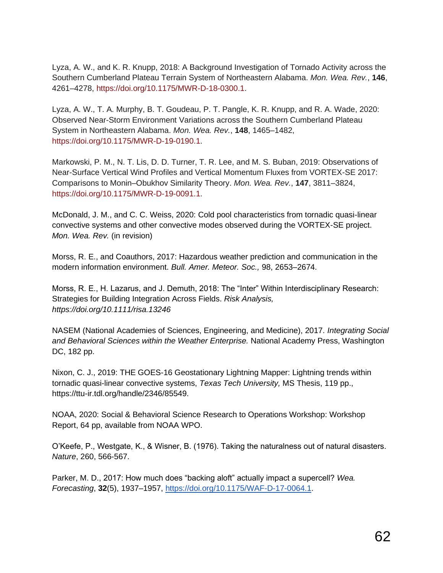Lyza, A. W., and K. R. Knupp, 2018: A Background Investigation of Tornado Activity across the Southern Cumberland Plateau Terrain System of Northeastern Alabama. *Mon. Wea. Rev.*, **146**, 4261–4278, [https://doi.org/10.1175/MWR-D-18-0300.1.](https://doi.org/10.1175/MWR-D-18-0300.1)

Lyza, A. W., T. A. Murphy, B. T. Goudeau, P. T. Pangle, K. R. Knupp, and R. A. Wade, 2020: Observed Near-Storm Environment Variations across the Southern Cumberland Plateau System in Northeastern Alabama. *Mon. Wea. Rev.*, **148**, 1465–1482, [https://doi.org/10.1175/MWR-D-19-0190.1.](https://doi.org/10.1175/MWR-D-19-0190.1)

Markowski, P. M., N. T. Lis, D. D. Turner, T. R. Lee, and M. S. Buban, 2019: Observations of Near-Surface Vertical Wind Profiles and Vertical Momentum Fluxes from VORTEX-SE 2017: Comparisons to Monin–Obukhov Similarity Theory. *Mon. Wea. Rev.*, **147**, 3811–3824, [https://doi.org/10.1175/MWR-D-19-0091.1.](https://doi.org/10.1175/MWR-D-19-0091.1)

McDonald, J. M., and C. C. Weiss, 2020: Cold pool characteristics from tornadic quasi-linear convective systems and other convective modes observed during the VORTEX-SE project. *Mon. Wea. Rev.* (in revision)

Morss, R. E., and Coauthors, 2017: Hazardous weather prediction and communication in the modern information environment. *Bull. Amer. Meteor. Soc.,* 98, 2653–2674.

Morss, R. E., H. Lazarus, and J. Demuth, 2018: The "Inter" Within Interdisciplinary Research: Strategies for Building Integration Across Fields. *Risk Analysis, https://doi.org/10.1111/risa.13246*

NASEM (National Academies of Sciences, Engineering, and Medicine), 2017. *Integrating Social and Behavioral Sciences within the Weather Enterprise.* National Academy Press, Washington DC, 182 pp.

Nixon, C. J., 2019: THE GOES-16 Geostationary Lightning Mapper: Lightning trends within tornadic quasi-linear convective systems, *Texas Tech University,* MS Thesis, 119 pp., https://ttu-ir.tdl.org/handle/2346/85549.

NOAA, 2020: Social & Behavioral Science Research to Operations Workshop: Workshop Report, 64 pp, available from NOAA WPO.

O'Keefe, P., Westgate, K., & Wisner, B. (1976). Taking the naturalness out of natural disasters. *Nature*, 260, 566-567.

Parker, M. D., 2017: How much does "backing aloft" actually impact a supercell? *Wea. Forecasting*, **32**(5), 1937–1957, [https://doi.org/10.1175/WAF-D-17-0064.1.](https://doi.org/10.1175/WAF-D-17-0064.1)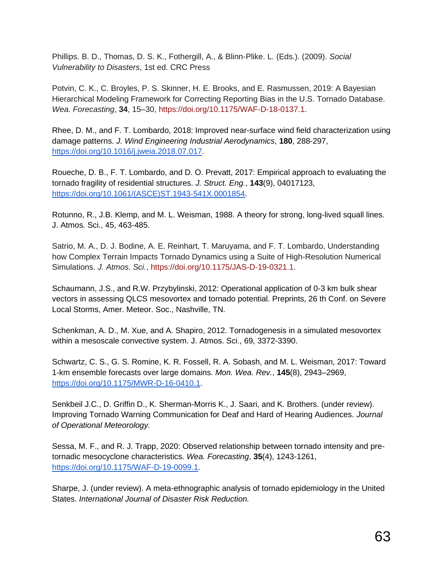Phillips. B. D., Thomas, D. S. K., Fothergill, A., & Blinn-Plike. L. (Eds.). (2009). *Social Vulnerability to Disasters*, 1st ed. CRC Press

Potvin, C. K., C. Broyles, P. S. Skinner, H. E. Brooks, and E. Rasmussen, 2019: A Bayesian Hierarchical Modeling Framework for Correcting Reporting Bias in the U.S. Tornado Database. *Wea. Forecasting*, **34**, 15–30, [https://doi.org/10.1175/WAF-D-18-0137.1.](https://doi.org/10.1175/WAF-D-18-0137.1)

Rhee, D. M., and F. T. Lombardo, 2018: Improved near-surface wind field characterization using damage patterns. *J. Wind Engineering Industrial Aerodynamics*, **180**, 288-297, [https://doi.org/10.1016/j.jweia.2018.07.017.](https://doi.org/10.1016/j.jweia.2018.07.017)

Roueche, D. B., F. T. Lombardo, and D. O. Prevatt, 2017: Empirical approach to evaluating the tornado fragility of residential structures. *J. Struct. Eng.*, **143**(9), 04017123, [https://doi.org/10.1061/\(ASCE\)ST.1943-541X.0001854.](https://doi.org/10.1061/(ASCE)ST.1943-541X.0001854)

Rotunno, R., J.B. Klemp, and M. L. Weisman, 1988. A theory for strong, long-lived squall lines. J. Atmos. Sci., 45, 463-485.

Satrio, M. A., D. J. Bodine, A. E. Reinhart, T. Maruyama, and F. T. Lombardo, Understanding how Complex Terrain Impacts Tornado Dynamics using a Suite of High-Resolution Numerical Simulations. *J. Atmos. Sci.*, [https://doi.org/10.1175/JAS-D-19-0321.1.](https://doi.org/10.1175/JAS-D-19-0321.1)

Schaumann, J.S., and R.W. Przybylinski, 2012: Operational application of 0-3 km bulk shear vectors in assessing QLCS mesovortex and tornado potential. Preprints, 26 th Conf. on Severe Local Storms, Amer. Meteor. Soc., Nashville, TN.

Schenkman, A. D., M. Xue, and A. Shapiro, 2012. Tornadogenesis in a simulated mesovortex within a mesoscale convective system. J. Atmos. Sci., 69, 3372-3390.

Schwartz, C. S., G. S. Romine, K. R. Fossell, R. A. Sobash, and M. L. Weisman, 2017: Toward 1-km ensemble forecasts over large domains. *Mon. Wea. Rev.*, **145**(8), 2943–2969, [https://doi.org/10.1175/MWR-D-16-0410.1.](https://doi.org/10.1175/MWR-D-16-0410.1)

Senkbeil J.C., D. Griffin D., K. Sherman-Morris K., J. Saari, and K. Brothers. (under review). Improving Tornado Warning Communication for Deaf and Hard of Hearing Audiences. *Journal of Operational Meteorology.*

Sessa, M. F., and R. J. Trapp, 2020: Observed relationship between tornado intensity and pretornadic mesocyclone characteristics. *Wea. Forecasting*, **35**(4), 1243-1261, [https://doi.org/10.1175/WAF-D-19-0099.1.](https://doi.org/10.1175/WAF-D-19-0099.1)

Sharpe, J. (under review). A meta-ethnographic analysis of tornado epidemiology in the United States. *International Journal of Disaster Risk Reduction.*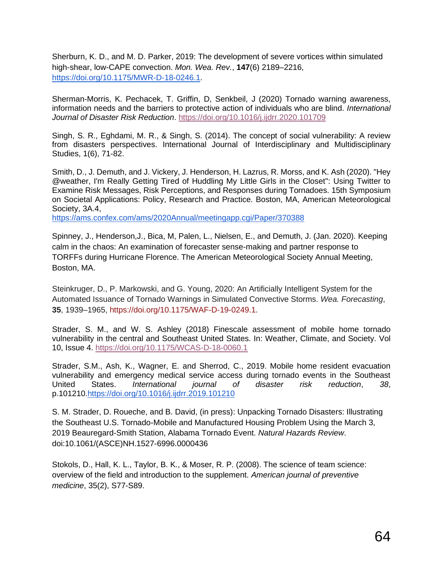Sherburn, K. D., and M. D. Parker, 2019: The development of severe vortices within simulated high-shear, low-CAPE convection. *Mon. Wea. Rev.*, **147**(6) 2189–2216, [https://doi.org/10.1175/MWR-D-18-0246.1.](https://doi.org/10.1175/MWR-D-18-0246.1)

Sherman-Morris, K. Pechacek, T. Griffin, D, Senkbeil, J (2020) Tornado warning awareness, information needs and the barriers to protective action of individuals who are blind. *International Journal of Disaster Risk Reduction*.<https://doi.org/10.1016/j.ijdrr.2020.101709>

Singh, S. R., Eghdami, M. R., & Singh, S. (2014). The concept of social vulnerability: A review from disasters perspectives. International Journal of Interdisciplinary and Multidisciplinary Studies, 1(6), 71-82.

Smith, D., J. Demuth, and J. Vickery, J. Henderson, H. Lazrus, R. Morss, and K. Ash (2020). "Hey @weather, I'm Really Getting Tired of Huddling My Little Girls in the Closet": Using Twitter to Examine Risk Messages, Risk Perceptions, and Responses during Tornadoes. 15th Symposium on Societal Applications: Policy, Research and Practice. Boston, MA, American Meteorological Society, 3A.4,

<https://ams.confex.com/ams/2020Annual/meetingapp.cgi/Paper/370388>

Spinney, J., Henderson,J., Bica, M, Palen, L., Nielsen, E., and Demuth, J. (Jan. 2020). Keeping calm in the chaos: An examination of forecaster sense-making and partner response to TORFFs during Hurricane Florence. The American Meteorological Society Annual Meeting, Boston, MA.

Steinkruger, D., P. Markowski, and G. Young, 2020: An Artificially Intelligent System for the Automated Issuance of Tornado Warnings in Simulated Convective Storms. *Wea. Forecasting*, **35**, 1939–1965, [https://doi.org/10.1175/WAF-D-19-0249.1.](https://doi.org/10.1175/WAF-D-19-0249.1)

Strader, S. M., and W. S. Ashley (2018) Finescale assessment of mobile home tornado vulnerability in the central and Southeast United States. In: Weather, Climate, and Society. Vol 10, Issue 4.<https://doi.org/10.1175/WCAS-D-18-0060.1>

Strader, S.M., Ash, K., Wagner, E. and Sherrod, C., 2019. Mobile home resident evacuation vulnerability and emergency medical service access during tornado events in the Southeast United States. *International journal of disaster risk reduction*, *38*, p.101210[.https://doi.org/10.1016/j.ijdrr.2019.101210](https://doi.org/10.1016/j.ijdrr.2019.101210)

S. M. Strader, D. Roueche, and B. David, (in press): Unpacking Tornado Disasters: Illustrating the Southeast U.S. Tornado-Mobile and Manufactured Housing Problem Using the March 3, 2019 Beauregard-Smith Station, Alabama Tornado Event. *Natural Hazards Review*. doi:10.1061/(ASCE)NH.1527-6996.0000436

Stokols, D., Hall, K. L., Taylor, B. K., & Moser, R. P. (2008). The science of team science: overview of the field and introduction to the supplement. *American journal of preventive medicine*, 35(2), S77-S89.